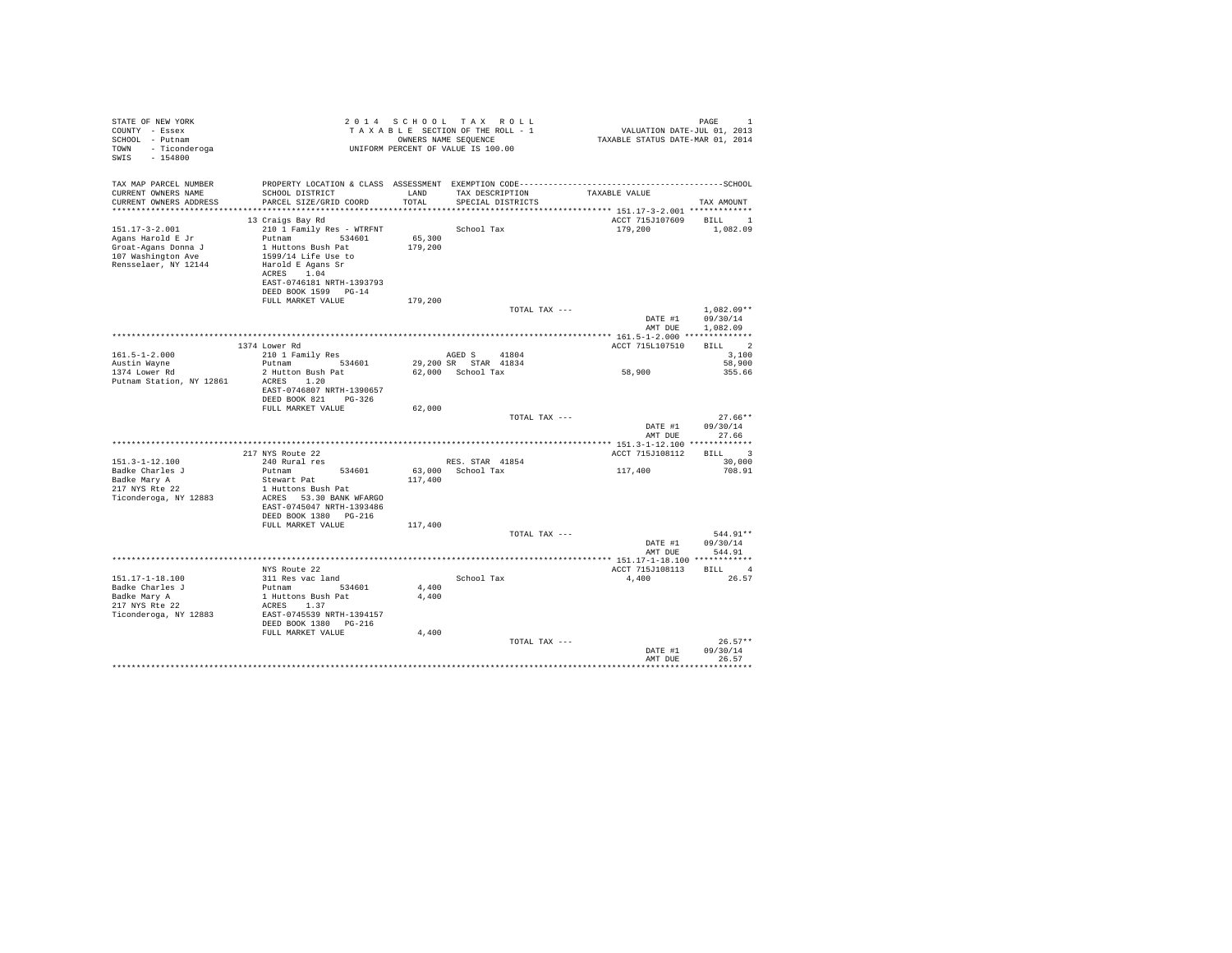| STATE OF NEW YORK<br>COUNTY - Essex<br>SCHOOL - Putnam<br>TOWN - Ticonderoga<br>$-154800$<br>SWIS | 2014 SCHOOL TAX RULL TAXABLE ROLL - 1<br>TAXABLE SECTION OF THE ROLL - 1<br>ONNERS NAME SEQUENCE<br>UNIFORM PERCENT OF VALUE IS 100.00 |                | TAXABLE SECTION OF THE ROLL - 1<br>OWNERS NAME SEQUENCE | PAGE 1<br>VALUATION DATE-JUL 01, 2013<br>TAXABLE STATUS DATE-MAR 01, 2014 |                                  |
|---------------------------------------------------------------------------------------------------|----------------------------------------------------------------------------------------------------------------------------------------|----------------|---------------------------------------------------------|---------------------------------------------------------------------------|----------------------------------|
| TAX MAP PARCEL NUMBER                                                                             |                                                                                                                                        |                |                                                         |                                                                           |                                  |
| CURRENT OWNERS NAME<br>CURRENT OWNERS ADDRESS                                                     | SCHOOL DISTRICT<br>PARCEL SIZE/GRID COORD                                                                                              | TOTAL          | LAND TAX DESCRIPTION<br>SPECIAL DISTRICTS               | TAXABLE VALUE                                                             | TAX AMOUNT                       |
|                                                                                                   |                                                                                                                                        |                |                                                         |                                                                           |                                  |
|                                                                                                   | 13 Craigs Bay Rd                                                                                                                       |                |                                                         | ACCT 715J107609 BILL 1                                                    |                                  |
| $151.17 - 3 - 2.001$                                                                              | 210 1 Family Res - WTRFNT                                                                                                              |                | School Tax                                              | 179,200                                                                   | 1,082.09                         |
| Agans Harold E Jr                                                                                 |                                                                                                                                        | 65,300         |                                                         |                                                                           |                                  |
| Groat-Agans Donna J                                                                               | Putnam 534601<br>1 Huttons Bush Pat<br>1599/14 Life Use to                                                                             | 179,200        |                                                         |                                                                           |                                  |
| 107 Washington Ave                                                                                |                                                                                                                                        |                |                                                         |                                                                           |                                  |
| Rensselaer, NY 12144                                                                              | Harold E Agans Sr<br>ACRES 1.04                                                                                                        |                |                                                         |                                                                           |                                  |
|                                                                                                   | EAST-0746181 NRTH-1393793                                                                                                              |                |                                                         |                                                                           |                                  |
|                                                                                                   | DEED BOOK 1599 PG-14                                                                                                                   |                |                                                         |                                                                           |                                  |
|                                                                                                   | FULL MARKET VALUE                                                                                                                      | 179,200        |                                                         |                                                                           |                                  |
|                                                                                                   |                                                                                                                                        |                | TOTAL TAX ---                                           |                                                                           | $1.082.09**$<br>DATE #1 09/30/14 |
|                                                                                                   |                                                                                                                                        |                |                                                         | AMT DUE                                                                   | 1,082.09                         |
|                                                                                                   |                                                                                                                                        |                |                                                         |                                                                           |                                  |
|                                                                                                   | 1374 Lower Rd                                                                                                                          |                |                                                         | ACCT 715L107510                                                           | BILL 2                           |
| $161.5 - 1 - 2.000$                                                                               | 210 1 Family Res                                                                                                                       |                | AGED S 41804                                            |                                                                           | 3,100                            |
| Austin Wavne                                                                                      | Putnam 534601<br>2 Hutton Bush Pat                                                                                                     |                | 29,200 SR STAR 41834<br>62,000 School Tax               | 58,900                                                                    | 58,900                           |
| 1374 Lower Rd<br>Putnam Station, NY 12861                                                         | ACRES 1.20                                                                                                                             |                |                                                         |                                                                           | 355.66                           |
|                                                                                                   | EAST-0746807 NRTH-1390657                                                                                                              |                |                                                         |                                                                           |                                  |
|                                                                                                   | DEED BOOK 821 PG-326                                                                                                                   |                |                                                         |                                                                           |                                  |
|                                                                                                   | FULL MARKET VALUE                                                                                                                      | 62,000         |                                                         |                                                                           |                                  |
|                                                                                                   |                                                                                                                                        |                | TOTAL TAX ---                                           |                                                                           | $27.66**$                        |
|                                                                                                   |                                                                                                                                        |                |                                                         | DATE #1                                                                   | 09/30/14                         |
|                                                                                                   |                                                                                                                                        |                |                                                         | AMT DUE                                                                   | 27.66                            |
|                                                                                                   | 217 NYS Route 22                                                                                                                       |                |                                                         | ACCT 715J108112                                                           | BILL 3                           |
| $151.3 - 1 - 12.100$                                                                              | 240 Rural res                                                                                                                          |                | RES. STAR 41854                                         |                                                                           | 30,000                           |
| Badke Charles J                                                                                   | Putnam 534601                                                                                                                          |                | 63.000 School Tax                                       | 117,400                                                                   | 708.91                           |
| Badke Mary A                                                                                      | Stewart Pat                                                                                                                            | 117,400        |                                                         |                                                                           |                                  |
| Bauke mary A<br>217 NYS Rte 22                                                                    | 1 Huttons Bush Pat                                                                                                                     |                |                                                         |                                                                           |                                  |
| Ticonderoga, NY 12883                                                                             | ACRES 53.30 BANK WFARGO                                                                                                                |                |                                                         |                                                                           |                                  |
|                                                                                                   | EAST-0745047 NRTH-1393486                                                                                                              |                |                                                         |                                                                           |                                  |
|                                                                                                   | DEED BOOK 1380 PG-216<br>FULL MARKET VALUE                                                                                             | 117,400        |                                                         |                                                                           |                                  |
|                                                                                                   |                                                                                                                                        |                | TOTAL TAX ---                                           |                                                                           | 544.91**                         |
|                                                                                                   |                                                                                                                                        |                |                                                         | DATE #1                                                                   | 09/30/14                         |
|                                                                                                   |                                                                                                                                        |                |                                                         | AMT DUE                                                                   | 544.91                           |
|                                                                                                   |                                                                                                                                        |                |                                                         |                                                                           |                                  |
|                                                                                                   | NYS Route 22                                                                                                                           |                |                                                         | ACCT 715J108113 BILL 4                                                    |                                  |
| 151.17-1-18.100                                                                                   | 311 Res vac land                                                                                                                       |                | School Tax                                              | 4.400                                                                     | 26.57                            |
|                                                                                                   | Putnam 534601<br>1 Huttons Bush Pat                                                                                                    | 4,400<br>4,400 |                                                         |                                                                           |                                  |
| Badke Charles J<br>Badke Mary A<br>217 NYS Rte 22                                                 | ACRES 1.37                                                                                                                             |                |                                                         |                                                                           |                                  |
| Ticonderoga, NY 12883                                                                             | EAST-0745539 NRTH-1394157                                                                                                              |                |                                                         |                                                                           |                                  |
|                                                                                                   | DEED BOOK 1380 PG-216                                                                                                                  |                |                                                         |                                                                           |                                  |
|                                                                                                   | FULL MARKET VALUE                                                                                                                      | 4,400          |                                                         |                                                                           |                                  |
|                                                                                                   |                                                                                                                                        |                | TOTAL TAX ---                                           |                                                                           | $26.57**$                        |
|                                                                                                   |                                                                                                                                        |                |                                                         | DATE #1                                                                   | 09/30/14                         |
|                                                                                                   |                                                                                                                                        |                |                                                         | AMT DUE                                                                   | 26.57<br>***********             |
|                                                                                                   |                                                                                                                                        |                |                                                         |                                                                           |                                  |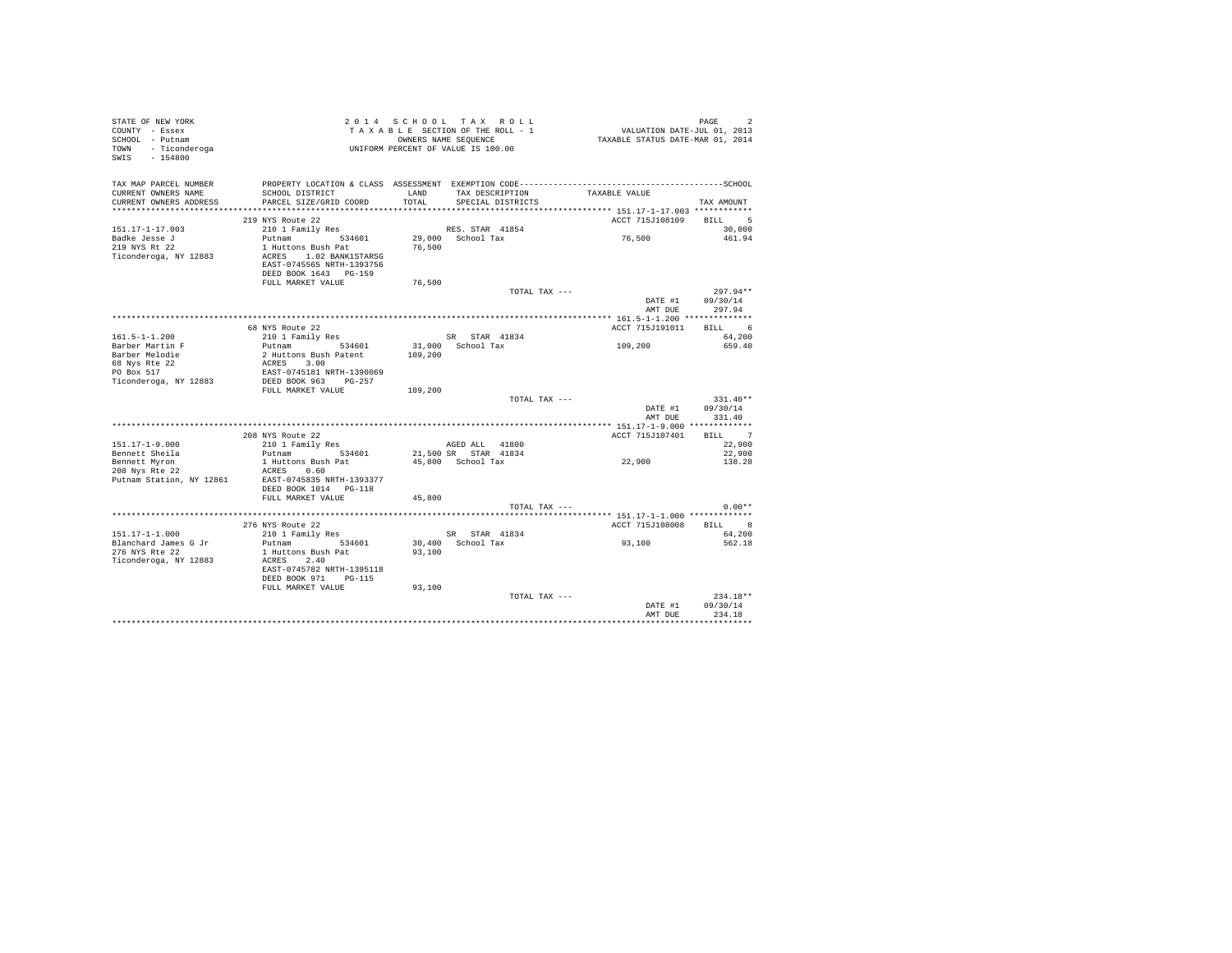| STATE OF NEW YORK               | 2014 SCHOOL TAX ROLL<br>TAXABL SECTION OF THE ROLL - 1<br>ONNERS NAME SEQUENCE<br>UNIFORM PERCENT OF VALUE IS 100.00 |         |                      | PAGE 2<br>VALUATION DATE-JUL 01, 2013<br>TAXABLE STATUS DATE-MAR 01, 2014 |            |
|---------------------------------|----------------------------------------------------------------------------------------------------------------------|---------|----------------------|---------------------------------------------------------------------------|------------|
| COUNTY - Essex                  |                                                                                                                      |         |                      |                                                                           |            |
| SCHOOL - Putnam                 |                                                                                                                      |         |                      |                                                                           |            |
| TOWN<br>- Ticonderoga           |                                                                                                                      |         |                      |                                                                           |            |
| SWIS - 154800                   |                                                                                                                      |         |                      |                                                                           |            |
|                                 |                                                                                                                      |         |                      |                                                                           |            |
|                                 |                                                                                                                      |         |                      |                                                                           |            |
| TAX MAP PARCEL NUMBER           |                                                                                                                      |         |                      |                                                                           |            |
| CURRENT OWNERS NAME             | SCHOOL DISTRICT                                                                                                      | LAND    | TAX DESCRIPTION      | TAXABLE VALUE                                                             |            |
| CURRENT OWNERS ADDRESS          | PARCEL SIZE/GRID COORD                                                                                               | TOTAL   | SPECIAL DISTRICTS    |                                                                           | TAX AMOUNT |
|                                 |                                                                                                                      |         |                      |                                                                           |            |
|                                 | 219 NYS Route 22                                                                                                     |         |                      | ACCT 715J108109                                                           | BILL 5     |
| $151.17 - 1 - 17.003$           | 210 1 Family Res                                                                                                     |         | RES. STAR 41854      |                                                                           | 30,000     |
|                                 | Putnam 534601                                                                                                        |         |                      | 76,500                                                                    |            |
| Badke Jesse J                   |                                                                                                                      |         | 29,000 School Tax    |                                                                           | 461.94     |
| 219 NYS Rt 22                   | 1 Huttons Bush Pat                                                                                                   | 76.500  |                      |                                                                           |            |
| Ticonderoga, NY 12883           | ACRES 1.02 BANK1STARSG                                                                                               |         |                      |                                                                           |            |
|                                 | EAST-0745565 NRTH-1393756                                                                                            |         |                      |                                                                           |            |
|                                 | DEED BOOK 1643 PG-159                                                                                                |         |                      |                                                                           |            |
|                                 | FULL MARKET VALUE                                                                                                    | 76,500  |                      |                                                                           |            |
|                                 |                                                                                                                      |         | TOTAL TAX ---        |                                                                           | $297.94**$ |
|                                 |                                                                                                                      |         |                      | DATE #1                                                                   | 09/30/14   |
|                                 |                                                                                                                      |         |                      | AMT DUE                                                                   | 297.94     |
|                                 |                                                                                                                      |         |                      |                                                                           |            |
|                                 | 68 NYS Route 22                                                                                                      |         |                      | ACCT 715J191011                                                           | BILL 6     |
| $161.5 - 1 - 1.200$             | 210 1 Family Res                                                                                                     |         | SR STAR 41834        |                                                                           | 64,200     |
|                                 |                                                                                                                      |         | 31,000 School Tax    | 109,200                                                                   |            |
| Barber Martin F                 | Putnam 534601                                                                                                        |         |                      |                                                                           | 659.40     |
| Barber Melodie                  | 2 Huttons Bush Patent                                                                                                | 109,200 |                      |                                                                           |            |
| 68 Nys Rte 22                   | ACRES 3.00                                                                                                           |         |                      |                                                                           |            |
| PO Box 517                      | EAST-0745181 NRTH-1390069                                                                                            |         |                      |                                                                           |            |
| Ticonderoga, NY 12883           | DEED BOOK 963 PG-257                                                                                                 |         |                      |                                                                           |            |
|                                 | FULL MARKET VALUE                                                                                                    | 109,200 |                      |                                                                           |            |
|                                 |                                                                                                                      |         | TOTAL TAX ---        |                                                                           | $331.40**$ |
|                                 |                                                                                                                      |         |                      | DATE #1                                                                   | 09/30/14   |
|                                 |                                                                                                                      |         |                      | AMT DUE                                                                   | 331.40     |
|                                 |                                                                                                                      |         |                      |                                                                           |            |
|                                 | 208 NYS Route 22                                                                                                     |         |                      | ACCT 715J107401                                                           | BILL 7     |
| $151.17 - 1 - 9.000$            | 210 1 Family Res                                                                                                     |         | AGED ALL 41800       |                                                                           | 22,900     |
| Bennett Sheila                  | Putnam 534601                                                                                                        |         | 21,500 SR STAR 41834 |                                                                           | 22,900     |
|                                 | 1 Huttons Bush Pat                                                                                                   |         | 45.800 School Tax    | 22,900                                                                    | 138.28     |
| Bennett Myron<br>208 Nys Rte 22 |                                                                                                                      |         |                      |                                                                           |            |
|                                 | ACRES 0.60                                                                                                           |         |                      |                                                                           |            |
| Putnam Station, NY 12861        | EAST-0745835 NRTH-1393377                                                                                            |         |                      |                                                                           |            |
|                                 | DEED BOOK 1014 PG-118                                                                                                |         |                      |                                                                           |            |
|                                 | FULL MARKET VALUE                                                                                                    | 45,800  |                      |                                                                           |            |
|                                 |                                                                                                                      |         | TOTAL TAX ---        |                                                                           | $0.00**$   |
|                                 |                                                                                                                      |         |                      | ************ 151.17-1-1.000 *************                                 |            |
|                                 | 276 NYS Route 22<br>76 NYS Route 22<br>210 1 Family Res                                                              |         |                      | ACCT 715J108008                                                           | BILL 8     |
| $151.17 - 1 - 1.000$            |                                                                                                                      |         | SR STAR 41834        |                                                                           | 64,200     |
| Blanchard James G Jr            | Putnam 534601                                                                                                        |         | 30,400 School Tax    | 93,100                                                                    | 562.18     |
| 276 NYS Rte 22                  | 1 Huttons Bush Pat                                                                                                   | 93,100  |                      |                                                                           |            |
| Ticonderoga, NY 12883           | ACRES 2.40                                                                                                           |         |                      |                                                                           |            |
|                                 | EAST-0745782 NRTH-1395118                                                                                            |         |                      |                                                                           |            |
|                                 |                                                                                                                      |         |                      |                                                                           |            |
|                                 | DEED BOOK 971 PG-115                                                                                                 |         |                      |                                                                           |            |
|                                 | FULL MARKET VALUE                                                                                                    | 93,100  |                      |                                                                           |            |
|                                 |                                                                                                                      |         | TOTAL TAX ---        |                                                                           | $234.18**$ |
|                                 |                                                                                                                      |         |                      | DATE #1                                                                   | 09/30/14   |
|                                 |                                                                                                                      |         |                      | AMT DUE                                                                   | 234.18     |
|                                 |                                                                                                                      |         |                      |                                                                           |            |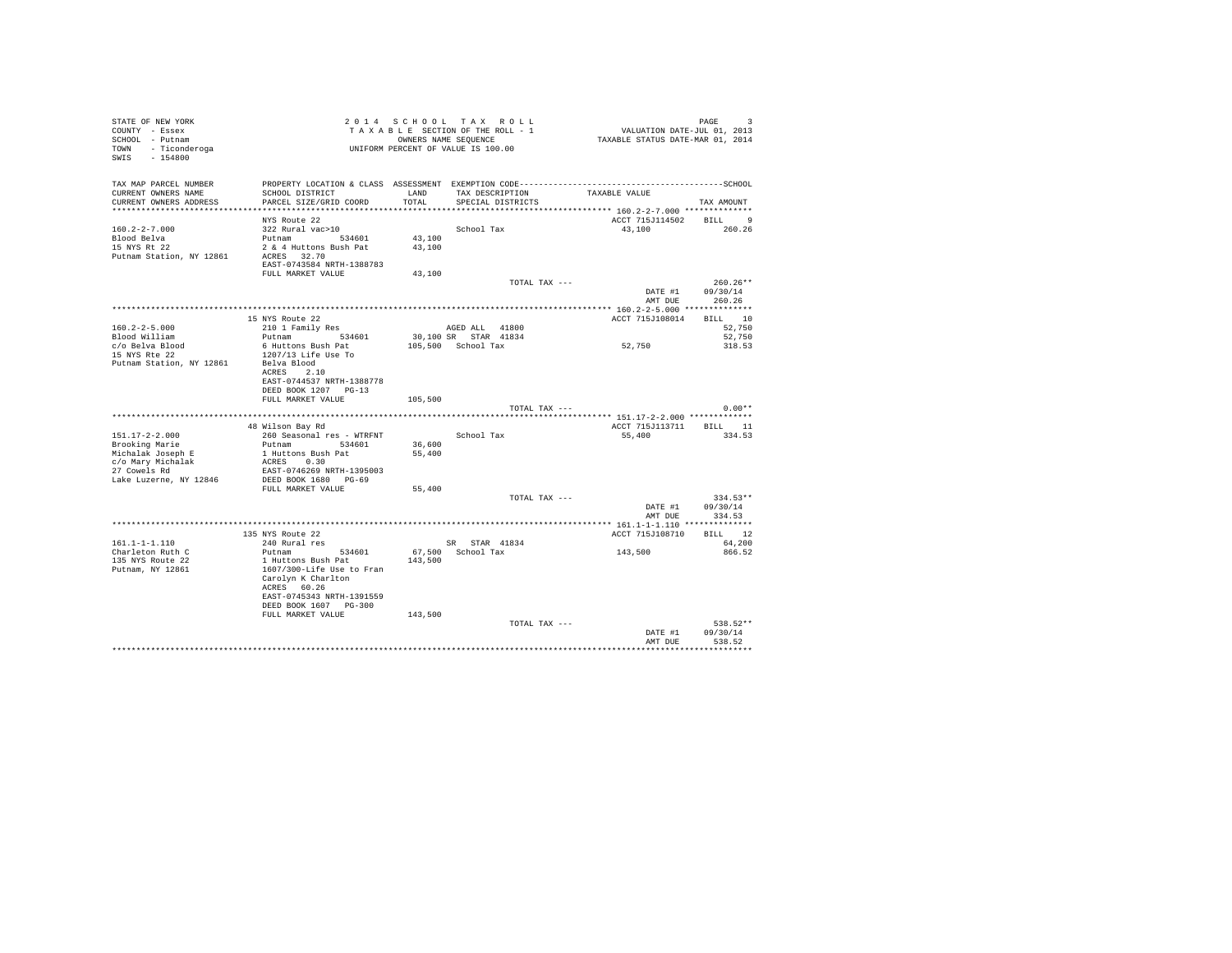| STATE OF NEW YORK<br>COUNTY - Essex<br>SCHOOL - Putnam<br>TOWN - Ticonderoga<br>SWIS - 154800 |                                                 |         | 2014 SCHOOL TAX ROLL<br>TAXABLE SECTION OF THE ROLL - 1<br>OWNERS NAME SEQUENCE<br>UNIFORM PERCENT OF VALUE IS 100.00 | VALUATION DATE-JUL 01, 2013<br>TAXABLE STATUS DATE-MAR 01, 2014 | PAGE<br>3                    |
|-----------------------------------------------------------------------------------------------|-------------------------------------------------|---------|-----------------------------------------------------------------------------------------------------------------------|-----------------------------------------------------------------|------------------------------|
|                                                                                               |                                                 |         |                                                                                                                       |                                                                 |                              |
| TAX MAP PARCEL NUMBER                                                                         |                                                 |         |                                                                                                                       |                                                                 |                              |
| CURRENT OWNERS NAME                                                                           | SCHOOL DISTRICT                                 | LAND    | TAX DESCRIPTION TAXABLE VALUE                                                                                         |                                                                 |                              |
| CURRENT OWNERS ADDRESS                                                                        | PARCEL SIZE/GRID COORD                          | TOTAL   | SPECIAL DISTRICTS                                                                                                     |                                                                 | TAX AMOUNT                   |
|                                                                                               | NYS Route 22                                    |         |                                                                                                                       | ACCT 715J114502 BILL 9                                          |                              |
| $160.2 - 2 - 7.000$                                                                           | 322 Rural vac>10                                |         | School Tax                                                                                                            | 43,100                                                          | 260.26                       |
| Blood Belva                                                                                   | Putnam 534601                                   | 43,100  |                                                                                                                       |                                                                 |                              |
| 15 NYS Rt 22                                                                                  | 2 & 4 Huttons Bush Pat                          | 43,100  |                                                                                                                       |                                                                 |                              |
| Putnam Station, NY 12861                                                                      | ACRES 32.70                                     |         |                                                                                                                       |                                                                 |                              |
|                                                                                               | EAST-0743584 NRTH-1388783                       |         |                                                                                                                       |                                                                 |                              |
|                                                                                               | FULL MARKET VALUE                               | 43,100  |                                                                                                                       |                                                                 |                              |
|                                                                                               |                                                 |         | TOTAL TAX ---                                                                                                         | DATE #1                                                         | $260.26**$<br>09/30/14       |
|                                                                                               |                                                 |         |                                                                                                                       | AMT DUE                                                         | 260.26                       |
|                                                                                               |                                                 |         |                                                                                                                       |                                                                 |                              |
|                                                                                               | 15 NYS Route 22                                 |         |                                                                                                                       | ACCT 715J108014 BILL 10                                         |                              |
| $160.2 - 2 - 5.000$                                                                           | 210 1 Family Res                                |         | AGED ALL 41800                                                                                                        |                                                                 | 52,750                       |
| Blood William                                                                                 | 534601<br>Putnam                                |         | 30,100 SR STAR 41834                                                                                                  |                                                                 | 52,750                       |
| c/o Belva Blood                                                                               | 6 Huttons Bush Pat                              |         | 105,500 School Tax                                                                                                    | 52,750                                                          | 318.53                       |
| 15 NYS Rte 22<br>Putnam Station, NY 12861                                                     | 1207/13 Life Use To<br>Belva Blood              |         |                                                                                                                       |                                                                 |                              |
|                                                                                               | ACRES 2.10                                      |         |                                                                                                                       |                                                                 |                              |
|                                                                                               | EAST-0744537 NRTH-1388778                       |         |                                                                                                                       |                                                                 |                              |
|                                                                                               | DEED BOOK 1207 PG-13                            |         |                                                                                                                       |                                                                 |                              |
|                                                                                               | FULL MARKET VALUE                               | 105,500 |                                                                                                                       |                                                                 |                              |
|                                                                                               |                                                 |         | TOTAL TAX ---                                                                                                         |                                                                 | $0.00**$                     |
|                                                                                               | 48 Wilson Bav Rd                                |         |                                                                                                                       | ACCT 715J113711 BILL 11                                         |                              |
| $151.17 - 2 - 2.000$                                                                          | 260 Seasonal res - WTRFNT                       |         | School Tax                                                                                                            | 55,400                                                          | 334.53                       |
| Brooking Marie                                                                                | Putnam 534601                                   | 36,600  |                                                                                                                       |                                                                 |                              |
| Michalak Joseph E                                                                             | 1 Huttons Bush Pat                              | 55,400  |                                                                                                                       |                                                                 |                              |
| c/o Mary Michalak                                                                             | ACRES 0.30                                      |         |                                                                                                                       |                                                                 |                              |
| 27 Cowels Rd                                                                                  | EAST-0746269 NRTH-1395003                       |         |                                                                                                                       |                                                                 |                              |
| Lake Luzerne, NY 12846                                                                        | DEED BOOK 1680 PG-69                            |         |                                                                                                                       |                                                                 |                              |
|                                                                                               | FULL MARKET VALUE                               | 55,400  | TOTAL TAX ---                                                                                                         |                                                                 |                              |
|                                                                                               |                                                 |         |                                                                                                                       |                                                                 | 334.53**<br>DATE #1 09/30/14 |
|                                                                                               |                                                 |         |                                                                                                                       | AMT DUE                                                         | 334.53                       |
|                                                                                               |                                                 |         |                                                                                                                       |                                                                 |                              |
|                                                                                               | 135 NYS Route 22                                |         |                                                                                                                       | ACCT 715J108710                                                 | BILL 12                      |
| $161.1 - 1 - 1.110$                                                                           | 240 Rural res                                   |         | SR STAR 41834                                                                                                         |                                                                 | 64.200                       |
| Charleton Ruth C                                                                              | Putnam 534601                                   |         | 67,500 School Tax                                                                                                     | 143,500                                                         | 866.52                       |
| 135 NYS Route 22<br>Putnam, NY 12861                                                          | 1 Huttons Bush Pat<br>1607/300-Life Use to Fran | 143,500 |                                                                                                                       |                                                                 |                              |
|                                                                                               | Carolyn K Charlton                              |         |                                                                                                                       |                                                                 |                              |
|                                                                                               | ACRES 60.26                                     |         |                                                                                                                       |                                                                 |                              |
|                                                                                               | EAST-0745343 NRTH-1391559                       |         |                                                                                                                       |                                                                 |                              |
|                                                                                               | DEED BOOK 1607 PG-300                           |         |                                                                                                                       |                                                                 |                              |
|                                                                                               | FULL MARKET VALUE                               | 143,500 |                                                                                                                       |                                                                 |                              |
|                                                                                               |                                                 |         | TOTAL TAX ---                                                                                                         |                                                                 | 538.52**                     |
|                                                                                               |                                                 |         |                                                                                                                       | DATE #1<br>AMT DUE                                              | 09/30/14<br>538.52           |
|                                                                                               |                                                 |         |                                                                                                                       |                                                                 |                              |
|                                                                                               |                                                 |         |                                                                                                                       |                                                                 |                              |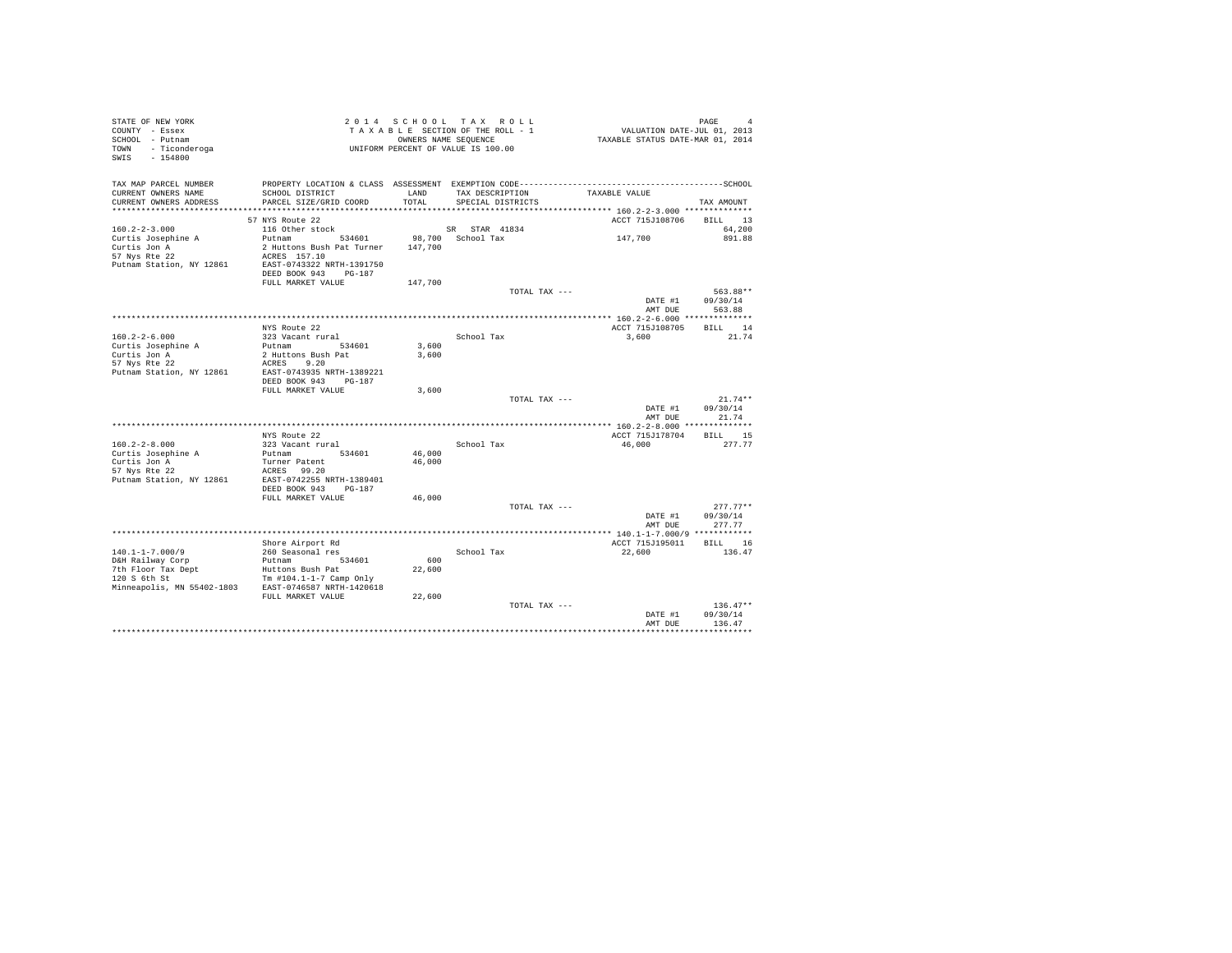| STATE OF NEW YORK<br>COUNTY - Essex<br>SCHOOL - Putnam<br>TOWN<br>- Ticonderoga<br>$-154800$<br>SWIS |                                                   | OWNERS NAME SEQUENCE | 2014 SCHOOL TAX ROLL<br>TAXABLE SECTION OF THE ROLL - 1<br>UNIFORM PERCENT OF VALUE IS 100.00 | VALUATION DATE-JUL 01, 2013<br>TAXABLE STATUS DATE-MAR 01, 2014 | PAGE<br>$\overline{a}$ |
|------------------------------------------------------------------------------------------------------|---------------------------------------------------|----------------------|-----------------------------------------------------------------------------------------------|-----------------------------------------------------------------|------------------------|
|                                                                                                      |                                                   |                      |                                                                                               |                                                                 |                        |
| TAX MAP PARCEL NUMBER<br>CURRENT OWNERS NAME<br>CURRENT OWNERS ADDRESS                               | SCHOOL DISTRICT<br>PARCEL SIZE/GRID COORD         | LAND<br>TOTAL.       | TAX DESCRIPTION<br>SPECIAL DISTRICTS                                                          | TAXABLE VALUE                                                   | TAX AMOUNT             |
| *************************                                                                            |                                                   |                      |                                                                                               |                                                                 |                        |
|                                                                                                      | 57 NYS Route 22                                   |                      |                                                                                               | ACCT 715J108706                                                 | BILL 13                |
| $160.2 - 2 - 3.000$<br>Curtis Josephine A                                                            | 116 Other stock<br>Putnam<br>534601               |                      | SR STAR 41834<br>98,700 School Tax                                                            | 147,700                                                         | 64,200<br>891.88       |
| Curtis Jon A                                                                                         | 2 Huttons Bush Pat Turner                         | 147,700              |                                                                                               |                                                                 |                        |
| 57 Nys Rte 22                                                                                        | ACRES 157.10                                      |                      |                                                                                               |                                                                 |                        |
| Putnam Station, NY 12861                                                                             | EAST-0743322 NRTH-1391750<br>DEED BOOK 943 PG-187 |                      |                                                                                               |                                                                 |                        |
|                                                                                                      | FULL MARKET VALUE                                 | 147,700              |                                                                                               |                                                                 |                        |
|                                                                                                      |                                                   |                      | TOTAL TAX ---                                                                                 | DATE #1<br>AMT DUE                                              | 563.88**<br>09/30/14   |
|                                                                                                      |                                                   |                      |                                                                                               |                                                                 | 563.88                 |
|                                                                                                      | NYS Route 22                                      |                      |                                                                                               | ACCT 715J108705                                                 | BILL 14                |
| $160.2 - 2 - 6.000$                                                                                  | 323 Vacant rural                                  |                      | School Tax                                                                                    | 3,600                                                           | 21.74                  |
| Curtis Josephine A                                                                                   | Putnam 534601                                     | 3,600                |                                                                                               |                                                                 |                        |
| Curtis Jon A                                                                                         | 2 Huttons Bush Pat                                | 3,600                |                                                                                               |                                                                 |                        |
| 57 Nys Rte 22<br>Putnam Station, NY 12861                                                            | ACRES 9.20<br>EAST-0743935 NRTH-1389221           |                      |                                                                                               |                                                                 |                        |
|                                                                                                      | DEED BOOK 943 PG-187                              |                      |                                                                                               |                                                                 |                        |
|                                                                                                      | FULL MARKET VALUE                                 | 3,600                |                                                                                               |                                                                 |                        |
|                                                                                                      |                                                   |                      | TOTAL TAX ---                                                                                 |                                                                 | $21.74**$              |
|                                                                                                      |                                                   |                      |                                                                                               | DATE #1<br>AMT DUE                                              | 09/30/14<br>21.74      |
|                                                                                                      |                                                   |                      |                                                                                               |                                                                 |                        |
|                                                                                                      | NYS Route 22                                      |                      |                                                                                               | ACCT 715J178704                                                 | BILL 15                |
| $160.2 - 2 - 8.000$                                                                                  | 323 Vacant rural                                  |                      | School Tax                                                                                    | 46,000                                                          | 277.77                 |
| Curtis Josephine A<br>Curtis Jon A                                                                   | 534601<br>Putnam<br>Turner Patent                 | 46,000<br>46,000     |                                                                                               |                                                                 |                        |
| 57 Nys Rte 22                                                                                        | ACRES 99.20                                       |                      |                                                                                               |                                                                 |                        |
| Putnam Station, NY 12861                                                                             | EAST-0742255 NRTH-1389401                         |                      |                                                                                               |                                                                 |                        |
|                                                                                                      | DEED BOOK 943<br>$PG-187$                         |                      |                                                                                               |                                                                 |                        |
|                                                                                                      | FULL MARKET VALUE                                 | 46,000               |                                                                                               |                                                                 |                        |
|                                                                                                      |                                                   |                      | TOTAL TAX ---                                                                                 | DATE #1                                                         | $277.77**$<br>09/30/14 |
|                                                                                                      |                                                   |                      |                                                                                               | AMT DUE                                                         | 277.77                 |
|                                                                                                      |                                                   |                      |                                                                                               |                                                                 |                        |
|                                                                                                      | Shore Airport Rd                                  |                      |                                                                                               | ACCT 715J195011                                                 | BILL 16                |
| $140.1 - 1 - 7.000/9$                                                                                | 260 Seasonal res<br>534601                        | 600                  | School Tax                                                                                    | 22,600                                                          | 136.47                 |
| D&H Railway Corp<br>7th Floor Tax Dept                                                               | Putnam<br>Huttons Bush Pat                        | 22,600               |                                                                                               |                                                                 |                        |
| 120 S 6th St                                                                                         | Tm $#104.1-1-7$ Camp Only                         |                      |                                                                                               |                                                                 |                        |
| Minneapolis, MN 55402-1803                                                                           | EAST-0746587 NRTH-1420618                         |                      |                                                                                               |                                                                 |                        |
|                                                                                                      | FULL MARKET VALUE                                 | 22,600               |                                                                                               |                                                                 |                        |
|                                                                                                      |                                                   |                      | TOTAL TAX ---                                                                                 |                                                                 | $136.47**$             |
|                                                                                                      |                                                   |                      |                                                                                               | DATE #1<br>AMT DUE                                              | 09/30/14<br>136.47     |
|                                                                                                      |                                                   |                      |                                                                                               |                                                                 |                        |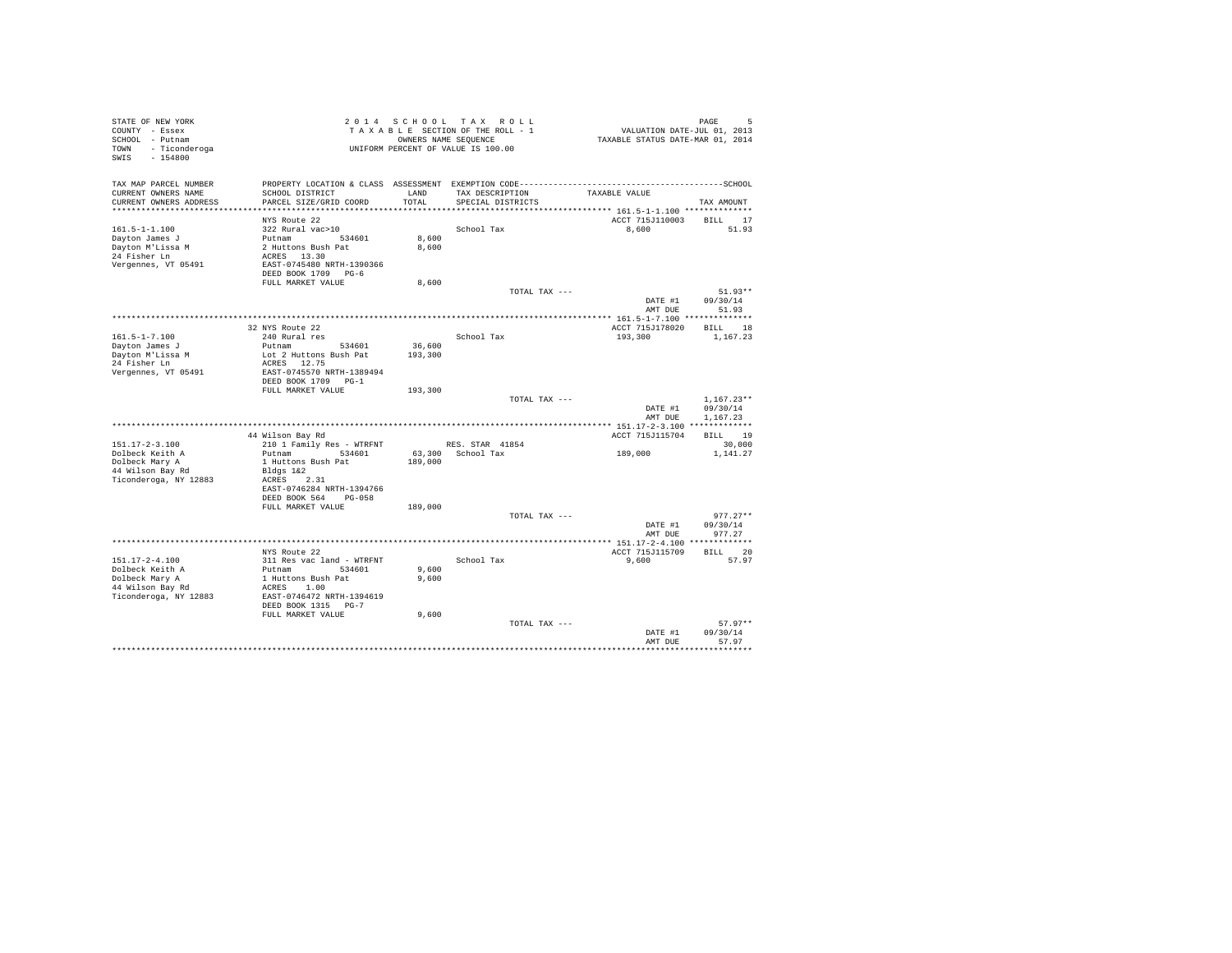| STATE OF NEW YORK<br>COUNTY - Essex<br>SCHOOL - Putnam<br>TOWN - Ticonderoga<br>SWIS<br>$-154800$ |                                                                                              |         | 2014 SCHOOL TAX ROLL<br>TAXABLE SECTION OF THE ROLL - 1<br>OWNERS NAME SEQUENCE<br>UNIFORM PERCENT OF VALUE IS 100.00 | VALUATION DATE-JUL 01, 2013<br>TAXABLE STATUS DATE-MAR 01, 2014 | PAGE<br>5             |
|---------------------------------------------------------------------------------------------------|----------------------------------------------------------------------------------------------|---------|-----------------------------------------------------------------------------------------------------------------------|-----------------------------------------------------------------|-----------------------|
| TAX MAP PARCEL NUMBER                                                                             | PROPERTY LOCATION & CLASS ASSESSMENT EXEMPTION CODE-----------------------------------SCHOOL |         |                                                                                                                       |                                                                 |                       |
| CURRENT OWNERS NAME                                                                               | SCHOOL DISTRICT                                                                              | LAND    | TAX DESCRIPTION                                                                                                       | TAXABLE VALUE                                                   |                       |
| CURRENT OWNERS ADDRESS                                                                            | PARCEL SIZE/GRID COORD                                                                       | TOTAL.  | SPECIAL DISTRICTS                                                                                                     |                                                                 | TAX AMOUNT            |
|                                                                                                   | NYS Route 22                                                                                 |         |                                                                                                                       | ACCT 715J110003                                                 |                       |
| $161.5 - 1 - 1.100$                                                                               | 322 Rural vac>10                                                                             |         | School Tax                                                                                                            | 8,600                                                           | BILL 17<br>51.93      |
| Dayton James J                                                                                    | Putnam 534601                                                                                | 8,600   |                                                                                                                       |                                                                 |                       |
| Dayton M'Lissa M                                                                                  | 2 Huttons Bush Pat                                                                           | 8,600   |                                                                                                                       |                                                                 |                       |
| 24 Fisher Ln                                                                                      | ACRES 13.30                                                                                  |         |                                                                                                                       |                                                                 |                       |
| Vergennes, VT 05491                                                                               | EAST-0745480 NRTH-1390366                                                                    |         |                                                                                                                       |                                                                 |                       |
|                                                                                                   | DEED BOOK 1709 PG-6                                                                          |         |                                                                                                                       |                                                                 |                       |
|                                                                                                   | FULL MARKET VALUE                                                                            | 8,600   |                                                                                                                       |                                                                 |                       |
|                                                                                                   |                                                                                              |         | TOTAL TAX ---                                                                                                         | DATE #1                                                         | $51.93**$<br>09/30/14 |
|                                                                                                   |                                                                                              |         |                                                                                                                       | AMT DUE                                                         | 51.93                 |
|                                                                                                   |                                                                                              |         |                                                                                                                       |                                                                 |                       |
|                                                                                                   | 32 NYS Route 22                                                                              |         |                                                                                                                       | ACCT 715J178020                                                 | BILL 18               |
| $161.5 - 1 - 7.100$                                                                               | 240 Rural res                                                                                |         | School Tax                                                                                                            | 193,300                                                         | 1,167.23              |
| Dayton James J                                                                                    | Putnam 534601                                                                                | 36,600  |                                                                                                                       |                                                                 |                       |
| Dayton M'Lissa M                                                                                  | Lot 2 Huttons Bush Pat                                                                       | 193,300 |                                                                                                                       |                                                                 |                       |
| 24 Fisher Ln                                                                                      | ACRES 12.75                                                                                  |         |                                                                                                                       |                                                                 |                       |
| Vergennes, VT 05491                                                                               | EAST-0745570 NRTH-1389494                                                                    |         |                                                                                                                       |                                                                 |                       |
|                                                                                                   | DEED BOOK 1709 PG-1<br>FULL MARKET VALUE                                                     | 193,300 |                                                                                                                       |                                                                 |                       |
|                                                                                                   |                                                                                              |         | TOTAL TAX ---                                                                                                         |                                                                 | $1,167.23**$          |
|                                                                                                   |                                                                                              |         |                                                                                                                       | DATE #1                                                         | 09/30/14              |
|                                                                                                   |                                                                                              |         |                                                                                                                       | AMT DUE                                                         | 1,167.23              |
|                                                                                                   |                                                                                              |         |                                                                                                                       |                                                                 |                       |
|                                                                                                   | 44 Wilson Bay Rd                                                                             |         |                                                                                                                       | ACCT 715J115704                                                 | BILL 19               |
| $151.17 - 2 - 3.100$                                                                              | 210 1 Family Res - WTRFNT                                                                    |         | RES. STAR 41854                                                                                                       |                                                                 | 30,000                |
| Dolbeck Keith A                                                                                   | Putnam 534601                                                                                |         | 63,300 School Tax                                                                                                     | 189,000                                                         | 1,141.27              |
| Dolbeck Mary A                                                                                    | 1 Huttons Bush Pat                                                                           | 189,000 |                                                                                                                       |                                                                 |                       |
| 44 Wilson Bay Rd<br>Ticonderoga, NY 12883                                                         | Bldgs 1&2<br>ACRES 2.31                                                                      |         |                                                                                                                       |                                                                 |                       |
|                                                                                                   | EAST-0746284 NRTH-1394766                                                                    |         |                                                                                                                       |                                                                 |                       |
|                                                                                                   | DEED BOOK 564 PG-058                                                                         |         |                                                                                                                       |                                                                 |                       |
|                                                                                                   | FULL MARKET VALUE                                                                            | 189,000 |                                                                                                                       |                                                                 |                       |
|                                                                                                   |                                                                                              |         | TOTAL TAX ---                                                                                                         |                                                                 | $977.27**$            |
|                                                                                                   |                                                                                              |         |                                                                                                                       | DATE #1                                                         | 09/30/14              |
|                                                                                                   |                                                                                              |         |                                                                                                                       | AMT DUE                                                         | 977.27                |
|                                                                                                   | NYS Route 22                                                                                 |         |                                                                                                                       | ****** 151.17-2-4.100 *************<br>ACCT 715J115709          | BILL 20               |
| $151.17 - 2 - 4.100$                                                                              | 311 Res vac land - WTRFNT                                                                    |         | School Tax                                                                                                            | 9,600                                                           | 57.97                 |
| Dolbeck Keith A                                                                                   | Putnam 534601                                                                                | 9,600   |                                                                                                                       |                                                                 |                       |
| Dolbeck Mary A                                                                                    | 1 Huttons Bush Pat                                                                           | 9,600   |                                                                                                                       |                                                                 |                       |
| 44 Wilson Bay Rd                                                                                  | ACRES 1.00                                                                                   |         |                                                                                                                       |                                                                 |                       |
| Ticonderoga, NY 12883                                                                             | EAST-0746472 NRTH-1394619                                                                    |         |                                                                                                                       |                                                                 |                       |
|                                                                                                   | DEED BOOK 1315 PG-7                                                                          |         |                                                                                                                       |                                                                 |                       |
|                                                                                                   | FULL MARKET VALUE                                                                            | 9,600   |                                                                                                                       |                                                                 |                       |
|                                                                                                   |                                                                                              |         | TOTAL TAX ---                                                                                                         |                                                                 | $57.97**$             |
|                                                                                                   |                                                                                              |         |                                                                                                                       | DATE #1<br>AMT DUE                                              | 09/30/14<br>57.97     |
|                                                                                                   |                                                                                              |         |                                                                                                                       |                                                                 |                       |
|                                                                                                   |                                                                                              |         |                                                                                                                       |                                                                 |                       |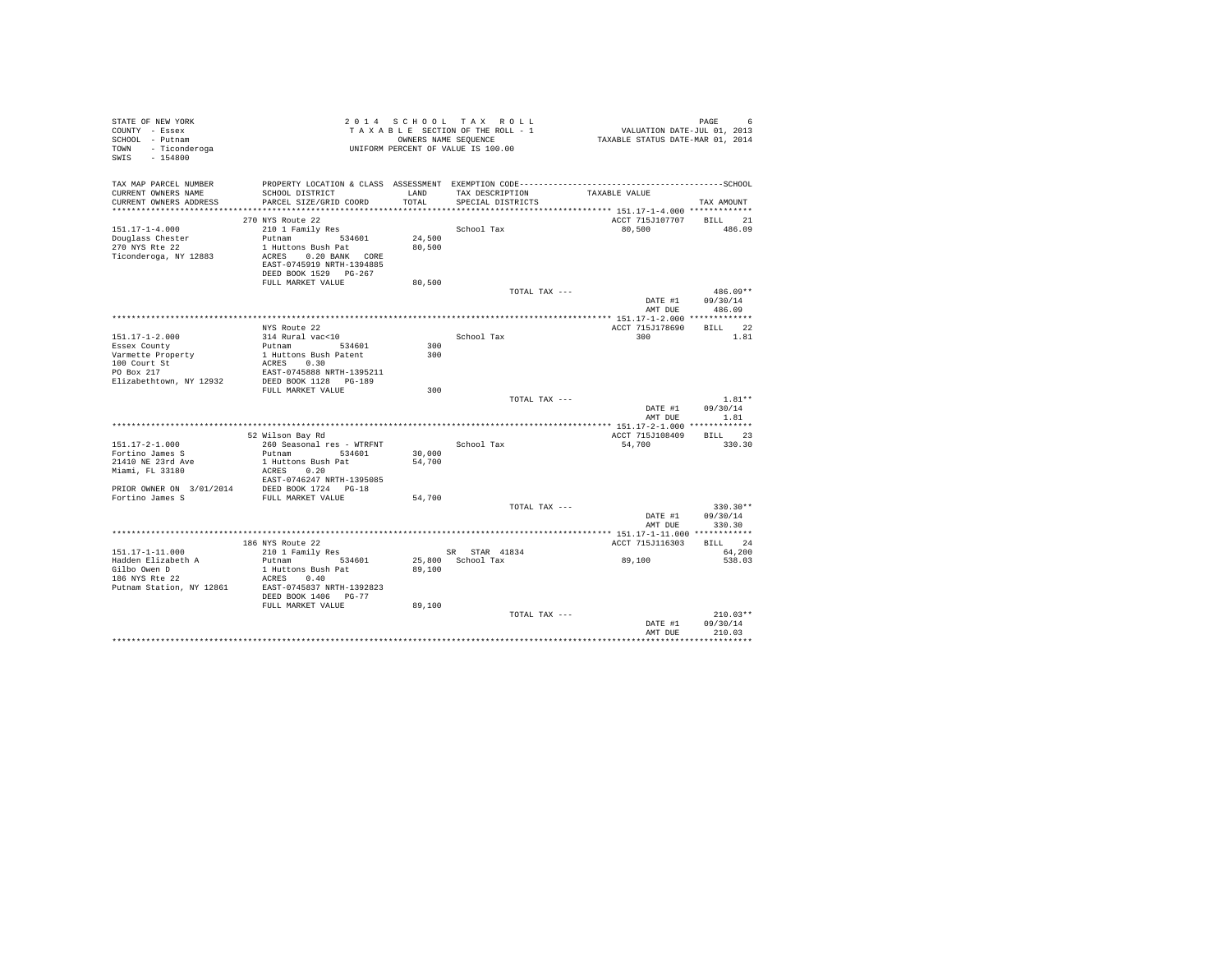| STATE OF NEW YORK<br>COUNTY - Essex<br>SCHOOL - Putnam<br>TOWN - Ticonderoga<br>SWIS - 154800                                                                                                | 2014 SCHOOL TAX ROLL<br>TAXABLE SECTION OF THE ROLL - 1<br>ONNERS NAME SEQUENCE<br>UNIFORM PERCENT OF VALUE IS 100.00 |        | OWNERS NAME SEQUENCE | PAGE 6<br>VALUATION DATE-JUL 01, 2013<br>TAXABLE STATUS DATE-MAR 01, 2014 |                                |
|----------------------------------------------------------------------------------------------------------------------------------------------------------------------------------------------|-----------------------------------------------------------------------------------------------------------------------|--------|----------------------|---------------------------------------------------------------------------|--------------------------------|
| TAX MAP PARCEL NUMBER PROPERTY LOCATION & CLASS ASSESSMENT EXEMPTION CODE----------------------------------SCHOOL<br>CURRENT OWNERS NAME                                                     | SCHOOL DISTRICT LAND                                                                                                  |        | TAX DESCRIPTION      | TAXABLE VALUE                                                             |                                |
| CURRENT OWNERS ADDRESS                                                                                                                                                                       | PARCEL SIZE/GRID COORD                                                                                                | TOTAL  | SPECIAL DISTRICTS    |                                                                           | TAX AMOUNT                     |
|                                                                                                                                                                                              | 270 NYS Route 22                                                                                                      |        |                      | ACCT 715J107707 BILL 21                                                   |                                |
| 151.17-1-4.000                                                                                                                                                                               | 210 1 Family Res                                                                                                      |        | School Tax           | 80,500                                                                    | 486.09                         |
| Douglass Chester                                                                                                                                                                             | Putnam 534601                                                                                                         | 24,500 |                      |                                                                           |                                |
| 270 NYS Rte 22                                                                                                                                                                               | 1 Huttons Bush Pat                                                                                                    | 80,500 |                      |                                                                           |                                |
| Ticonderoga, NY 12883                                                                                                                                                                        | ACRES 0.20 BANK CORE<br>EAST-0745919 NRTH-1394885<br>DEED BOOK 1529 PG-267                                            |        |                      |                                                                           |                                |
|                                                                                                                                                                                              | FULL MARKET VALUE                                                                                                     | 80,500 |                      |                                                                           |                                |
|                                                                                                                                                                                              |                                                                                                                       |        | TOTAL TAX ---        |                                                                           | $486.09**$<br>DATE #1 09/30/14 |
|                                                                                                                                                                                              |                                                                                                                       |        |                      |                                                                           | AMT DUE 486.09                 |
|                                                                                                                                                                                              | NYS Route 22                                                                                                          |        |                      | ACCT 715J178690                                                           | BILL 22                        |
| 151.17-1-2.000                                                                                                                                                                               | 314 Rural vac<10                                                                                                      |        | School Tax           | 300                                                                       | 1.81                           |
| Essex County                                                                                                                                                                                 | Putnam 534601<br>1 Huttons Bush Patent                                                                                | 300    |                      |                                                                           |                                |
| Varmette Property                                                                                                                                                                            |                                                                                                                       | 300    |                      |                                                                           |                                |
| 100 Court St                                                                                                                                                                                 | ACRES 0.30                                                                                                            |        |                      |                                                                           |                                |
| PO Box 217                                                                                                                                                                                   | EAST-0745888 NRTH-1395211                                                                                             |        |                      |                                                                           |                                |
| Elizabethtown, NY 12932                                                                                                                                                                      | DEED BOOK 1128 PG-189<br>FULL MARKET VALUE                                                                            | 300    |                      |                                                                           |                                |
|                                                                                                                                                                                              |                                                                                                                       |        | TOTAL TAX ---        |                                                                           | $1.81**$                       |
|                                                                                                                                                                                              |                                                                                                                       |        |                      | DATE #1<br>AMT DUE                                                        | 09/30/14<br>1.81               |
|                                                                                                                                                                                              |                                                                                                                       |        |                      |                                                                           |                                |
|                                                                                                                                                                                              | 52 Wilson Bay Rd                                                                                                      |        |                      | ACCT 715J108409                                                           | BILL 23                        |
| 151.17-2-1.000                                                                                                                                                                               | 260 Seasonal res - WTRFNT                                                                                             |        | School Tax           | 54,700                                                                    | 330.30                         |
| Fortino James S                                                                                                                                                                              | Putnam 534601                                                                                                         | 30,000 |                      |                                                                           |                                |
| 21410 NE 23rd Ave<br>Miami, FL 33180                                                                                                                                                         | 1 Huttons Bush Pat<br>ACRES 0.20                                                                                      | 54,700 |                      |                                                                           |                                |
|                                                                                                                                                                                              | EAST-0746247 NRTH-1395085                                                                                             |        |                      |                                                                           |                                |
|                                                                                                                                                                                              |                                                                                                                       |        |                      |                                                                           |                                |
| $\begin{tabular}{lllll} \bf PRIOR & \tt ONNER & \tt ON & 3/01/2014 & & \tt DEED BOOK & 1724 & PG-18 \\ \bf Fort: \tt non-James & \tt S & \tt FULL & \tt MARKET & \tt VALUE \\ \end{tabular}$ |                                                                                                                       | 54,700 |                      |                                                                           |                                |
|                                                                                                                                                                                              |                                                                                                                       |        | TOTAL TAX ---        |                                                                           | 330.30**                       |
|                                                                                                                                                                                              |                                                                                                                       |        |                      | DATE #1<br>AMT DUE                                                        | 09/30/14<br>330.30             |
|                                                                                                                                                                                              |                                                                                                                       |        |                      |                                                                           |                                |
|                                                                                                                                                                                              | 186 NYS Route 22                                                                                                      |        |                      | ACCT 715J116303                                                           | BILL 24                        |
| 151.17-1-11.000                                                                                                                                                                              | 210 1 Family Res                                                                                                      |        | SR STAR 41834        |                                                                           | 64,200                         |
| Hadden Elizabeth A<br>Gilbo Owen D<br>186 NYS Rte 22                                                                                                                                         | Putnam 534601<br>1 Huttons Bush Pat<br>ACRES 0.40                                                                     | 89,100 | 25,800 School Tax    | 89,100                                                                    | 538.03                         |
| Putnam Station, NY 12861                                                                                                                                                                     | EAST-0745837 NRTH-1392823                                                                                             |        |                      |                                                                           |                                |
|                                                                                                                                                                                              | DEED BOOK 1406 PG-77<br>FULL MARKET VALUE                                                                             | 89,100 |                      |                                                                           |                                |
|                                                                                                                                                                                              |                                                                                                                       |        | TOTAL TAX ---        |                                                                           | $210.03**$                     |
|                                                                                                                                                                                              |                                                                                                                       |        |                      | DATE #1                                                                   | 09/30/14                       |
|                                                                                                                                                                                              |                                                                                                                       |        |                      | AMT DUE                                                                   | 210.03                         |
|                                                                                                                                                                                              |                                                                                                                       |        |                      |                                                                           |                                |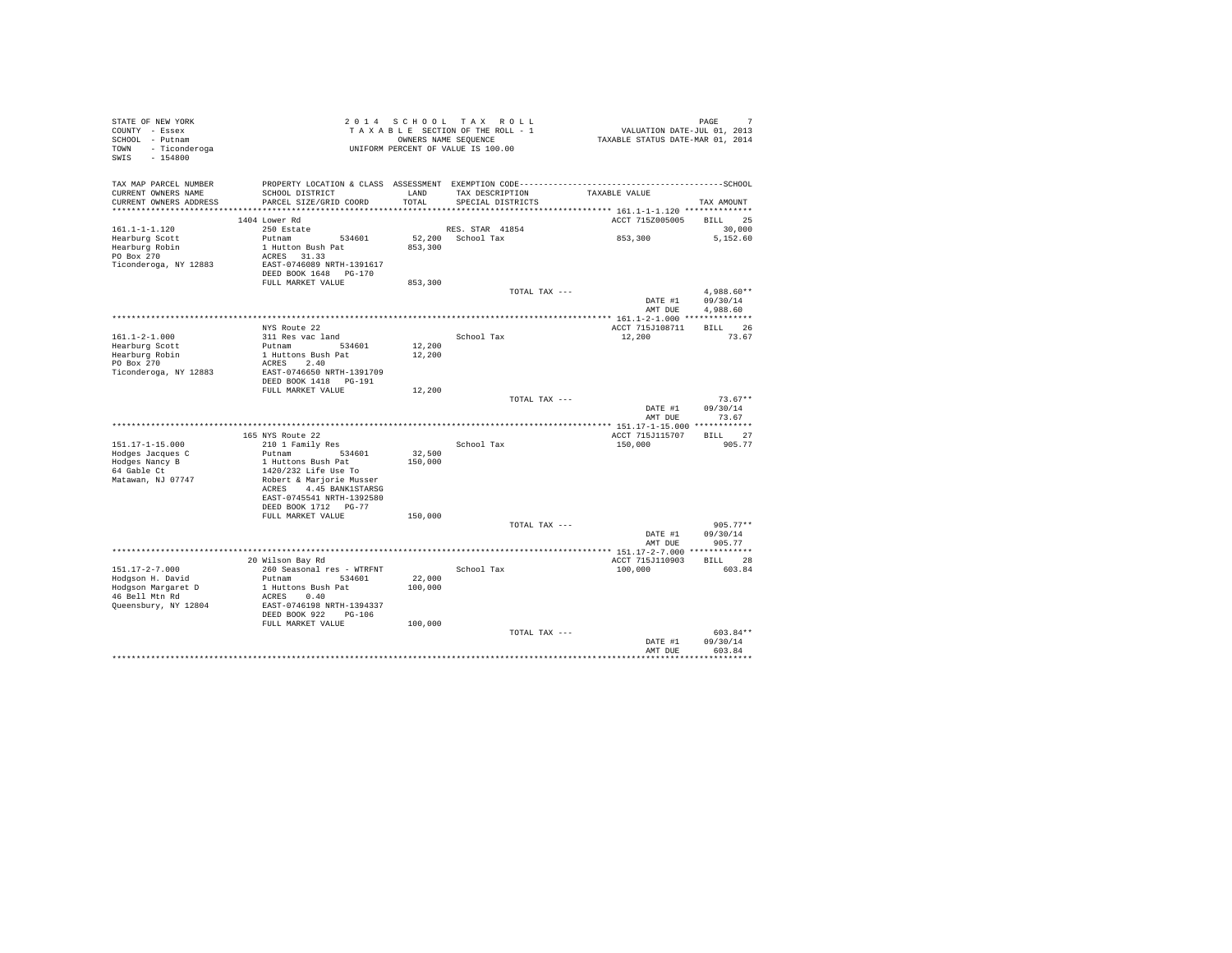| STATE OF NEW YORK<br>COUNTY - Essex<br>SCHOOL - Putnam<br>TOWN - Ticonderoga<br>SWIS<br>$-154800$ |                                                    | 2014 SCHOOL   | TAX ROLL<br>TAXABLE SECTION OF THE ROLL - 1<br>OWNERS NAME SEQUENCE<br>UNIFORM PERCENT OF VALUE IS 100.00 | PAGE 7<br>VALUATION DATE-JUL 01, 2013<br>TAXABLE STATUS DATE-MAR 01, 2014 | PAGE<br>7              |
|---------------------------------------------------------------------------------------------------|----------------------------------------------------|---------------|-----------------------------------------------------------------------------------------------------------|---------------------------------------------------------------------------|------------------------|
| TAX MAP PARCEL NUMBER                                                                             |                                                    |               |                                                                                                           |                                                                           |                        |
| CURRENT OWNERS NAME<br>CURRENT OWNERS ADDRESS                                                     | SCHOOL DISTRICT<br>PARCEL SIZE/GRID COORD          | LAND<br>TOTAL | TAX DESCRIPTION<br>SPECIAL DISTRICTS                                                                      | TAXABLE VALUE                                                             | TAX AMOUNT             |
|                                                                                                   |                                                    |               |                                                                                                           |                                                                           |                        |
|                                                                                                   | 1404 Lower Rd                                      |               |                                                                                                           | ACCT 7152005005                                                           | BILL 25                |
| $161.1 - 1 - 1.120$                                                                               | 250 Estate                                         |               | RES. STAR 41854                                                                                           |                                                                           | 30,000                 |
| Hearburg Scott                                                                                    | Putnam 534601                                      |               | 52,200 School Tax                                                                                         | 853,300                                                                   | 5,152.60               |
| Hearburg Robin                                                                                    | 1 Hutton Bush Pat                                  | 853,300       |                                                                                                           |                                                                           |                        |
| PO Box 270                                                                                        | ACRES 31.33                                        |               |                                                                                                           |                                                                           |                        |
| Ticonderoga, NY 12883                                                                             | EAST-0746089 NRTH-1391617<br>DEED BOOK 1648 PG-170 |               |                                                                                                           |                                                                           |                        |
|                                                                                                   | FULL MARKET VALUE                                  | 853,300       |                                                                                                           |                                                                           |                        |
|                                                                                                   |                                                    |               | TOTAL TAX ---                                                                                             | DATE #1                                                                   | 4.988.60**<br>09/30/14 |
|                                                                                                   |                                                    |               |                                                                                                           | AMT DUE                                                                   | 4.988.60               |
|                                                                                                   |                                                    |               |                                                                                                           |                                                                           |                        |
|                                                                                                   | NYS Route 22                                       |               |                                                                                                           | ACCT 715J108711                                                           | BILL 26                |
| $161.1 - 2 - 1.000$                                                                               | 311 Res vac land                                   |               | School Tax                                                                                                | 12,200                                                                    | 73.67                  |
| Hearburg Scott                                                                                    | Putnam 534601                                      | 12,200        |                                                                                                           |                                                                           |                        |
| Hearburg Robin<br>PO Box 270                                                                      | 1 Huttons Bush Pat<br>ACRES 2.40                   | 12,200        |                                                                                                           |                                                                           |                        |
| Ticonderoga, NY 12883                                                                             | EAST-0746650 NRTH-1391709                          |               |                                                                                                           |                                                                           |                        |
|                                                                                                   | DEED BOOK 1418 PG-191<br>FULL MARKET VALUE         | 12,200        |                                                                                                           |                                                                           |                        |
|                                                                                                   |                                                    |               | TOTAL TAX ---                                                                                             |                                                                           | $73.67**$              |
|                                                                                                   |                                                    |               |                                                                                                           | DATE #1<br>AMT DUE                                                        | 09/30/14<br>73.67      |
|                                                                                                   |                                                    |               |                                                                                                           |                                                                           |                        |
| 151.17-1-15.000                                                                                   | 165 NYS Route 22<br>210 1 Family Res               |               | School Tax                                                                                                | ACCT 715J115707<br>150,000                                                | BILL 27<br>905.77      |
| Hodges Jacques C                                                                                  | Putnam 534601                                      | 32,500        |                                                                                                           |                                                                           |                        |
| Hodges Nancy B                                                                                    | 1 Huttons Bush Pat                                 | 150,000       |                                                                                                           |                                                                           |                        |
| 64 Gable Ct                                                                                       | 1420/232 Life Use To                               |               |                                                                                                           |                                                                           |                        |
| Matawan, NJ 07747                                                                                 | Robert & Marjorie Musser                           |               |                                                                                                           |                                                                           |                        |
|                                                                                                   | ACRES 4.45 BANK1STARSG                             |               |                                                                                                           |                                                                           |                        |
|                                                                                                   | EAST-0745541 NRTH-1392580                          |               |                                                                                                           |                                                                           |                        |
|                                                                                                   | DEED BOOK 1712 PG-77                               |               |                                                                                                           |                                                                           |                        |
|                                                                                                   | FULL MARKET VALUE                                  | 150,000       |                                                                                                           |                                                                           |                        |
|                                                                                                   |                                                    |               | TOTAL TAX ---                                                                                             |                                                                           | $905.77**$             |
|                                                                                                   |                                                    |               |                                                                                                           | DATE #1                                                                   | 09/30/14               |
|                                                                                                   |                                                    |               |                                                                                                           | AMT DUE                                                                   | 905.77                 |
| $151.17 - 2 - 7.000$                                                                              | 20 Wilson Bay Rd                                   |               | School Tax                                                                                                | ACCT 715J110903                                                           | BILL 28<br>603.84      |
|                                                                                                   | 260 Seasonal res - WTRFNT<br>Putnam 534601         | 22,000        |                                                                                                           | 100,000                                                                   |                        |
| Hodgson H. David<br>Hodgson Margaret D                                                            | 1 Huttons Bush Pat                                 | 100,000       |                                                                                                           |                                                                           |                        |
| 46 Bell Mtn Rd                                                                                    | ACRES 0.40                                         |               |                                                                                                           |                                                                           |                        |
| Queensbury, NY 12804                                                                              | EAST-0746198 NRTH-1394337                          |               |                                                                                                           |                                                                           |                        |
|                                                                                                   | DEED BOOK 922<br>$PG-106$                          |               |                                                                                                           |                                                                           |                        |
|                                                                                                   | FULL MARKET VALUE                                  | 100,000       |                                                                                                           |                                                                           |                        |
|                                                                                                   |                                                    |               |                                                                                                           |                                                                           |                        |
|                                                                                                   |                                                    |               | TOTAL TAX ---                                                                                             |                                                                           | 603.84**               |
|                                                                                                   |                                                    |               |                                                                                                           | DATE #1                                                                   | 09/30/14               |
|                                                                                                   |                                                    |               |                                                                                                           | AMT DUE                                                                   | 603.84                 |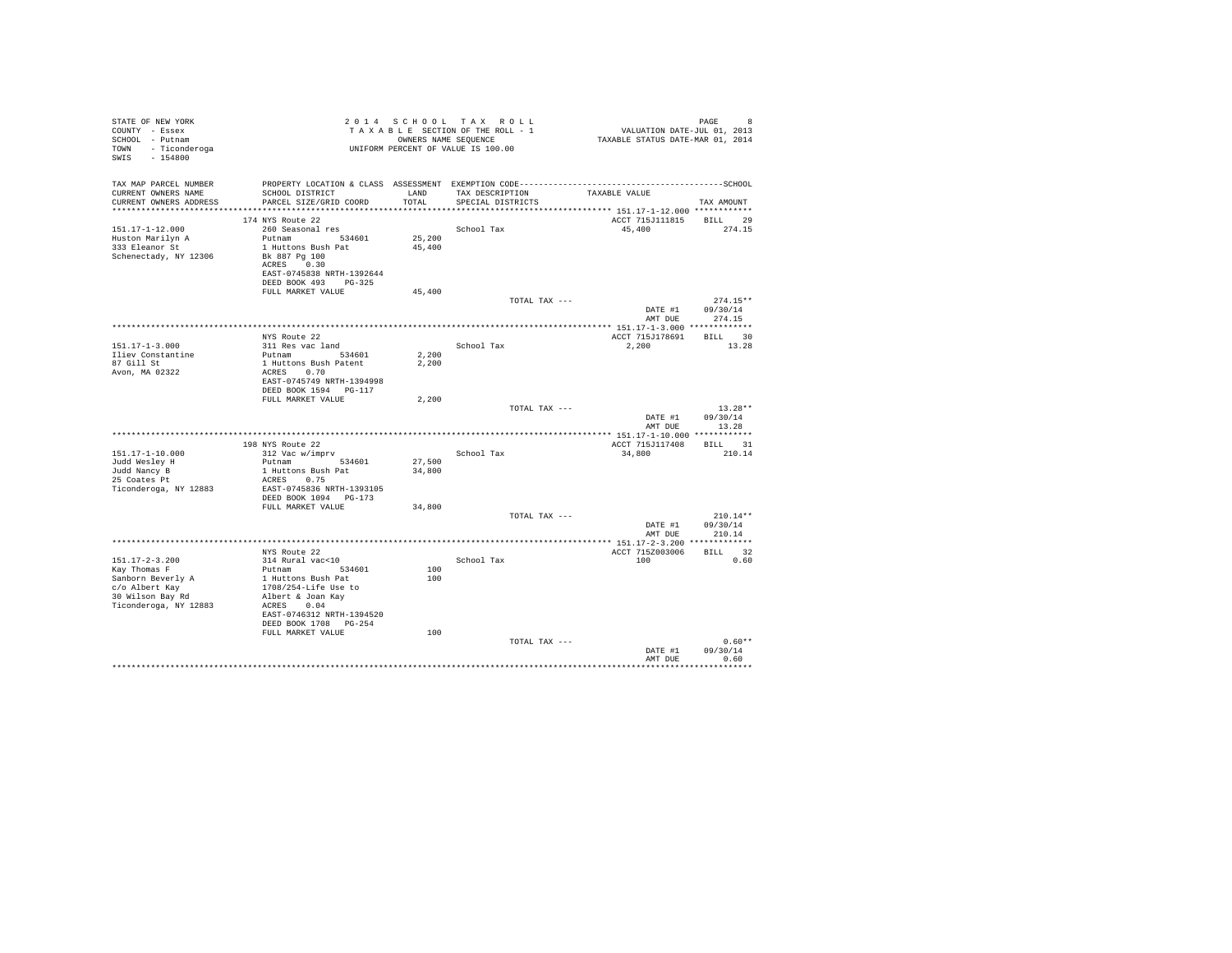| STATE OF NEW YORK<br>COUNTY - Essex<br>SCHOOL - Putnam<br>TOWN - Ticonderoga |                                                    |        | 2014 SCHOOL TAX ROLL<br>TAXABLE SECTION OF THE ROLL - 1<br>OWNERS NAME SEQUENCE<br>UNIFORM PERCENT OF VALUE IS 100.00 | VALUATION DATE-JUL 01, 2013<br>TAXABLE STATUS DATE-MAR 01, 2014 | PAGE<br>8        |
|------------------------------------------------------------------------------|----------------------------------------------------|--------|-----------------------------------------------------------------------------------------------------------------------|-----------------------------------------------------------------|------------------|
| SWIS - 154800                                                                |                                                    |        |                                                                                                                       |                                                                 |                  |
| TAX MAP PARCEL NUMBER                                                        |                                                    |        |                                                                                                                       |                                                                 |                  |
| CURRENT OWNERS NAME                                                          | SCHOOL DISTRICT                                    |        | LAND TAX DESCRIPTION                                                                                                  | TAXABLE VALUE                                                   |                  |
| CURRENT OWNERS ADDRESS                                                       | PARCEL SIZE/GRID COORD                             | TOTAL  | SPECIAL DISTRICTS                                                                                                     |                                                                 | TAX AMOUNT       |
|                                                                              | 174 NYS Route 22                                   |        |                                                                                                                       | ACCT 715J111815 BILL 29                                         |                  |
| 151.17-1-12.000                                                              | 260 Seasonal res                                   |        | School Tax                                                                                                            | 45,400                                                          | 274.15           |
| Huston Marilyn A<br>333 Eleanor St                                           | Putnam 534601                                      | 25,200 |                                                                                                                       |                                                                 |                  |
|                                                                              | 1 Huttons Bush Pat                                 | 45,400 |                                                                                                                       |                                                                 |                  |
| Schenectady, NY 12306                                                        | Bk 887 Pa 100                                      |        |                                                                                                                       |                                                                 |                  |
|                                                                              | ACRES 0.30<br>EAST-0745838 NRTH-1392644            |        |                                                                                                                       |                                                                 |                  |
|                                                                              | DEED BOOK 493 PG-325                               |        |                                                                                                                       |                                                                 |                  |
|                                                                              | FULL MARKET VALUE                                  | 45,400 |                                                                                                                       |                                                                 |                  |
|                                                                              |                                                    |        | TOTAL TAX ---                                                                                                         |                                                                 | $274.15**$       |
|                                                                              |                                                    |        |                                                                                                                       |                                                                 | DATE #1 09/30/14 |
|                                                                              |                                                    |        |                                                                                                                       |                                                                 | AMT DUE 274.15   |
|                                                                              | NYS Route 22                                       |        |                                                                                                                       | ACCT 715J178691                                                 | BILL 30          |
| 151.17-1-3.000                                                               | 311 Res vac land                                   |        | School Tax                                                                                                            | 2,200                                                           | 13.28            |
| Iliev Constantine                                                            | Putnam 534601<br>1 Huttons Bush Patent             | 2,200  |                                                                                                                       |                                                                 |                  |
| 87 Gill St                                                                   |                                                    | 2,200  |                                                                                                                       |                                                                 |                  |
| Avon, MA 02322                                                               | ACRES 0.70                                         |        |                                                                                                                       |                                                                 |                  |
|                                                                              | EAST-0745749 NRTH-1394998<br>DEED BOOK 1594 PG-117 |        |                                                                                                                       |                                                                 |                  |
|                                                                              | FULL MARKET VALUE                                  | 2,200  |                                                                                                                       |                                                                 |                  |
|                                                                              |                                                    |        | TOTAL TAX ---                                                                                                         |                                                                 | $13.28**$        |
|                                                                              |                                                    |        |                                                                                                                       | DATE #1                                                         | 09/30/14         |
|                                                                              |                                                    |        |                                                                                                                       | AMT DUE                                                         | 13.28            |
|                                                                              | 198 NYS Route 22                                   |        |                                                                                                                       | ACCT 715J117408 BILL 31                                         |                  |
| 151.17-1-10.000                                                              | 312 Vac w/imprv                                    |        | School Tax                                                                                                            | 34,800                                                          | 210.14           |
| Judd Wesley H                                                                | Putnam 534601                                      | 27,500 |                                                                                                                       |                                                                 |                  |
| Judd Nancy B                                                                 | 1 Huttons Bush Pat                                 | 34,800 |                                                                                                                       |                                                                 |                  |
| 25 Coates Pt                                                                 | ACRES 0.75                                         |        |                                                                                                                       |                                                                 |                  |
| Ticonderoga, NY 12883                                                        | EAST-0745836 NRTH-1393105<br>DEED BOOK 1094 PG-173 |        |                                                                                                                       |                                                                 |                  |
|                                                                              | FULL MARKET VALUE                                  | 34,800 |                                                                                                                       |                                                                 |                  |
|                                                                              |                                                    |        | TOTAL TAX ---                                                                                                         |                                                                 | $210.14**$       |
|                                                                              |                                                    |        |                                                                                                                       |                                                                 | DATE #1 09/30/14 |
|                                                                              |                                                    |        |                                                                                                                       |                                                                 | AMT DUE 210.14   |
|                                                                              | NYS Route 22                                       |        |                                                                                                                       | ACCT 715Z003006                                                 | BILL 32          |
| $151.17 - 2 - 3.200$                                                         | 314 Rural vac<10                                   |        | School Tax                                                                                                            | 100                                                             | 0.60             |
| Kay Thomas F                                                                 | Putnam 534601                                      | 100    |                                                                                                                       |                                                                 |                  |
| Sanborn Beverly A                                                            | 1 Huttons Bush Pat                                 | 100    |                                                                                                                       |                                                                 |                  |
| c/o Albert Kay<br>30 Wilson Bay Rd                                           | 1708/254-Life Use to<br>Albert & Joan Kay          |        |                                                                                                                       |                                                                 |                  |
| Ticonderoga, NY 12883                                                        | ACRES 0.04                                         |        |                                                                                                                       |                                                                 |                  |
|                                                                              | EAST-0746312 NRTH-1394520                          |        |                                                                                                                       |                                                                 |                  |
|                                                                              | DEED BOOK 1708 PG-254                              |        |                                                                                                                       |                                                                 |                  |
|                                                                              | FULL MARKET VALUE                                  | 100    |                                                                                                                       |                                                                 |                  |
|                                                                              |                                                    |        | TOTAL TAX ---                                                                                                         |                                                                 | $0.60**$         |
|                                                                              |                                                    |        |                                                                                                                       | DATE #1<br>AMT DUE                                              | 09/30/14<br>0.60 |
|                                                                              |                                                    |        |                                                                                                                       |                                                                 | ***********      |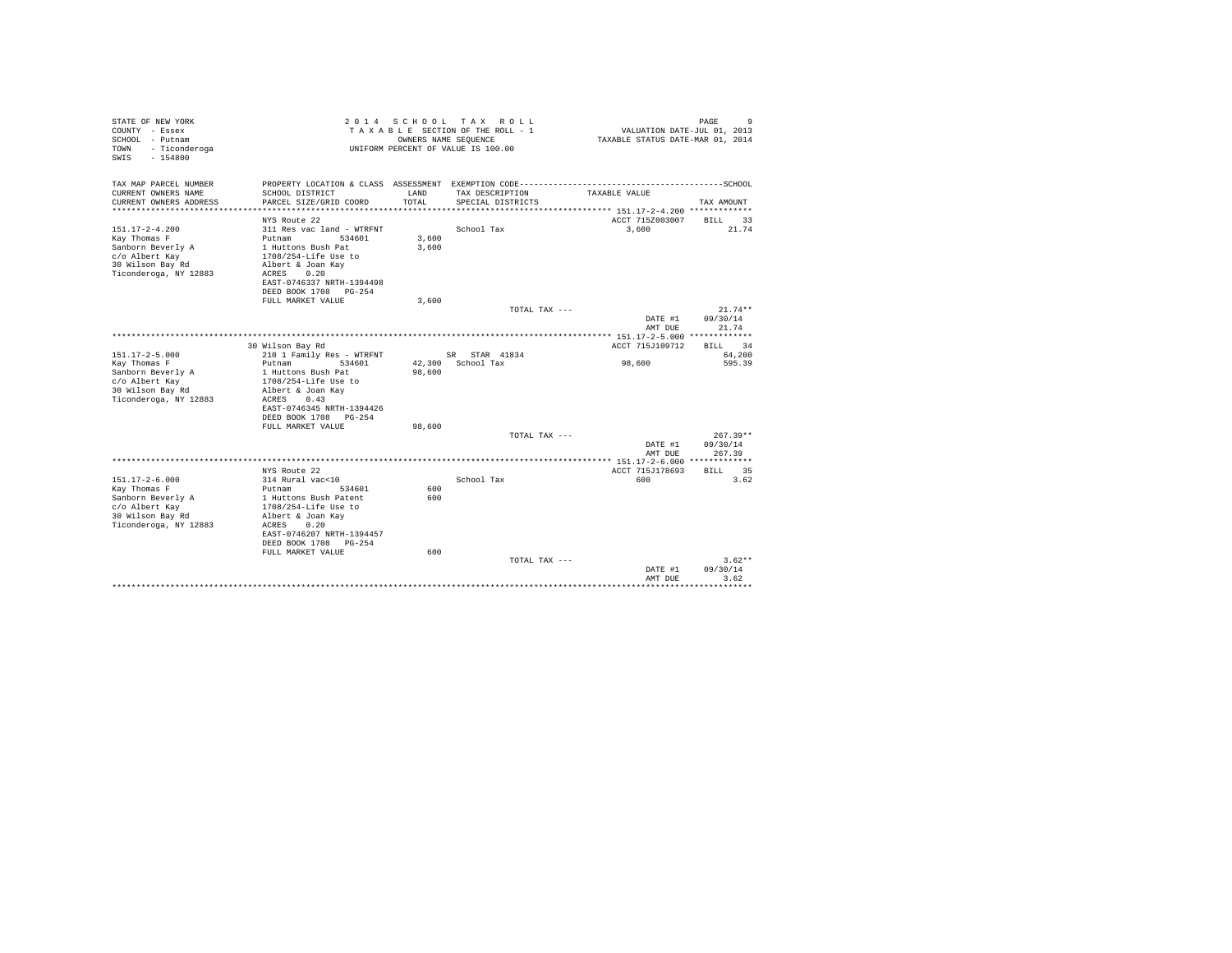| STATE OF NEW YORK<br>COUNTY - Essex<br>SCHOOL - Putnam<br>- Ticonderoga<br>TOWN<br>$-154800$<br>SWIS |                                           |        | 2014 SCHOOL TAX ROLL<br>TAXABLE SECTION OF THE ROLL - 1<br>OWNERS NAME SEQUENCE<br>UNIFORM PERCENT OF VALUE IS 100.00 | VALUATION DATE-JUL 01, 2013<br>TAXABLE STATUS DATE-MAR 01, 2014                              | 9<br>PAGE          |
|------------------------------------------------------------------------------------------------------|-------------------------------------------|--------|-----------------------------------------------------------------------------------------------------------------------|----------------------------------------------------------------------------------------------|--------------------|
| TAX MAP PARCEL NUMBER<br>CURRENT OWNERS NAME                                                         | SCHOOL DISTRICT                           | LAND   | TAX DESCRIPTION                                                                                                       | PROPERTY LOCATION & CLASS ASSESSMENT EXEMPTION CODE-----------------------------------SCHOOL |                    |
| CURRENT OWNERS ADDRESS                                                                               | PARCEL SIZE/GRID COORD                    | TOTAL  | SPECIAL DISTRICTS                                                                                                     | TAXABLE VALUE                                                                                | TAX AMOUNT         |
| *********************                                                                                | ****************************              |        |                                                                                                                       |                                                                                              |                    |
|                                                                                                      | NYS Route 22                              |        |                                                                                                                       | ACCT 7152003007                                                                              | BILL<br>33         |
| $151.17 - 2 - 4.200$                                                                                 | 311 Res vac land - WTRFNT                 |        | School Tax                                                                                                            | 3,600                                                                                        | 21.74              |
| Kay Thomas F                                                                                         | Putnam 534601                             | 3,600  |                                                                                                                       |                                                                                              |                    |
| Sanborn Beverly A                                                                                    | 1 Huttons Bush Pat                        | 3,600  |                                                                                                                       |                                                                                              |                    |
| c/o Albert Kay<br>30 Wilson Bay Rd                                                                   | 1708/254-Life Use to<br>Albert & Joan Kay |        |                                                                                                                       |                                                                                              |                    |
| Ticonderoga, NY 12883                                                                                | ACRES<br>0.20                             |        |                                                                                                                       |                                                                                              |                    |
|                                                                                                      | EAST-0746337 NRTH-1394498                 |        |                                                                                                                       |                                                                                              |                    |
|                                                                                                      | DEED BOOK 1708 PG-254                     |        |                                                                                                                       |                                                                                              |                    |
|                                                                                                      | FULL MARKET VALUE                         | 3,600  |                                                                                                                       |                                                                                              |                    |
|                                                                                                      |                                           |        | TOTAL TAX ---                                                                                                         |                                                                                              | $21.74**$          |
|                                                                                                      |                                           |        |                                                                                                                       | DATE #1                                                                                      | 09/30/14           |
|                                                                                                      |                                           |        |                                                                                                                       | AMT DUE                                                                                      | 21.74              |
|                                                                                                      |                                           |        |                                                                                                                       |                                                                                              |                    |
|                                                                                                      | 30 Wilson Bay Rd                          |        |                                                                                                                       | ACCT 715J109712                                                                              | RTLL 34            |
| $151.17 - 2 - 5.000$                                                                                 | 210 1 Family Res - WTRFNT                 |        | SR STAR 41834                                                                                                         |                                                                                              | 64,200             |
| Kay Thomas F                                                                                         | Putnam<br>534601                          |        | 42.300 School Tax                                                                                                     | 98,600                                                                                       | 595.39             |
| Sanborn Beverly A                                                                                    | 1 Huttons Bush Pat                        | 98,600 |                                                                                                                       |                                                                                              |                    |
| c/o Albert Kav                                                                                       | 1708/254-Life Use to                      |        |                                                                                                                       |                                                                                              |                    |
| 30 Wilson Bay Rd                                                                                     | Albert & Joan Kav                         |        |                                                                                                                       |                                                                                              |                    |
| Ticonderoga, NY 12883                                                                                | ACRES<br>0.43                             |        |                                                                                                                       |                                                                                              |                    |
|                                                                                                      | EAST-0746345 NRTH-1394426                 |        |                                                                                                                       |                                                                                              |                    |
|                                                                                                      | DEED BOOK 1708 PG-254                     |        |                                                                                                                       |                                                                                              |                    |
|                                                                                                      | FULL MARKET VALUE                         | 98,600 |                                                                                                                       |                                                                                              |                    |
|                                                                                                      |                                           |        | TOTAL TAX ---                                                                                                         |                                                                                              | $267.39**$         |
|                                                                                                      |                                           |        |                                                                                                                       | DATE #1<br>AMT DUE                                                                           | 09/30/14<br>267.39 |
|                                                                                                      |                                           |        |                                                                                                                       |                                                                                              |                    |
|                                                                                                      | NYS Route 22                              |        |                                                                                                                       | ACCT 715J178693                                                                              | BILL 35            |
| $151.17 - 2 - 6.000$                                                                                 | 314 Rural vac<10                          |        | School Tax                                                                                                            | 600                                                                                          | 3.62               |
| Kay Thomas F                                                                                         | Putnam<br>534601                          | 600    |                                                                                                                       |                                                                                              |                    |
| Sanborn Beverly A                                                                                    | 1 Huttons Bush Patent                     | 600    |                                                                                                                       |                                                                                              |                    |
| c/o Albert Kay                                                                                       | 1708/254-Life Use to                      |        |                                                                                                                       |                                                                                              |                    |
| 30 Wilson Bay Rd                                                                                     | Albert & Joan Kay                         |        |                                                                                                                       |                                                                                              |                    |
| Ticonderoga, NY 12883                                                                                | 0.20<br>ACRES                             |        |                                                                                                                       |                                                                                              |                    |
|                                                                                                      | EAST-0746207 NRTH-1394457                 |        |                                                                                                                       |                                                                                              |                    |
|                                                                                                      | DEED BOOK 1708<br>$PG-254$                |        |                                                                                                                       |                                                                                              |                    |
|                                                                                                      | FULL MARKET VALUE                         | 600    |                                                                                                                       |                                                                                              |                    |
|                                                                                                      |                                           |        | TOTAL TAX ---                                                                                                         |                                                                                              | $3.62**$           |
|                                                                                                      |                                           |        |                                                                                                                       | DATE #1                                                                                      | 09/30/14           |
|                                                                                                      |                                           |        |                                                                                                                       | AMT DUE                                                                                      | 3.62               |
|                                                                                                      |                                           |        |                                                                                                                       | ****************************                                                                 |                    |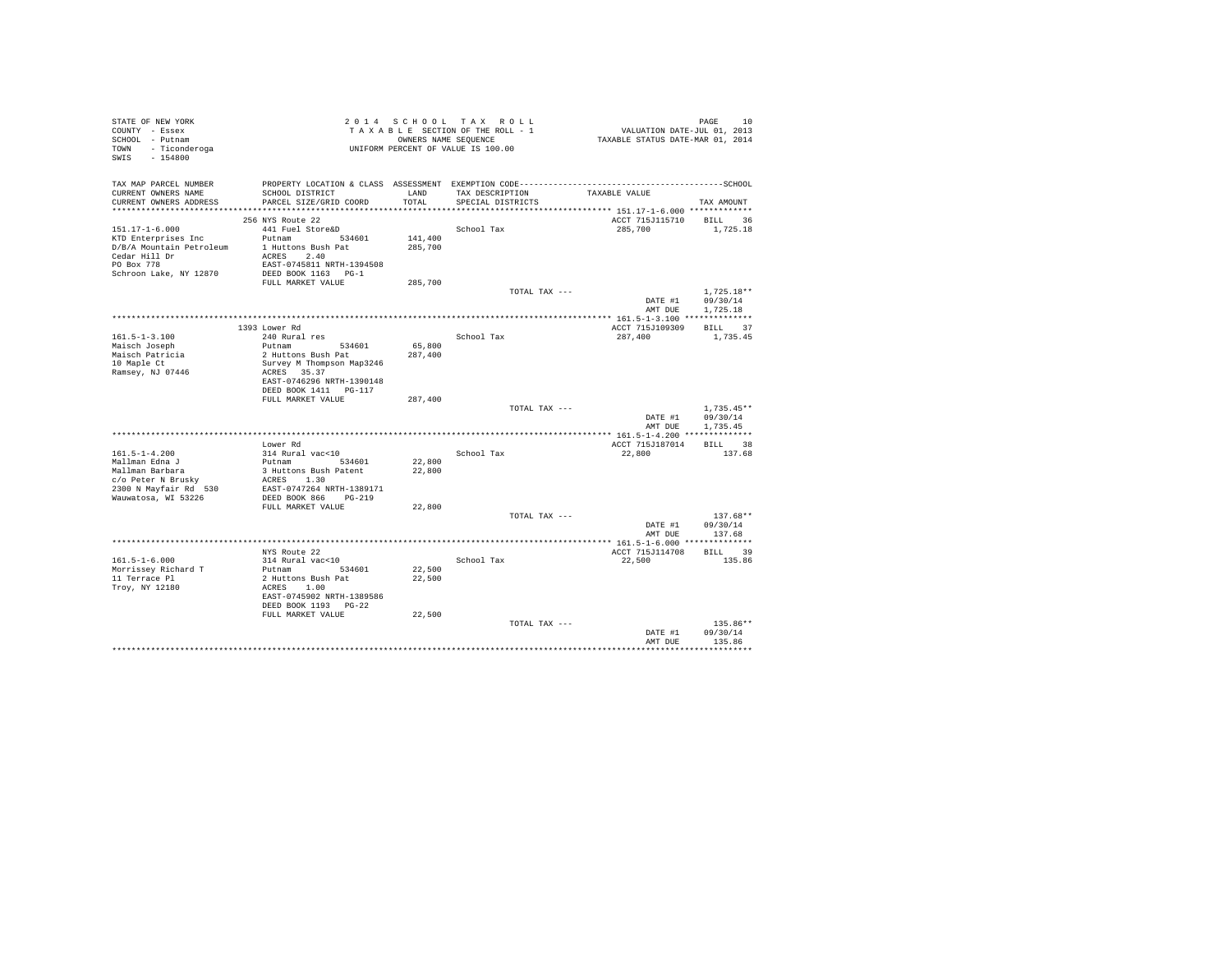| STATE OF NEW YORK<br>COUNTY - Essex<br>SCHOOL - Putnam<br>TOWN - Ticonderoga<br>SWIS - 154800 |                                                       |               | 2014 SCHOOL TAX ROLL<br>TAXABLE SECTION OF THE ROLL - 1<br>OWNERS NAME SEQUENCE<br>UNIFORM PERCENT OF VALUE IS 100.00 | PAGE 10<br>VALUATION DATE-JUL 01, 2013<br>TAXABLE STATUS DATE-MAR 01, 2014 |                                      |
|-----------------------------------------------------------------------------------------------|-------------------------------------------------------|---------------|-----------------------------------------------------------------------------------------------------------------------|----------------------------------------------------------------------------|--------------------------------------|
| TAX MAP PARCEL NUMBER<br>CURRENT OWNERS NAME<br>CURRENT OWNERS ADDRESS                        | SCHOOL DISTRICT<br>PARCEL SIZE/GRID COORD             | LAND<br>TOTAL | TAX DESCRIPTION<br>SPECIAL DISTRICTS                                                                                  | TAXABLE VALUE                                                              | TAX AMOUNT                           |
|                                                                                               | 256 NYS Route 22                                      |               |                                                                                                                       | ACCT 715J115710 BILL 36                                                    |                                      |
| 151.17-1-6.000                                                                                | 441 Fuel Store&D                                      |               | School Tax                                                                                                            | 285,700                                                                    | 1,725.18                             |
| KTD Enterprises Inc                                                                           | Putnam 534601                                         | 141,400       |                                                                                                                       |                                                                            |                                      |
| D/B/A Mountain Petroleum 1 Huttons Bush Pat                                                   |                                                       | 285,700       |                                                                                                                       |                                                                            |                                      |
| Cedar Hill Dr<br>PO Box 778                                                                   | ACRES 2.40                                            |               |                                                                                                                       |                                                                            |                                      |
|                                                                                               | EAST-0745811 NRTH-1394508                             |               |                                                                                                                       |                                                                            |                                      |
| Schroon Lake, NY 12870                                                                        | DEED BOOK 1163 PG-1                                   |               |                                                                                                                       |                                                                            |                                      |
|                                                                                               | FULL MARKET VALUE                                     | 285,700       |                                                                                                                       |                                                                            |                                      |
|                                                                                               |                                                       |               | TOTAL TAX ---                                                                                                         |                                                                            | $1,725.18**$                         |
|                                                                                               |                                                       |               |                                                                                                                       |                                                                            | DATE #1 09/30/14<br>AMT DUE 1,725.18 |
|                                                                                               |                                                       |               |                                                                                                                       |                                                                            |                                      |
|                                                                                               | 1393 Lower Rd                                         |               |                                                                                                                       | ACCT 715J109309                                                            | BILL 37                              |
| $161.5 - 1 - 3.100$                                                                           | 240 Rural res                                         |               | School Tax                                                                                                            | 287,400                                                                    | 1,735.45                             |
| Maisch Joseph                                                                                 | Putnam 534601                                         | 65,800        |                                                                                                                       |                                                                            |                                      |
| Maisch Patricia                                                                               | 2 Huttons Bush Pat                                    | 287,400       |                                                                                                                       |                                                                            |                                      |
| 10 Maple Ct                                                                                   | Survey M Thompson Map3246                             |               |                                                                                                                       |                                                                            |                                      |
| Ramsey, NJ 07446                                                                              | ACRES 35.37                                           |               |                                                                                                                       |                                                                            |                                      |
|                                                                                               | EAST-0746296 NRTH-1390148<br>DEED BOOK 1411    PG-117 |               |                                                                                                                       |                                                                            |                                      |
|                                                                                               | FULL MARKET VALUE                                     | 287,400       |                                                                                                                       |                                                                            |                                      |
|                                                                                               |                                                       |               | TOTAL TAX ---                                                                                                         |                                                                            | $1.735.45**$                         |
|                                                                                               |                                                       |               |                                                                                                                       | DATE #1 09/30/14                                                           |                                      |
|                                                                                               |                                                       |               |                                                                                                                       | AMT DUE                                                                    | 1,735.45                             |
|                                                                                               |                                                       |               |                                                                                                                       |                                                                            |                                      |
|                                                                                               | Lower Rd                                              |               |                                                                                                                       | ACCT 715J187014                                                            | BILL 38                              |
| $161.5 - 1 - 4.200$<br>Mallman Edna J                                                         | 314 Rural vac<10                                      | 22,800        | School Tax                                                                                                            | 22,800                                                                     | 137.68                               |
| Mallman Barbara                                                                               | Putnam 534601<br>3 Huttons Bush Patent                | 22,800        |                                                                                                                       |                                                                            |                                      |
| c/o Peter N Brusky                                                                            | ACRES 1.30                                            |               |                                                                                                                       |                                                                            |                                      |
| 2300 N Mayfair Rd 530                                                                         | EAST-0747264 NRTH-1389171                             |               |                                                                                                                       |                                                                            |                                      |
| Wauwatosa, WI 53226                                                                           | DEED BOOK 866 PG-219                                  |               |                                                                                                                       |                                                                            |                                      |
|                                                                                               | FULL MARKET VALUE                                     | 22,800        |                                                                                                                       |                                                                            |                                      |
|                                                                                               |                                                       |               | TOTAL TAX ---                                                                                                         |                                                                            | $137.68**$                           |
|                                                                                               |                                                       |               |                                                                                                                       |                                                                            | DATE #1 09/30/14<br>AMT DUE 137.68   |
|                                                                                               |                                                       |               |                                                                                                                       |                                                                            |                                      |
|                                                                                               | NYS Route 22                                          |               |                                                                                                                       | ACCT 715J114708                                                            | BILL 39                              |
| $161.5 - 1 - 6.000$                                                                           | 314 Rural vac<10                                      |               | School Tax                                                                                                            | 22,500                                                                     | 135.86                               |
| Morrissey Richard T                                                                           | Putnam 534601                                         | 22,500        |                                                                                                                       |                                                                            |                                      |
| 11 Terrace Pl                                                                                 | 2 Huttons Bush Pat                                    | 22,500        |                                                                                                                       |                                                                            |                                      |
| Troy, NY 12180                                                                                | ACRES 1.00                                            |               |                                                                                                                       |                                                                            |                                      |
|                                                                                               | EAST-0745902 NRTH-1389586                             |               |                                                                                                                       |                                                                            |                                      |
|                                                                                               | DEED BOOK 1193 PG-22<br>FULL MARKET VALUE             | 22,500        |                                                                                                                       |                                                                            |                                      |
|                                                                                               |                                                       |               | TOTAL TAX ---                                                                                                         |                                                                            | $135.86**$                           |
|                                                                                               |                                                       |               |                                                                                                                       | DATE #1                                                                    | 09/30/14                             |
|                                                                                               |                                                       |               |                                                                                                                       | AMT DUE                                                                    | 135.86                               |
|                                                                                               |                                                       |               |                                                                                                                       |                                                                            |                                      |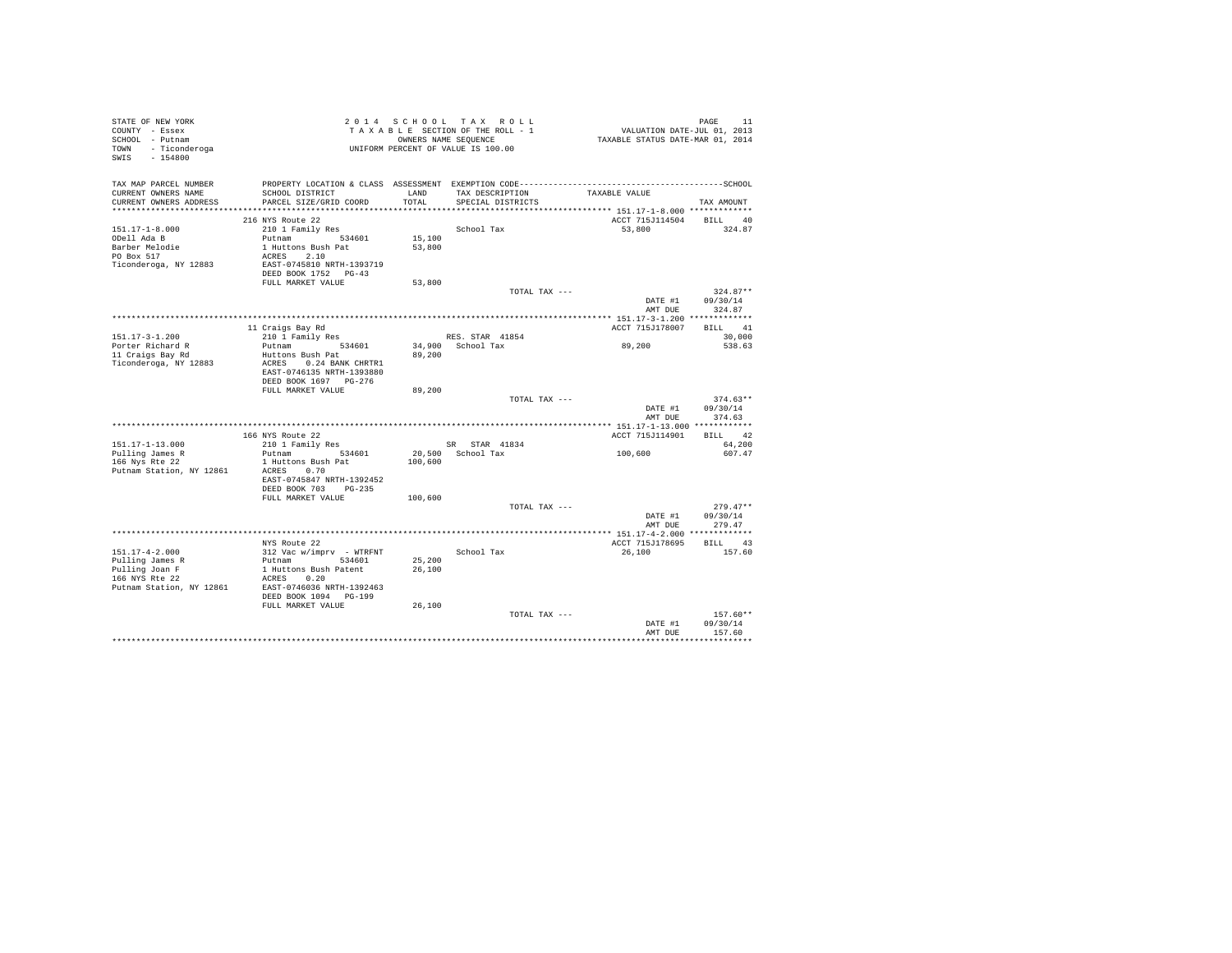| STATE OF NEW YORK<br>COUNTY - Essex<br>SCHOOL - Putnam<br>TOWN - Ticonderoga<br>SWIS - 154800 |                                                                                                                                                                     |         | 2014 SCHOOL TAX ROLL<br>TAXABLE SECTION OF THE ROLL - 1<br>OWNERS NAME SEQUENCE<br>UNIFORM PERCENT OF VALUE IS 100.00 | PAGE 11<br>VALUATION DATE-JUL 01, 2013<br>TAXABLE STATUS DATE-MAR 01, 2014 |                    |
|-----------------------------------------------------------------------------------------------|---------------------------------------------------------------------------------------------------------------------------------------------------------------------|---------|-----------------------------------------------------------------------------------------------------------------------|----------------------------------------------------------------------------|--------------------|
| CURRENT OWNERS NAME<br>CURRENT OWNERS ADDRESS                                                 | TAX MAP PARCEL NUMBER PROPERTY LOCATION & CLASS ASSESSMENT EXEMPTION CODE----------------------------------SCHOOL<br>SCHOOL DISTRICT LAND<br>PARCEL SIZE/GRID COORD | TOTAL   | TAX DESCRIPTION<br>SPECIAL DISTRICTS                                                                                  | TAXABLE VALUE                                                              | TAX AMOUNT         |
|                                                                                               |                                                                                                                                                                     |         |                                                                                                                       |                                                                            |                    |
|                                                                                               | 216 NYS Route 22                                                                                                                                                    |         |                                                                                                                       | ACCT 715J114504 BILL 40                                                    |                    |
| $151.17 - 1 - 8.000$                                                                          | 210 1 Family Res                                                                                                                                                    |         | School Tax                                                                                                            | 53,800                                                                     | 324.87             |
| ODell Ada B                                                                                   | Putnam 534601                                                                                                                                                       | 15,100  |                                                                                                                       |                                                                            |                    |
| Barber Melodie<br>PO Box 517                                                                  | 1 Huttons Bush Pat                                                                                                                                                  | 53,800  |                                                                                                                       |                                                                            |                    |
| Ticonderoga, NY 12883                                                                         | ACRES 2.10<br>EAST-0745810 NRTH-1393719                                                                                                                             |         |                                                                                                                       |                                                                            |                    |
|                                                                                               | DEED BOOK 1752 PG-43<br>FULL MARKET VALUE                                                                                                                           | 53,800  |                                                                                                                       |                                                                            |                    |
|                                                                                               |                                                                                                                                                                     |         | TOTAL TAX ---                                                                                                         |                                                                            | $324.87**$         |
|                                                                                               |                                                                                                                                                                     |         |                                                                                                                       |                                                                            | DATE #1 09/30/14   |
|                                                                                               |                                                                                                                                                                     |         |                                                                                                                       |                                                                            | AMT DUE 324.87     |
|                                                                                               |                                                                                                                                                                     |         |                                                                                                                       |                                                                            |                    |
|                                                                                               | 11 Craigs Bay Rd                                                                                                                                                    |         |                                                                                                                       | ACCT 715J178007                                                            | BILL 41            |
| $151.17 - 3 - 1.200$                                                                          | 210 1 Family Res<br>Putnam 534601                                                                                                                                   |         | RES. STAR 41854                                                                                                       | 89,200                                                                     | 30,000<br>538.63   |
| Porter Richard R<br>11 Craigs Bay Rd                                                          | Huttons Bush Pat                                                                                                                                                    | 89,200  | 34,900 School Tax                                                                                                     |                                                                            |                    |
| Ticonderoga, NY 12883                                                                         | ACRES 0.24 BANK CHRTR1<br>EAST-0746135 NRTH-1393880                                                                                                                 |         |                                                                                                                       |                                                                            |                    |
|                                                                                               | DEED BOOK 1697 PG-276                                                                                                                                               |         |                                                                                                                       |                                                                            |                    |
|                                                                                               | FULL MARKET VALUE                                                                                                                                                   | 89,200  |                                                                                                                       |                                                                            | $374.63**$         |
|                                                                                               |                                                                                                                                                                     |         | TOTAL TAX ---                                                                                                         | DATE #1<br>AMT DUE                                                         | 09/30/14<br>374.63 |
|                                                                                               |                                                                                                                                                                     |         |                                                                                                                       |                                                                            |                    |
|                                                                                               | 166 NYS Route 22                                                                                                                                                    |         |                                                                                                                       | ACCT 715J114901                                                            | BILL 42            |
| 151.17-1-13.000                                                                               | 210 1 Family Res                                                                                                                                                    |         | SR STAR 41834                                                                                                         | 100,600                                                                    | 64,200             |
| Pulling James R<br>166 Nys Rte 22                                                             | Putnam 534601                                                                                                                                                       | 100,600 | 20,500 School Tax                                                                                                     |                                                                            | 607.47             |
| Putnam Station, NY 12861                                                                      | 1 Huttons Bush Pat<br>ACRES 0.70<br>EAST-0745847 NRTH-1392452                                                                                                       |         |                                                                                                                       |                                                                            |                    |
|                                                                                               | DEED BOOK 703 PG-235                                                                                                                                                |         |                                                                                                                       |                                                                            |                    |
|                                                                                               | FULL MARKET VALUE                                                                                                                                                   | 100,600 |                                                                                                                       |                                                                            |                    |
|                                                                                               |                                                                                                                                                                     |         | TOTAL TAX ---                                                                                                         |                                                                            | $279.47**$         |
|                                                                                               |                                                                                                                                                                     |         |                                                                                                                       | DATE #1                                                                    | 09/30/14           |
|                                                                                               |                                                                                                                                                                     |         |                                                                                                                       | AMT DUE                                                                    | 279.47             |
|                                                                                               | NYS Route 22                                                                                                                                                        |         |                                                                                                                       | ACCT 715J178695 BILL 43                                                    |                    |
| $151.17 - 4 - 2.000$                                                                          |                                                                                                                                                                     |         | School Tax                                                                                                            | 26,100                                                                     | 157.60             |
|                                                                                               | 312 Vac $w/imprv$ - WTRFNT<br>Putnam 534601                                                                                                                         | 25,200  |                                                                                                                       |                                                                            |                    |
| Pulling James R<br>Pulling Joan F<br>166 NYS Rte 22                                           | 1 Huttons Bush Patent<br>ACRES 0.20                                                                                                                                 | 26,100  |                                                                                                                       |                                                                            |                    |
| Putnam Station, NY 12861                                                                      | EAST-0746036 NRTH-1392463<br>DEED BOOK 1094 PG-199                                                                                                                  |         |                                                                                                                       |                                                                            |                    |
|                                                                                               | FULL MARKET VALUE                                                                                                                                                   | 26,100  | TOTAL TAX ---                                                                                                         |                                                                            | $157.60**$         |
|                                                                                               |                                                                                                                                                                     |         |                                                                                                                       |                                                                            | DATE #1 09/30/14   |
|                                                                                               |                                                                                                                                                                     |         |                                                                                                                       | AMT DUE                                                                    | 157.60             |
|                                                                                               |                                                                                                                                                                     |         |                                                                                                                       |                                                                            |                    |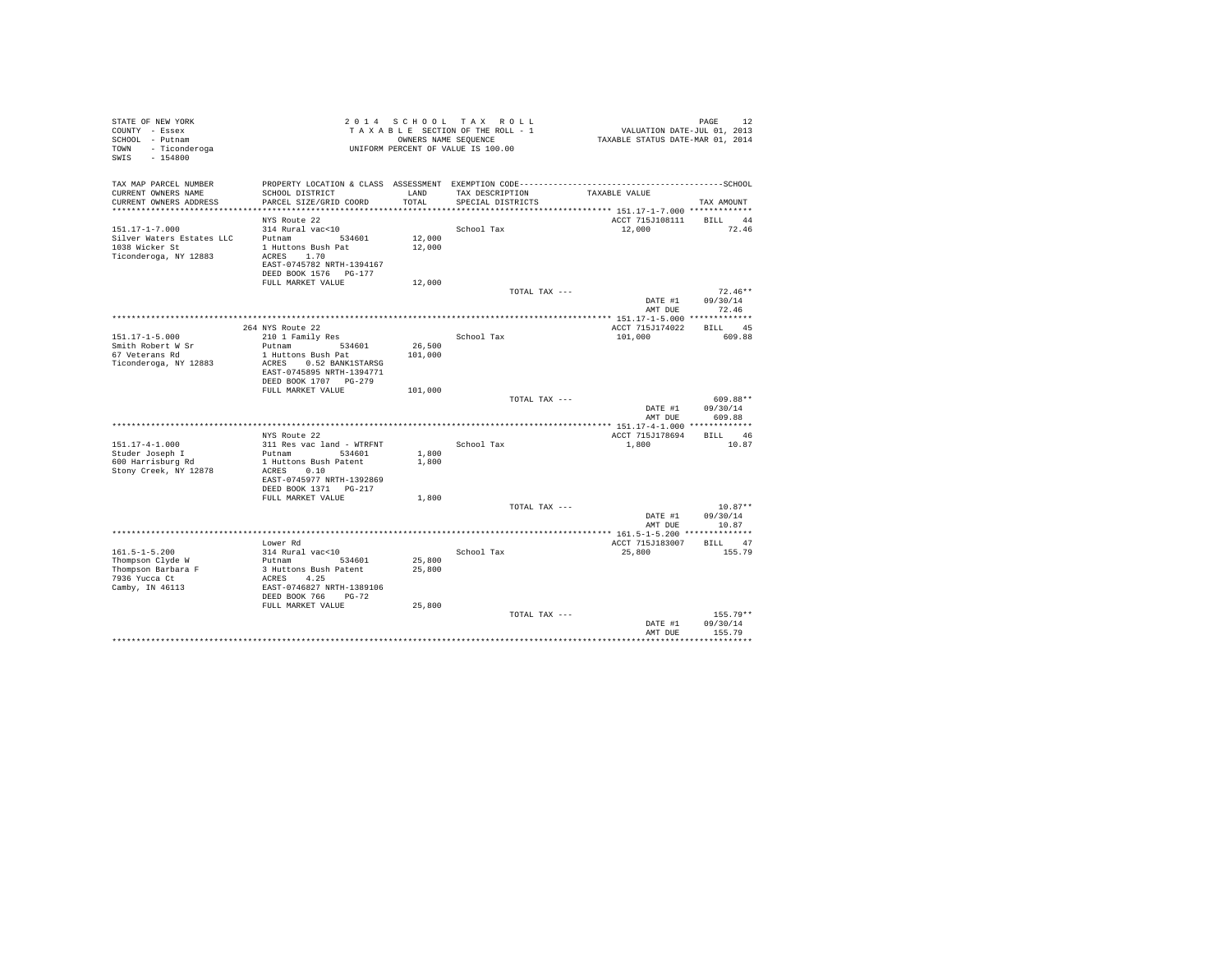| STATE OF NEW YORK<br>COUNTY - Essex<br>SCHOOL - Putnam<br>- Ticonderoga<br>TOWN<br>SWIS<br>$-154800$ |                                                     | 2014 SCHOOL   | TAX ROLL<br>TAXABLE SECTION OF THE ROLL - 1<br>OWNERS NAME SEOUENCE<br>UNIFORM PERCENT OF VALUE IS 100.00 | VALUATION DATE-JUL 01, 2013<br>TAXABLE STATUS DATE-MAR 01, 2014 | PAGE<br>12         |
|------------------------------------------------------------------------------------------------------|-----------------------------------------------------|---------------|-----------------------------------------------------------------------------------------------------------|-----------------------------------------------------------------|--------------------|
| TAX MAP PARCEL NUMBER<br>CURRENT OWNERS NAME<br>CURRENT OWNERS ADDRESS                               | SCHOOL DISTRICT<br>PARCEL SIZE/GRID COORD           | LAND<br>TOTAL | TAX DESCRIPTION<br>SPECIAL DISTRICTS                                                                      | TAXABLE VALUE                                                   | TAX AMOUNT         |
|                                                                                                      |                                                     |               |                                                                                                           |                                                                 |                    |
|                                                                                                      | NYS Route 22                                        |               |                                                                                                           | ACCT 715J108111                                                 | BILL 44            |
| $151.17 - 1 - 7.000$                                                                                 | 314 Rural vac<10                                    |               | School Tax                                                                                                | 12,000                                                          | 72.46              |
| Silver Waters Estates LLC                                                                            | Putnam 534601                                       | 12,000        |                                                                                                           |                                                                 |                    |
| 1038 Wicker St                                                                                       | 1 Huttons Bush Pat                                  | 12,000        |                                                                                                           |                                                                 |                    |
| Ticonderoga, NY 12883                                                                                | ACRES 1.70<br>EAST-0745782 NRTH-1394167             |               |                                                                                                           |                                                                 |                    |
|                                                                                                      | DEED BOOK 1576 PG-177<br>FULL MARKET VALUE          | 12,000        |                                                                                                           |                                                                 |                    |
|                                                                                                      |                                                     |               | TOTAL TAX ---                                                                                             |                                                                 | $72.46**$          |
|                                                                                                      |                                                     |               |                                                                                                           | DATE #1                                                         | 09/30/14           |
|                                                                                                      |                                                     |               |                                                                                                           | AMT DUE                                                         | 72.46              |
|                                                                                                      |                                                     |               |                                                                                                           |                                                                 |                    |
|                                                                                                      | 264 NYS Route 22                                    |               |                                                                                                           | ACCT 715J174022                                                 | BILL 45            |
| $151.17 - 1 - 5.000$                                                                                 | 210 1 Family Res                                    |               | School Tax                                                                                                | 101,000                                                         | 609.88             |
| Smith Robert W Sr                                                                                    | Putnam<br>534601                                    | 26,500        |                                                                                                           |                                                                 |                    |
| 67 Veterans Rd                                                                                       | 1 Huttons Bush Pat                                  | 101,000       |                                                                                                           |                                                                 |                    |
| Ticonderoga, NY 12883                                                                                | ACRES 0.52 BANK1STARSG<br>EAST-0745895 NRTH-1394771 |               |                                                                                                           |                                                                 |                    |
|                                                                                                      | DEED BOOK 1707 PG-279                               |               |                                                                                                           |                                                                 |                    |
|                                                                                                      | FULL MARKET VALUE                                   | 101,000       | TOTAL TAX ---                                                                                             |                                                                 | 609.88**           |
|                                                                                                      |                                                     |               |                                                                                                           | DATE #1<br>AMT DUE                                              | 09/30/14<br>609.88 |
|                                                                                                      |                                                     |               |                                                                                                           |                                                                 |                    |
|                                                                                                      | NYS Route 22                                        |               |                                                                                                           | ACCT 715J178694                                                 | BILL 46            |
| $151.17 - 4 - 1.000$                                                                                 | 311 Res vac land - WTRFNT                           |               | School Tax                                                                                                | 1,800                                                           | 10.87              |
| Studer Joseph I                                                                                      | Putnam 534601                                       | 1,800         |                                                                                                           |                                                                 |                    |
| 600 Harrisburg Rd                                                                                    | 1 Huttons Bush Patent                               | 1,800         |                                                                                                           |                                                                 |                    |
| Stony Creek, NY 12878                                                                                | ACRES 0.10                                          |               |                                                                                                           |                                                                 |                    |
|                                                                                                      | EAST-0745977 NRTH-1392869                           |               |                                                                                                           |                                                                 |                    |
|                                                                                                      | DEED BOOK 1371 PG-217<br>FULL MARKET VALUE          | 1,800         |                                                                                                           |                                                                 |                    |
|                                                                                                      |                                                     |               | TOTAL TAX ---                                                                                             |                                                                 | $10.87**$          |
|                                                                                                      |                                                     |               |                                                                                                           | DATE #1                                                         | 09/30/14           |
|                                                                                                      |                                                     |               |                                                                                                           | AMT DUE                                                         | 10.87              |
|                                                                                                      |                                                     |               |                                                                                                           |                                                                 |                    |
|                                                                                                      | Lower Rd                                            |               |                                                                                                           | ACCT 715J183007                                                 | BILL 47            |
| $161.5 - 1 - 5.200$                                                                                  | 314 Rural vac<10                                    |               | School Tax                                                                                                | 25,800                                                          | 155.79             |
| Thompson Clyde W                                                                                     | Putnam 534601                                       | 25,800        |                                                                                                           |                                                                 |                    |
| Thompson Barbara F                                                                                   | 3 Huttons Bush Patent                               | 25,800        |                                                                                                           |                                                                 |                    |
| 7936 Yucca Ct                                                                                        | ACRES 4.25                                          |               |                                                                                                           |                                                                 |                    |
| Camby, IN 46113                                                                                      | EAST-0746827 NRTH-1389106<br>DEED BOOK 766 PG-72    |               |                                                                                                           |                                                                 |                    |
|                                                                                                      | FULL MARKET VALUE                                   | 25,800        | TOTAL TAX ---                                                                                             |                                                                 | $155.79**$         |
|                                                                                                      |                                                     |               |                                                                                                           | DATE #1                                                         | 09/30/14           |
|                                                                                                      |                                                     |               |                                                                                                           | AMT DUE                                                         | 155.79             |
|                                                                                                      |                                                     |               |                                                                                                           |                                                                 |                    |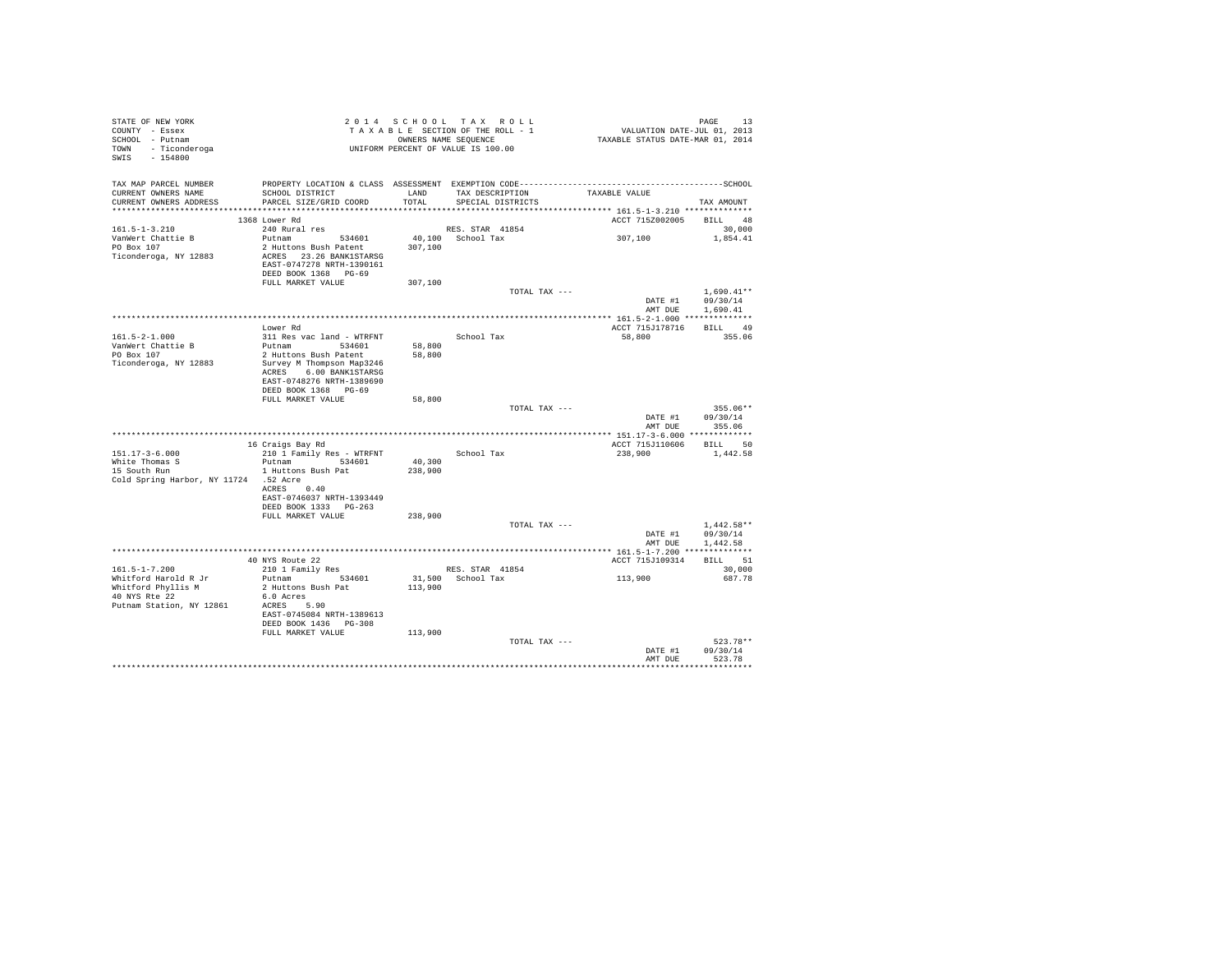| STATE OF NEW YORK<br>COUNTY - Essex<br>SCHOOL - Putnam<br>TOWN - Ticonderoga<br>SWIS - 154800 | 2014 SCHOOL TRAKULU<br>TAXABLE SECTION OF THE ROLL - 1<br>UNIFORM PERCENT OF VALUE IS 100.00                                   |                  | 2014 SCHOOL TAX ROLL<br>TAXABLE SECTION OF THE ROLL - 1<br>OWNERS NAME SEQUENCE | PAGE 13<br>VALUATION DATE-JUL 01, 2013<br>TAXABLE STATUS DATE-MAR 01, 2014 |                                  |
|-----------------------------------------------------------------------------------------------|--------------------------------------------------------------------------------------------------------------------------------|------------------|---------------------------------------------------------------------------------|----------------------------------------------------------------------------|----------------------------------|
| CURRENT OWNERS NAME<br>CURRENT OWNERS ADDRESS PARCEL SIZE/GRID COORD                          | SCHOOL DISTRICT                                                                                                                |                  | LAND TAX DESCRIPTION<br>TOTAL SPECIAL DISTRICTS                                 | TAXABLE VALUE                                                              | TAX AMOUNT                       |
|                                                                                               | 1368 Lower Rd                                                                                                                  |                  |                                                                                 | ACCT 7152002005 BILL 48                                                    |                                  |
| $161.5 - 1 - 3.210$                                                                           | 240 Rural res                                                                                                                  |                  | RES. STAR 41854                                                                 |                                                                            | 30,000                           |
| VanWert Chattie B<br>PO Box 107<br>Ticonderoga, NY 12883                                      | Putnam 534601<br>2 Huttons Bush Patent 307,100<br>ACRES 23.26 BANK1STARSG<br>EAST-0747278 NRTH-1390161<br>DEED BOOK 1368 PG-69 |                  | 40,100 School Tax                                                               | 307,100 1,854.41                                                           |                                  |
|                                                                                               | FULL MARKET VALUE                                                                                                              | 307,100          |                                                                                 |                                                                            |                                  |
|                                                                                               |                                                                                                                                |                  | TOTAL TAX ---                                                                   |                                                                            | $1.690.41**$<br>DATE #1 09/30/14 |
|                                                                                               |                                                                                                                                |                  |                                                                                 |                                                                            | AMT DUE 1,690.41                 |
|                                                                                               |                                                                                                                                |                  |                                                                                 |                                                                            |                                  |
|                                                                                               | Lower Rd                                                                                                                       |                  |                                                                                 | ACCT 715J178716 BILL 49                                                    |                                  |
| $161.5 - 2 - 1.000$                                                                           | 311 Res vac land - WTRFNT                                                                                                      |                  | School Tax                                                                      | 58,800 355.06                                                              |                                  |
| VanWert Chattie B<br>PO Box 107                                                               | Putnam 534601<br>2 Huttons Bush Patent                                                                                         | 58,800<br>58,800 |                                                                                 |                                                                            |                                  |
| Ticonderoga, NY 12883                                                                         | Survey M Thompson Map3246<br>ACRES 6.00 BANK1STARSG<br>EAST-0748276 NRTH-1389690<br>DEED BOOK 1368 PG-69                       |                  |                                                                                 |                                                                            |                                  |
|                                                                                               | FULL MARKET VALUE                                                                                                              | 58,800           |                                                                                 |                                                                            |                                  |
|                                                                                               |                                                                                                                                |                  | TOTAL TAX ---                                                                   | DATE #1<br>AMT DUE                                                         | 355.06**<br>09/30/14<br>355.06   |
|                                                                                               |                                                                                                                                |                  |                                                                                 |                                                                            |                                  |
|                                                                                               | 16 Craigs Bay Rd                                                                                                               |                  |                                                                                 | ACCT 715J110606 BILL 50                                                    |                                  |
| $151.17 - 3 - 6.000$                                                                          | 210 1 Family Res - WTRFNT                                                                                                      |                  | School Tax                                                                      | 238,900 1,442.58                                                           |                                  |
| $151.17 - 3$<br>White Thomas S                                                                | Putnam 534601                                                                                                                  | 40,300           |                                                                                 |                                                                            |                                  |
| 15 South Run<br>Cold Spring Harbor, NY 11724 .52 Acre                                         | 1 Huttons Bush Pat<br>ACRES 0.40<br>EAST-0746037 NRTH-1393449                                                                  | 238,900          |                                                                                 |                                                                            |                                  |
|                                                                                               | DEED BOOK 1333 PG-263<br>FULL MARKET VALUE                                                                                     |                  |                                                                                 |                                                                            |                                  |
|                                                                                               |                                                                                                                                | 238,900          | TOTAL TAX ---                                                                   |                                                                            | $1,442.58**$                     |
|                                                                                               |                                                                                                                                |                  |                                                                                 |                                                                            | DATE #1 09/30/14                 |
|                                                                                               |                                                                                                                                |                  |                                                                                 |                                                                            | AMT DUE 1,442.58                 |
|                                                                                               |                                                                                                                                |                  |                                                                                 | ACCT 715J109314                                                            | BILL 51                          |
| $161.5 - 1 - 7.200$                                                                           | 40 NYS Route 22<br>210 1 Family Res                                                                                            |                  | RES. STAR 41854                                                                 |                                                                            | 30,000                           |
|                                                                                               | Putnam 534601                                                                                                                  |                  | 31,500 School Tax                                                               | 113,900                                                                    | 687.78                           |
| Whitford Harold R Jr<br>Whitford Phyllis M<br>40 NYS Rte 22<br>Putnam Station, NY 12861       | 2 Huttons Bush Pat 113,900<br>6.0 Acres<br>ACRES 5.90<br>EAST-0745084 NRTH-1389613<br>DEED BOOK 1436 PG-308                    |                  |                                                                                 |                                                                            |                                  |
|                                                                                               | FULL MARKET VALUE                                                                                                              | 113,900          |                                                                                 |                                                                            |                                  |
|                                                                                               |                                                                                                                                |                  | TOTAL TAX ---                                                                   |                                                                            | 523.78**<br>DATE #1 09/30/14     |
|                                                                                               |                                                                                                                                |                  |                                                                                 | AMT DUE                                                                    | 523.78                           |
|                                                                                               |                                                                                                                                |                  |                                                                                 |                                                                            |                                  |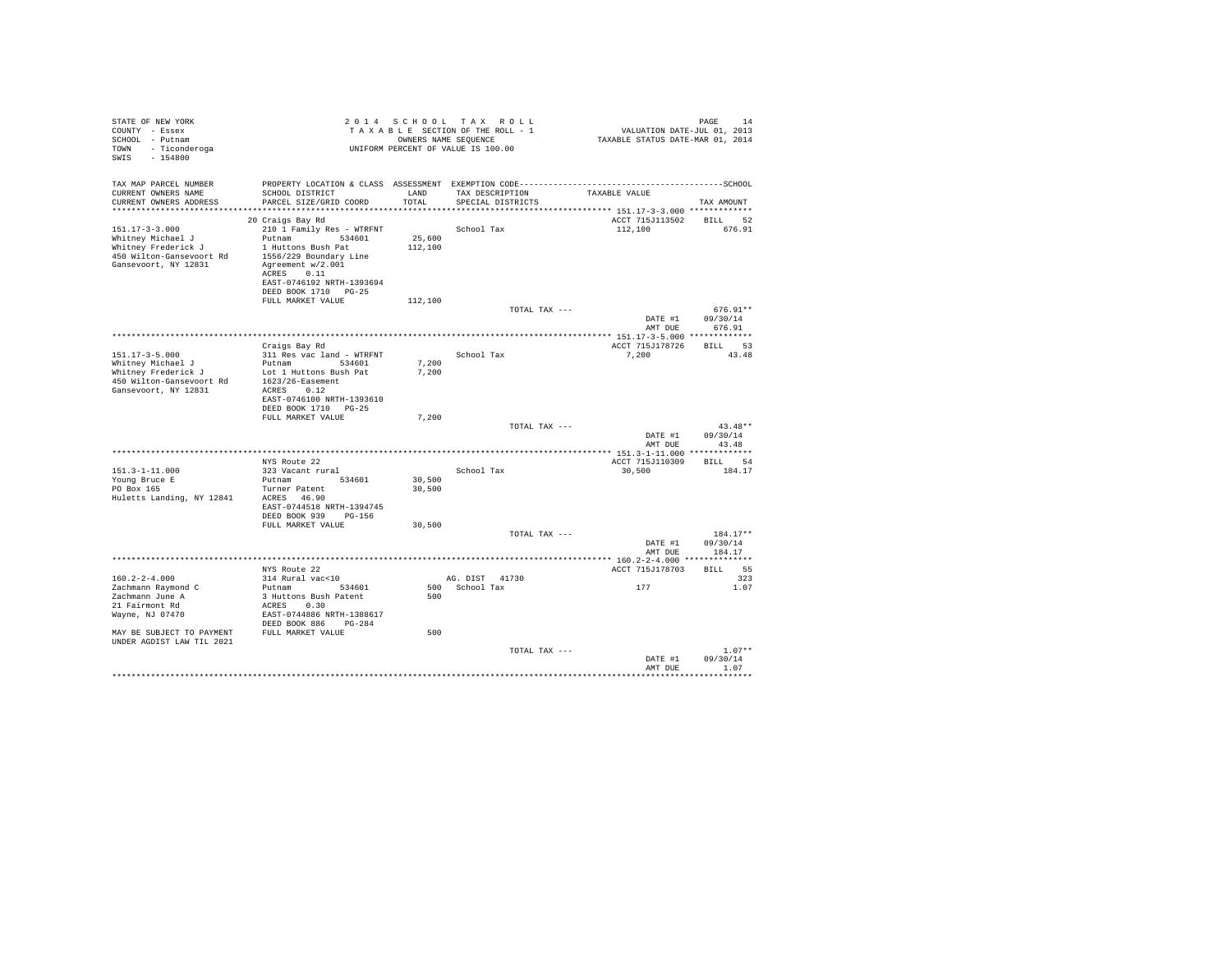| STATE OF NEW YORK<br>COUNTY - Essex                        |                                                                                  |         | 2014 SCHOOL TAX ROLL<br>TAXABLE SECTION OF THE ROLL - 1    | VALUATION DATE-JUL 01, 2013      | PAGE<br>14         |
|------------------------------------------------------------|----------------------------------------------------------------------------------|---------|------------------------------------------------------------|----------------------------------|--------------------|
| SCHOOL - Putnam<br>TOWN - Ticonderoga<br>SWIS<br>$-154800$ |                                                                                  |         | OWNERS NAME SEQUENCE<br>UNIFORM PERCENT OF VALUE IS 100.00 | TAXABLE STATUS DATE-MAR 01, 2014 |                    |
| TAX MAP PARCEL NUMBER                                      | PROPERTY LOCATION & CLASS ASSESSMENT EXEMPTION CODE----------------------------- |         |                                                            |                                  | ------------SCHOOL |
| CURRENT OWNERS NAME                                        | SCHOOL DISTRICT                                                                  | LAND    | TAX DESCRIPTION                                            | TAXABLE VALUE                    |                    |
| CURRENT OWNERS ADDRESS                                     | PARCEL SIZE/GRID COORD                                                           | TOTAL   | SPECIAL DISTRICTS                                          |                                  | TAX AMOUNT         |
|                                                            | 20 Craigs Bay Rd                                                                 |         |                                                            | ACCT 715J113502                  | BILL 52            |
| 151.17-3-3.000                                             | 210 1 Family Res - WTRFNT                                                        |         | School Tax                                                 | 112,100                          | 676.91             |
| Whitney Michael J                                          | Putnam 534601                                                                    | 25,600  |                                                            |                                  |                    |
| Whitney Frederick J                                        | 1 Huttons Bush Pat                                                               | 112,100 |                                                            |                                  |                    |
| 450 Wilton-Gansevoort Rd                                   | 1556/229 Boundary Line                                                           |         |                                                            |                                  |                    |
| Gansevoort, NY 12831                                       | Agreement w/2.001                                                                |         |                                                            |                                  |                    |
|                                                            | ACRES 0.11                                                                       |         |                                                            |                                  |                    |
|                                                            | EAST-0746192 NRTH-1393694<br>DEED BOOK 1710 PG-25                                |         |                                                            |                                  |                    |
|                                                            | FULL MARKET VALUE                                                                | 112,100 |                                                            |                                  |                    |
|                                                            |                                                                                  |         | TOTAL TAX ---                                              |                                  | $676.91**$         |
|                                                            |                                                                                  |         |                                                            | DATE #1<br>AMT DUE               | 09/30/14<br>676.91 |
|                                                            |                                                                                  |         |                                                            |                                  |                    |
|                                                            | Craigs Bay Rd                                                                    |         |                                                            | ACCT 715J178726 BILL 53          |                    |
| $151.17 - 3 - 5.000$<br>Whitney Michael J                  | 311 Res vac land - WTRFNT<br>Putnam 534601                                       | 7.200   | School Tax                                                 | 7,200                            | 43.48              |
| Whitney Frederick J                                        | Lot 1 Huttons Bush Pat                                                           | 7,200   |                                                            |                                  |                    |
| 450 Wilton-Gansevoort Rd                                   | 1623/26-Easement                                                                 |         |                                                            |                                  |                    |
| Gansevoort, NY 12831                                       | ACRES 0.12                                                                       |         |                                                            |                                  |                    |
|                                                            | EAST-0746100 NRTH-1393610                                                        |         |                                                            |                                  |                    |
|                                                            | DEED BOOK 1710 PG-25                                                             |         |                                                            |                                  |                    |
|                                                            | FULL MARKET VALUE                                                                | 7,200   |                                                            |                                  | $43.48**$          |
|                                                            |                                                                                  |         | TOTAL TAX ---                                              | DATE #1                          | 09/30/14           |
|                                                            |                                                                                  |         |                                                            | AMT DUE                          | 43.48              |
|                                                            |                                                                                  |         |                                                            |                                  |                    |
|                                                            | NYS Route 22                                                                     |         |                                                            | ACCT 715J110309                  | BILL 54            |
| $151.3 - 1 - 11.000$                                       | 323 Vacant rural                                                                 |         | School Tax                                                 | 30,500                           | 184.17             |
| Young Bruce E                                              | Putnam 534601                                                                    | 30,500  |                                                            |                                  |                    |
| PO Box 165<br>Huletts Landing, NY 12841 ACRES 46.90        | Turner Patent                                                                    | 30,500  |                                                            |                                  |                    |
|                                                            | EAST-0744518 NRTH-1394745                                                        |         |                                                            |                                  |                    |
|                                                            | DEED BOOK 939 PG-156                                                             |         |                                                            |                                  |                    |
|                                                            | FULL MARKET VALUE                                                                | 30,500  |                                                            |                                  |                    |
|                                                            |                                                                                  |         | TOTAL TAX ---                                              |                                  | 184.17**           |
|                                                            |                                                                                  |         |                                                            | DATE #1                          | 09/30/14           |
|                                                            |                                                                                  |         |                                                            | AMT DUE                          | 184.17             |
|                                                            | NYS Route 22                                                                     |         |                                                            | ACCT 715J178703                  | BILL 55            |
| $160.2 - 2 - 4.000$                                        | 314 Rural vac<10                                                                 |         | AG. DIST 41730                                             |                                  | 323                |
| Zachmann Raymond C                                         | Putnam 534601                                                                    |         | 500 School Tax                                             | 177                              | 1.07               |
| Zachmann June A                                            | 3 Huttons Bush Patent                                                            | 500     |                                                            |                                  |                    |
| 21 Fairmont Rd                                             | ACRES 0.30                                                                       |         |                                                            |                                  |                    |
| Wayne, NJ 07470                                            | EAST-0744886 NRTH-1388617                                                        |         |                                                            |                                  |                    |
| MAY BE SUBJECT TO PAYMENT FULL MARKET VALUE                | DEED BOOK 886 PG-284                                                             |         |                                                            |                                  |                    |
| UNDER AGDIST LAW TIL 2021                                  |                                                                                  | 500     |                                                            |                                  |                    |
|                                                            |                                                                                  |         | TOTAL TAX ---                                              |                                  | $1.07**$           |
|                                                            |                                                                                  |         |                                                            | DATE #1                          | 09/30/14           |
|                                                            |                                                                                  |         |                                                            | AMT DUE                          | 1.07               |
|                                                            |                                                                                  |         |                                                            |                                  |                    |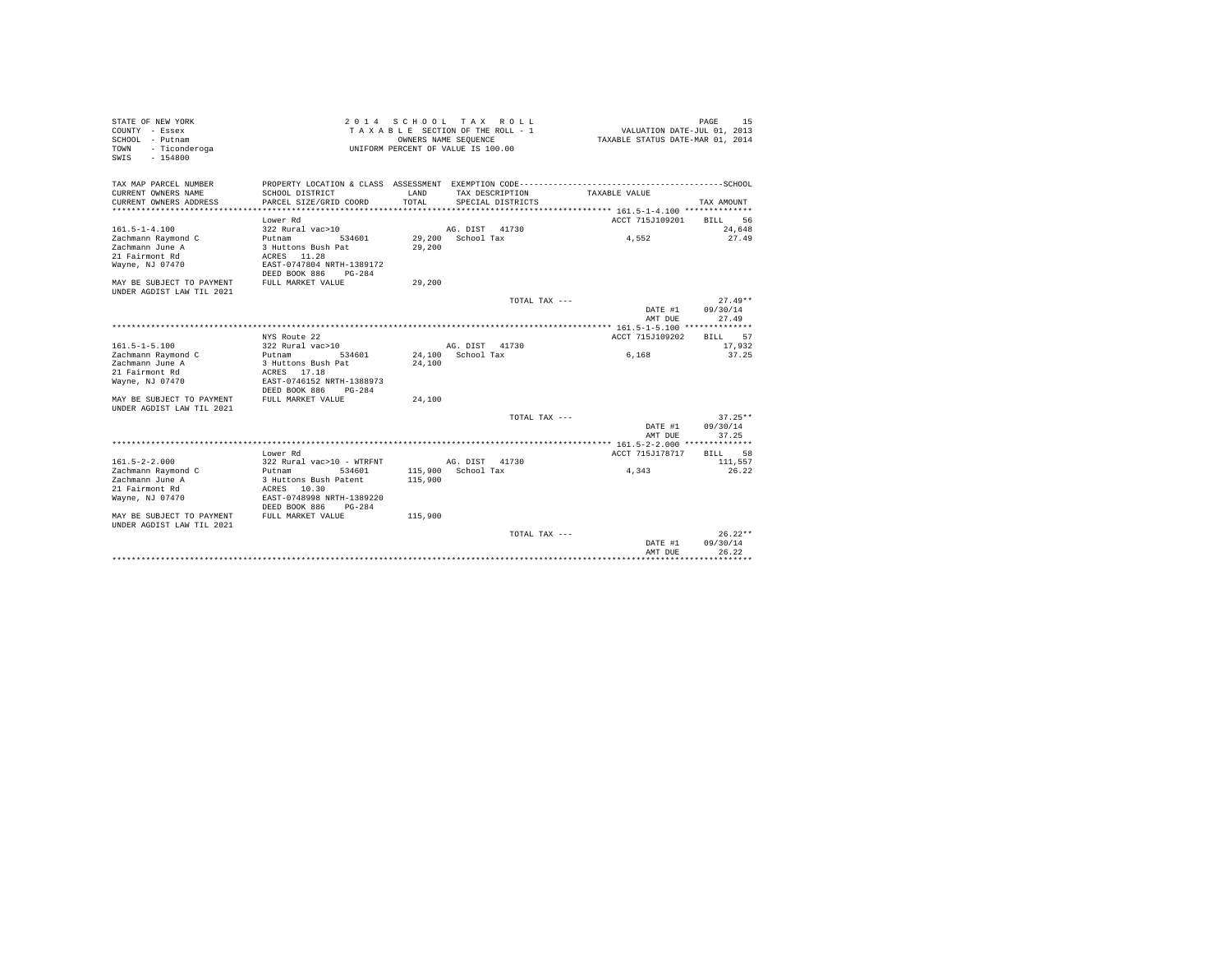| STATE OF NEW YORK         | 2 0 1 4                   | SCHOOL                             | T A X          | R O L L           |                                  | PAGE<br>15        |
|---------------------------|---------------------------|------------------------------------|----------------|-------------------|----------------------------------|-------------------|
| COUNTY - Essex            |                           | TAXABLE SECTION OF THE ROLL - 1    |                |                   | VALUATION DATE-JUL 01, 2013      |                   |
| SCHOOL - Putnam           |                           | OWNERS NAME SEQUENCE               |                |                   | TAXABLE STATUS DATE-MAR 01, 2014 |                   |
| - Ticonderoga<br>TOWN     |                           | UNIFORM PERCENT OF VALUE IS 100.00 |                |                   |                                  |                   |
| $-154800$<br>SWIS         |                           |                                    |                |                   |                                  |                   |
|                           |                           |                                    |                |                   |                                  |                   |
|                           |                           |                                    |                |                   |                                  |                   |
| TAX MAP PARCEL NUMBER     |                           |                                    |                |                   |                                  |                   |
| CURRENT OWNERS NAME       | SCHOOL DISTRICT           | LAND                               |                | TAX DESCRIPTION   | TAXABLE VALUE                    |                   |
| CURRENT OWNERS ADDRESS    | PARCEL SIZE/GRID COORD    | TOTAL                              |                | SPECIAL DISTRICTS |                                  | TAX AMOUNT        |
|                           |                           |                                    |                |                   |                                  |                   |
|                           | Lower Rd                  |                                    |                |                   | ACCT 715J109201                  | 56<br>BILL        |
| $161.5 - 1 - 4.100$       | 322 Rural vac>10          |                                    | AG. DIST       | 41730             |                                  | 24,648            |
|                           |                           |                                    |                |                   |                                  |                   |
| Zachmann Raymond C        | 534601<br>Putnam          | 29,200                             | School Tax     |                   | 4.552                            | 27.49             |
| Zachmann June A           | 3 Huttons Bush Pat        | 29,200                             |                |                   |                                  |                   |
| 21 Fairmont Rd            | ACRES 11.28               |                                    |                |                   |                                  |                   |
| Wayne, NJ 07470           | EAST-0747804 NRTH-1389172 |                                    |                |                   |                                  |                   |
|                           | DEED BOOK 886<br>$PG-284$ |                                    |                |                   |                                  |                   |
| MAY BE SUBJECT TO PAYMENT | FULL MARKET VALUE         | 29,200                             |                |                   |                                  |                   |
| UNDER AGDIST LAW TIL 2021 |                           |                                    |                |                   |                                  |                   |
|                           |                           |                                    |                | TOTAL TAX ---     |                                  | $27.49**$         |
|                           |                           |                                    |                |                   | DATE #1                          | 09/30/14          |
|                           |                           |                                    |                |                   | AMT DUE                          | 27.49             |
|                           |                           |                                    |                |                   |                                  |                   |
|                           | NYS Route 22              |                                    |                |                   | ACCT 715J109202                  | <b>BILL</b><br>57 |
| $161.5 - 1 - 5.100$       | 322 Rural vac>10          |                                    | AG. DIST 41730 |                   |                                  | 17,932            |
| Zachmann Raymond C        | 534601<br>Putnam          | 24,100                             | School Tax     |                   | 6,168                            | 37.25             |
| Zachmann June A           | 3 Huttons Bush Pat        | 24,100                             |                |                   |                                  |                   |
| 21 Fairmont Rd            | ACRES<br>17.18            |                                    |                |                   |                                  |                   |
|                           |                           |                                    |                |                   |                                  |                   |
| Wayne, NJ 07470           | EAST-0746152 NRTH-1388973 |                                    |                |                   |                                  |                   |
|                           | DEED BOOK 886<br>$PG-284$ |                                    |                |                   |                                  |                   |
| MAY BE SUBJECT TO PAYMENT | FULL MARKET VALUE         | 24,100                             |                |                   |                                  |                   |
| INDER AGDIST LAW TIL 2021 |                           |                                    |                |                   |                                  |                   |
|                           |                           |                                    |                | TOTAL TAX ---     |                                  | $37.25**$         |
|                           |                           |                                    |                |                   | DATE #1                          | 09/30/14          |
|                           |                           |                                    |                |                   | AMT DUE                          | 37.25             |
|                           |                           |                                    |                |                   |                                  |                   |
|                           | Lower Rd                  |                                    |                |                   | ACCT 715J178717                  | 58<br>BILL        |
| $161.5 - 2 - 2.000$       | 322 Rural vac>10 - WTRFNT |                                    | AG. DIST       | 41730             |                                  | 111.557           |
| Zachmann Raymond C        | Putnam<br>534601          | 115,900                            | School Tax     |                   | 4,343                            | 26.22             |
| Zachmann June A           | 3 Huttons Bush Patent     | 115,900                            |                |                   |                                  |                   |
| 21 Fairmont Rd            | ACRES 10.30               |                                    |                |                   |                                  |                   |
| Wayne, NJ 07470           | EAST-0748998 NRTH-1389220 |                                    |                |                   |                                  |                   |
|                           | DEED BOOK 886<br>$PG-284$ |                                    |                |                   |                                  |                   |
| MAY BE SUBJECT TO PAYMENT | FULL MARKET VALUE         | 115,900                            |                |                   |                                  |                   |
|                           |                           |                                    |                |                   |                                  |                   |
| UNDER AGDIST LAW TIL 2021 |                           |                                    |                |                   |                                  |                   |
|                           |                           |                                    |                | TOTAL TAX ---     |                                  | $26.22**$         |
|                           |                           |                                    |                |                   | DATE #1                          | 09/30/14          |
|                           |                           |                                    |                |                   | AMT DUE                          | 26.22             |
|                           |                           |                                    |                |                   |                                  |                   |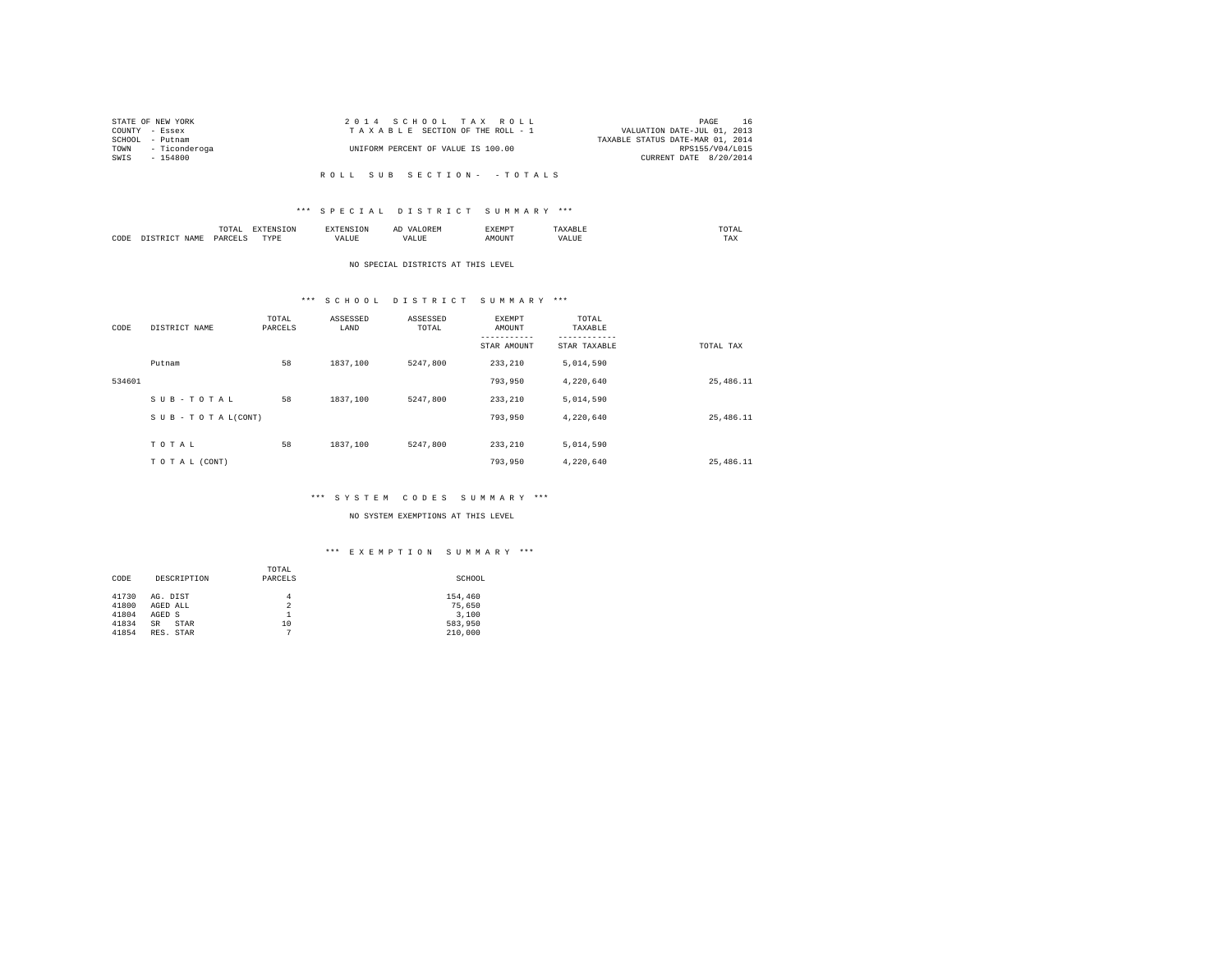| STATE OF NEW YORK  | 2014 SCHOOL TAX ROLL               |  |                                  |                        | PAGE | 16              |
|--------------------|------------------------------------|--|----------------------------------|------------------------|------|-----------------|
| COUNTY - Essex     | TAXABLE SECTION OF THE ROLL - 1    |  | VALUATION DATE-JUL 01, 2013      |                        |      |                 |
| SCHOOL - Putnam    |                                    |  | TAXABLE STATUS DATE-MAR 01, 2014 |                        |      |                 |
| TOWN - Ticonderoga | UNIFORM PERCENT OF VALUE IS 100.00 |  |                                  |                        |      | RPS155/V04/L015 |
| $SWTS = 154800$    |                                    |  |                                  | CURRENT DATE 8/20/2014 |      |                 |
|                    |                                    |  |                                  |                        |      |                 |

# \*\*\* S P E C I A L D I S T R I C T S U M M A R Y \*\*\*

|      |      | $m \wedge m \wedge n$<br>10 I AI<br>the contract of the contract of the contract of | - 77      |       | יום חשו | <b>YEMDT</b><br>BABNE. |                     | $m \wedge m \wedge r$ |
|------|------|-------------------------------------------------------------------------------------|-----------|-------|---------|------------------------|---------------------|-----------------------|
| CODE | NAME | <b>BADOT</b>                                                                        | TVDL<br>. | 7ALUB | VALUE   | <b>MOTINT</b>          | <b><i>VALUE</i></b> | TAX                   |

### NO SPECIAL DISTRICTS AT THIS LEVEL

# \*\*\* S C H O O L D I S T R I C T S U M M A R Y \*\*\*

| CODE   | DISTRICT NAME                 | TOTAL<br>PARCELS | ASSESSED<br>LAND | ASSESSED<br>TOTAL | <b>EXEMPT</b><br>AMOUNT | TOTAL<br>TAXABLE |            |
|--------|-------------------------------|------------------|------------------|-------------------|-------------------------|------------------|------------|
|        |                               |                  |                  |                   | STAR AMOUNT             | STAR TAXABLE     | TOTAL TAX  |
|        | Putnam                        | 58               | 1837,100         | 5247.800          | 233,210                 | 5,014,590        |            |
| 534601 |                               |                  |                  |                   | 793,950                 | 4,220,640        | 25, 486.11 |
|        | SUB-TOTAL                     | 58               | 1837,100         | 5247.800          | 233,210                 | 5,014,590        |            |
|        | $S \cup B - T O T A L (CONT)$ |                  |                  |                   | 793,950                 | 4,220,640        | 25, 486.11 |
|        | TOTAL                         | 58               | 1837,100         | 5247.800          | 233,210                 |                  |            |
|        |                               |                  |                  |                   |                         | 5,014,590        |            |
|        | TO TAL (CONT)                 |                  |                  |                   | 793,950                 | 4,220,640        | 25.486.11  |

#### \*\*\* S Y S T E M C O D E S S U M M A R Y \*\*\*

### NO SYSTEM EXEMPTIONS AT THIS LEVEL

|                     |                          | TOTAL          |         |
|---------------------|--------------------------|----------------|---------|
| CODE<br>DESCRIPTION |                          | PARCELS        | SCHOOL  |
|                     |                          |                |         |
| 41730               | AG. DIST                 | 4              | 154,460 |
| 41800               | AGED ALL                 | $\overline{2}$ | 75,650  |
| 41804               | AGED S                   |                | 3,100   |
| 41834               | <b>STAR</b><br><b>SR</b> | 10             | 583,950 |
| 41854               | RES. STAR                | ٠              | 210,000 |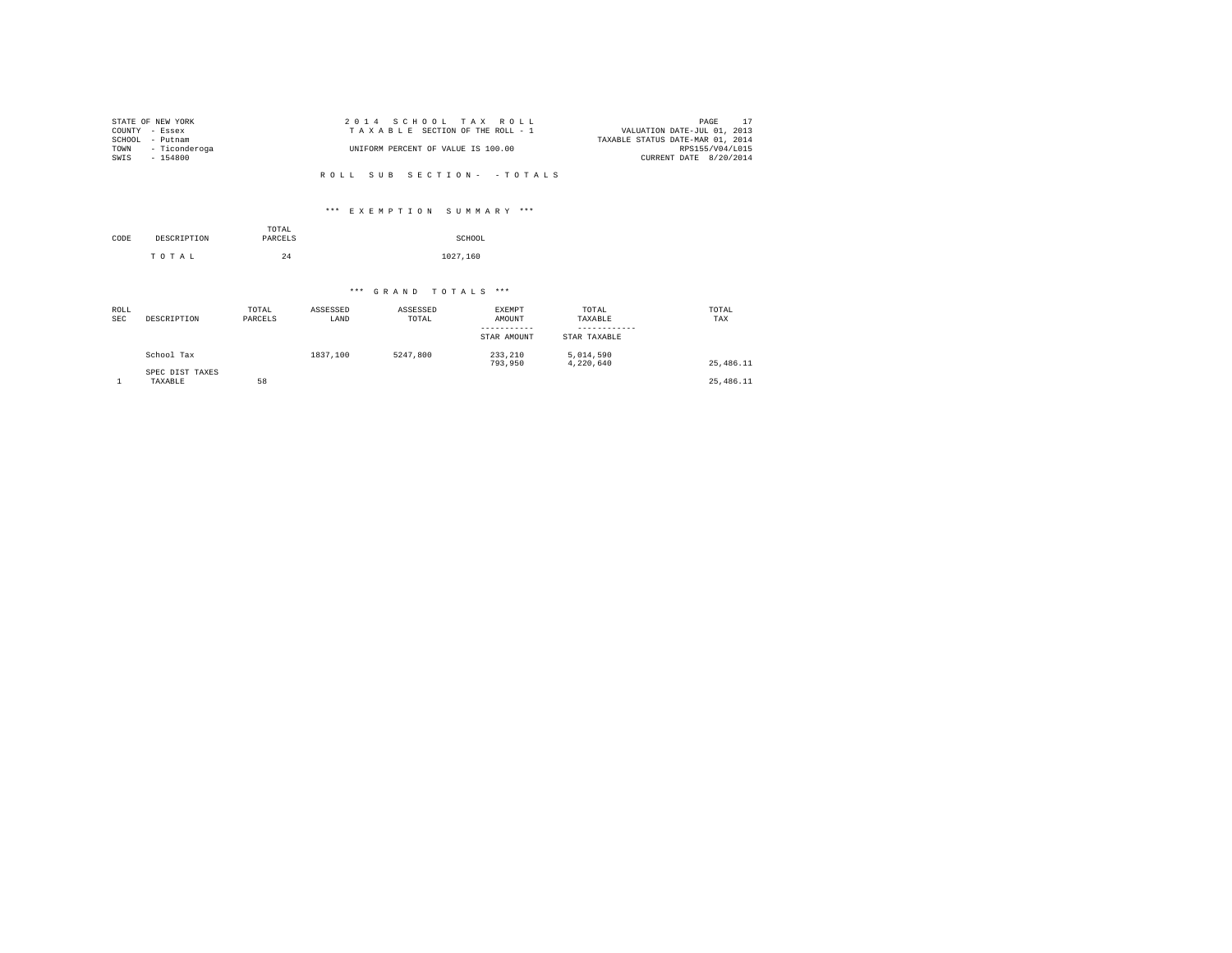|                | STATE OF NEW YORK  | 2014 SCHOOL TAX ROLL               | PAGE 17                          |
|----------------|--------------------|------------------------------------|----------------------------------|
| COUNTY - Essex |                    | TAXABLE SECTION OF THE ROLL - 1    | VALUATION DATE-JUL 01, 2013      |
|                | SCHOOL - Putnam    |                                    | TAXABLE STATUS DATE-MAR 01, 2014 |
|                | TOWN - Ticonderoga | UNIFORM PERCENT OF VALUE IS 100.00 | RPS155/V04/L015                  |
| SWIS           | $-154800$          |                                    | CURRENT DATE 8/20/2014           |
|                |                    |                                    |                                  |
|                |                    | ROLL SUB SECTION- - TOTALS         |                                  |

# \*\*\* E X E M P T I O N S U M M A R Y \*\*\*

| CODE | DESCRIPTION | TOTAL<br>PARCELS | SCHOOL   |
|------|-------------|------------------|----------|
|      | TOTAL       | 24               | 1027,160 |

| ROLL<br><b>SEC</b> | DESCRIPTION                | TOTAL<br>PARCELS | ASSESSED<br>LAND | ASSESSED<br>TOTAL | <b>EXEMPT</b><br>AMOUNT<br>-----------<br>STAR AMOUNT | TOTAL<br>TAXABLE<br>STAR TAXABLE | TOTAL<br>TAX |
|--------------------|----------------------------|------------------|------------------|-------------------|-------------------------------------------------------|----------------------------------|--------------|
|                    | School Tax                 |                  | 1837,100         | 5247,800          | 233,210<br>793.950                                    | 5,014,590<br>4.220.640           | 25,486.11    |
|                    | SPEC DIST TAXES<br>TAXABLE | 58               |                  |                   |                                                       |                                  | 25,486.11    |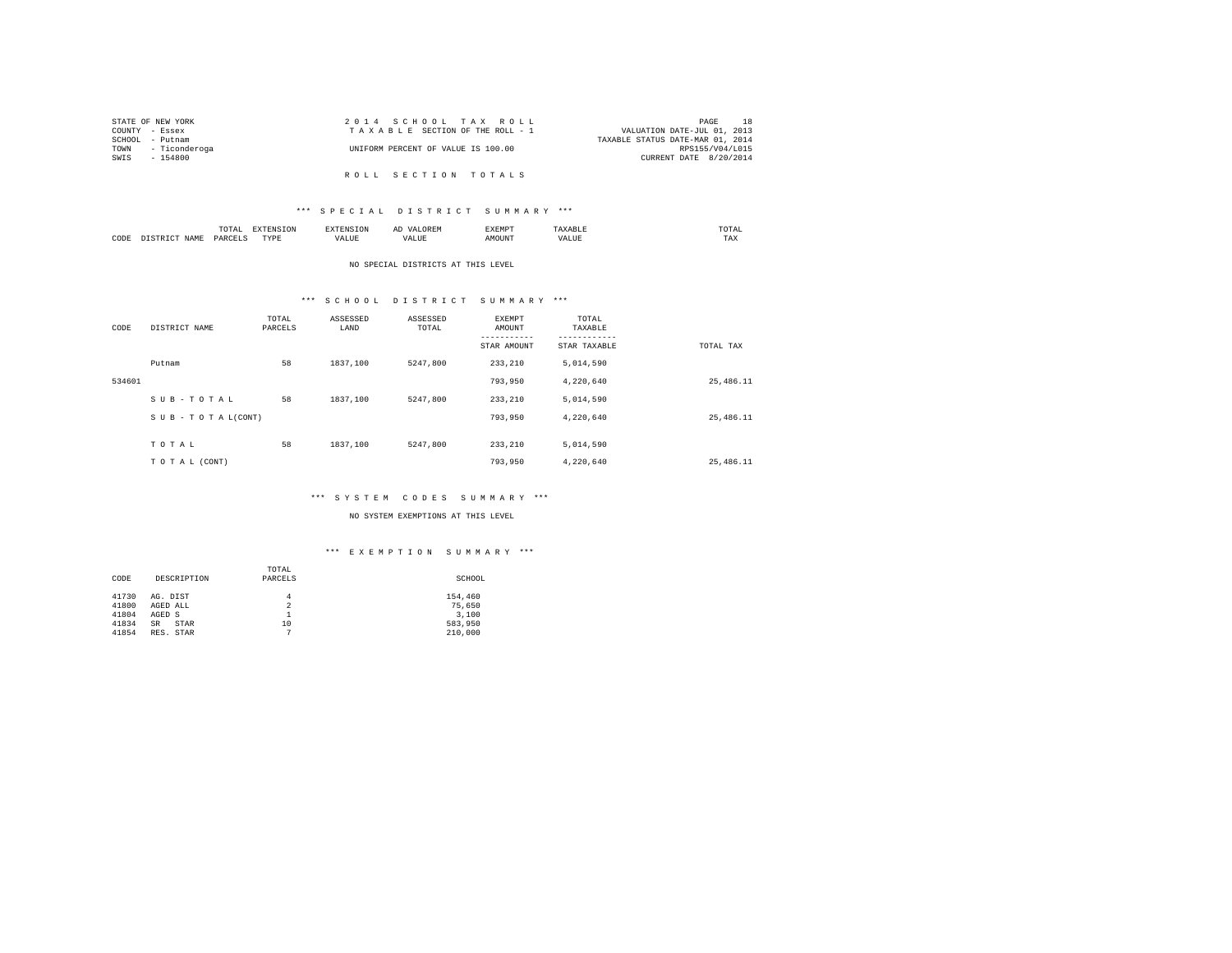| STATE OF NEW YORK  | 2014 SCHOOL TAX ROLL               | PAGE                        | <b>18</b>       |
|--------------------|------------------------------------|-----------------------------|-----------------|
| COUNTY - Essex     | TAXABLE SECTION OF THE ROLL - 1    | VALUATION DATE-JUL 01, 2013 |                 |
| SCHOOL - Putnam    | TAXABLE STATUS DATE-MAR 01, 2014   |                             |                 |
| TOWN - Ticonderoga | UNIFORM PERCENT OF VALUE IS 100.00 |                             | RPS155/V04/L015 |
| SWIS - 154800      |                                    | CURRENT DATE 8/20/2014      |                 |
|                    |                                    |                             |                 |
|                    | ROLL SECTION TOTALS                |                             |                 |

|      |                                                                                                                                 | .<br>the contract of the contract of the contract of |                  |       | . YEMD"       | $m \wedge m \wedge n$<br>the contract of the contract of the contract of |
|------|---------------------------------------------------------------------------------------------------------------------------------|------------------------------------------------------|------------------|-------|---------------|--------------------------------------------------------------------------|
| CODE | <b>STAME</b><br>the contract of the contract of the contract of the contract of the contract of the contract of the contract of | <b>DADC</b>                                          | PVDI<br>1 1 F 13 | 'ALUE | <b>MOTINT</b> | TAX                                                                      |

#### NO SPECIAL DISTRICTS AT THIS LEVEL

# \*\*\* S C H O O L D I S T R I C T S U M M A R Y \*\*\*

| CODE   | DISTRICT NAME      | TOTAL<br>PARCELS | ASSESSED<br>LAND | ASSESSED<br>TOTAL | EXEMPT<br>AMOUNT | TOTAL<br>TAXABLE |             |
|--------|--------------------|------------------|------------------|-------------------|------------------|------------------|-------------|
|        |                    |                  |                  |                   | STAR AMOUNT      | STAR TAXABLE     | TOTAL TAX   |
|        | Putnam             | 58               | 1837,100         | 5247.800          | 233, 210         | 5,014,590        |             |
| 534601 |                    |                  |                  |                   | 793,950          | 4,220,640        | 25,486.11   |
|        | SUB-TOTAL          | 58               | 1837,100         | 5247.800          | 233,210          | 5,014,590        |             |
|        | SUB - TO TAL(CONT) |                  |                  |                   | 793.950          | 4,220,640        | 25,486.11   |
|        |                    |                  |                  |                   |                  |                  |             |
|        | TOTAL              | 58               | 1837,100         | 5247.800          | 233, 210         | 5,014,590        |             |
|        | TO TAL (CONT)      |                  |                  |                   | 793.950          | 4,220,640        | 25, 486, 11 |

#### \*\*\* S Y S T E M C O D E S S U M M A R Y \*\*\*

### NO SYSTEM EXEMPTIONS AT THIS LEVEL

|       |                          | TOTAL          |         |
|-------|--------------------------|----------------|---------|
| CODE  | DESCRIPTION              | PARCELS        | SCHOOL  |
|       |                          |                |         |
| 41730 | AG. DIST                 | 4              | 154,460 |
| 41800 | AGED ALL                 | $\overline{2}$ | 75,650  |
| 41804 | AGED S                   |                | 3,100   |
| 41834 | <b>STAR</b><br><b>SR</b> | 10             | 583,950 |
| 41854 | RES. STAR                | ٠              | 210,000 |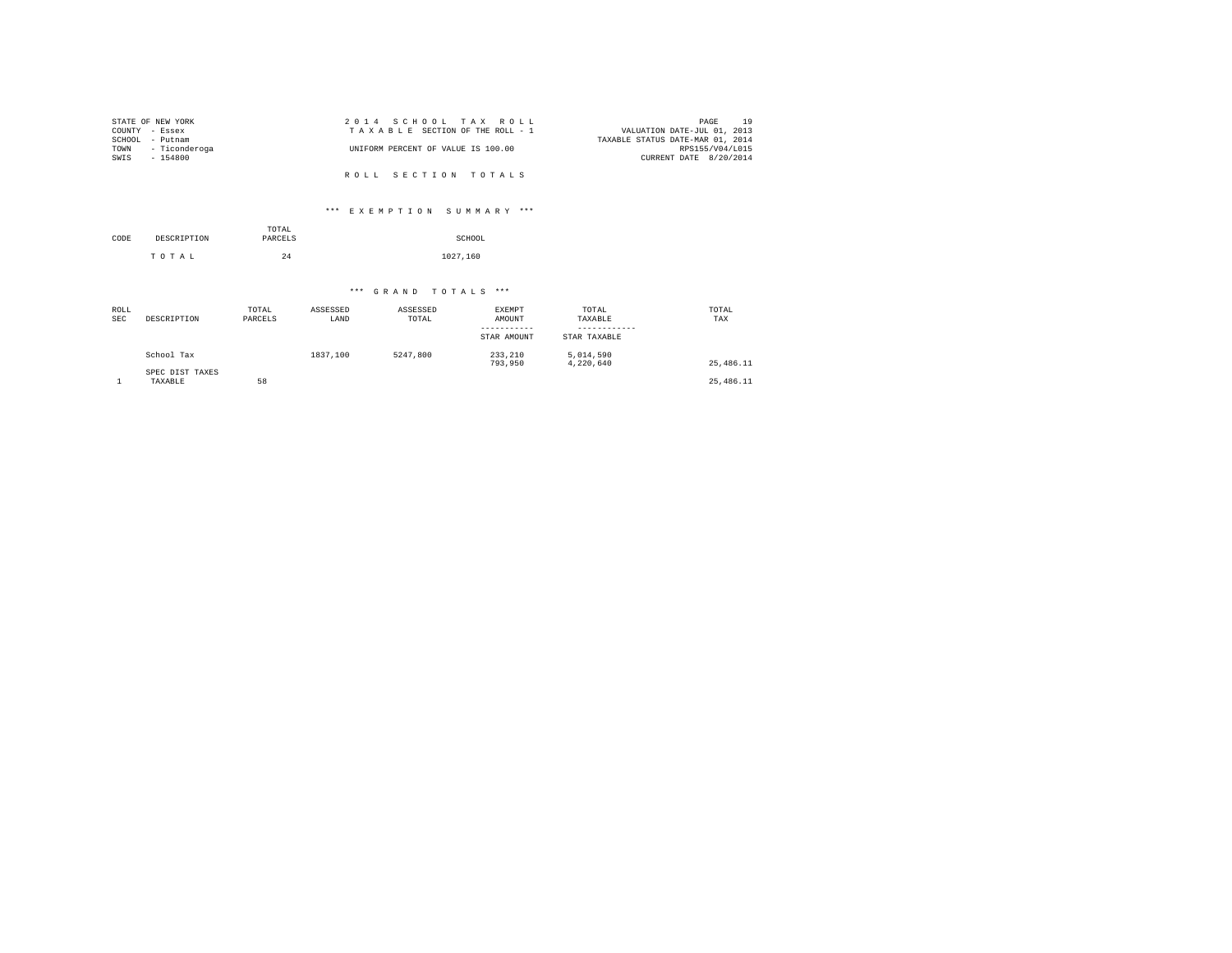| STATE OF NEW YORK  | 2014 SCHOOL TAX ROLL               | PAGE 19                          |
|--------------------|------------------------------------|----------------------------------|
| COUNTY - Essex     | TAXABLE SECTION OF THE ROLL - 1    | VALUATION DATE-JUL 01, 2013      |
| SCHOOL - Putnam    |                                    | TAXABLE STATUS DATE-MAR 01, 2014 |
| TOWN - Ticonderoga | UNIFORM PERCENT OF VALUE IS 100.00 | RPS155/V04/L015                  |
| SWIS<br>$-154800$  |                                    | CURRENT DATE 8/20/2014           |
|                    |                                    |                                  |
|                    | ROLL SECTION TOTALS                |                                  |

# \*\*\* E X E M P T I O N S U M M A R Y \*\*\*

| CODE | DESCRIPTION | TOTAL<br>PARCELS | SCHOOL   |
|------|-------------|------------------|----------|
|      | TOTAL       | 24               | 1027,160 |

| ROLL<br><b>SEC</b> | DESCRIPTION                | TOTAL<br>PARCELS | ASSESSED<br>LAND | ASSESSED<br>TOTAL | <b>EXEMPT</b><br>AMOUNT<br>-----------<br>STAR AMOUNT | TOTAL<br>TAXABLE<br>STAR TAXABLE | TOTAL<br>TAX |
|--------------------|----------------------------|------------------|------------------|-------------------|-------------------------------------------------------|----------------------------------|--------------|
|                    | School Tax                 |                  | 1837,100         | 5247.800          | 233,210<br>793,950                                    | 5,014,590<br>4.220.640           | 25, 486, 11  |
|                    | SPEC DIST TAXES<br>TAXABLE | 58               |                  |                   |                                                       |                                  | 25,486.11    |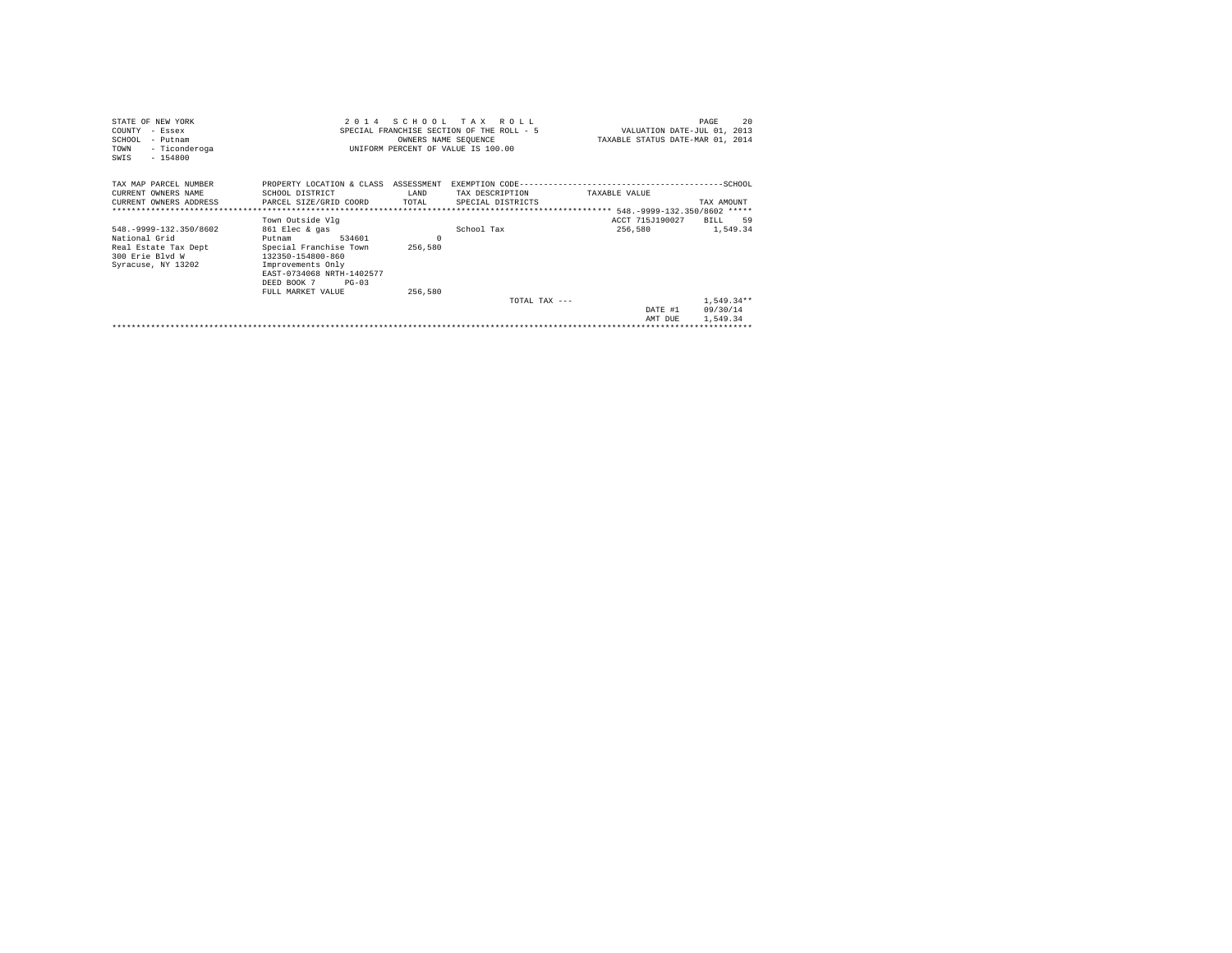| STATE OF NEW YORK<br>- Essex<br>COUNTY<br>SCHOOL<br>- Putnam<br>- Ticonderoga<br>TOWN<br>$-154800$<br>SWIS | 2 0 1 4                                                                                                                                                           | SCHOOL<br>OWNERS NAME SEQUENCE | T A X<br>ROLL.<br>SPECIAL FRANCHISE SECTION OF THE ROLL - 5<br>UNIFORM PERCENT OF VALUE IS 100.00 | VALUATION DATE-JUL 01, 2013<br>TAXABLE STATUS DATE-MAR 01, 2014 | 2.0<br>PAGE                          |
|------------------------------------------------------------------------------------------------------------|-------------------------------------------------------------------------------------------------------------------------------------------------------------------|--------------------------------|---------------------------------------------------------------------------------------------------|-----------------------------------------------------------------|--------------------------------------|
| TAX MAP PARCEL NUMBER<br>CURRENT OWNERS NAME<br>CURRENT OWNERS ADDRESS                                     | PROPERTY LOCATION & CLASS ASSESSMENT<br>SCHOOL DISTRICT<br>PARCEL SIZE/GRID COORD                                                                                 | <b>T.AND</b><br>TOTAL          | TAX DESCRIPTION<br>SPECIAL DISTRICTS                                                              | TAXABLE VALUE                                                   | TAX AMOUNT                           |
|                                                                                                            | Town Outside Vlg                                                                                                                                                  |                                |                                                                                                   | ACCT 715J190027                                                 | BILL 59                              |
| 548. - 9999 - 132. 350/8602                                                                                | 861 Elec & gas                                                                                                                                                    |                                | School Tax                                                                                        | 256,580                                                         | 1,549.34                             |
| National Grid<br>Real Estate Tax Dept<br>300 Erie Blvd W<br>Syracuse, NY 13202                             | 534601<br>Putnam<br>Special Franchise Town<br>132350-154800-860<br>Improvements Only<br>EAST-0734068 NRTH-1402577<br>$PG-0.3$<br>DEED BOOK 7<br>FULL MARKET VALUE | 256,580<br>256,580             |                                                                                                   |                                                                 |                                      |
|                                                                                                            |                                                                                                                                                                   |                                | $TOTAI$ , $TAY = -$                                                                               | DATE #1<br>AMT DUE                                              | $1,549.34**$<br>09/30/14<br>1,549.34 |
|                                                                                                            |                                                                                                                                                                   |                                |                                                                                                   |                                                                 |                                      |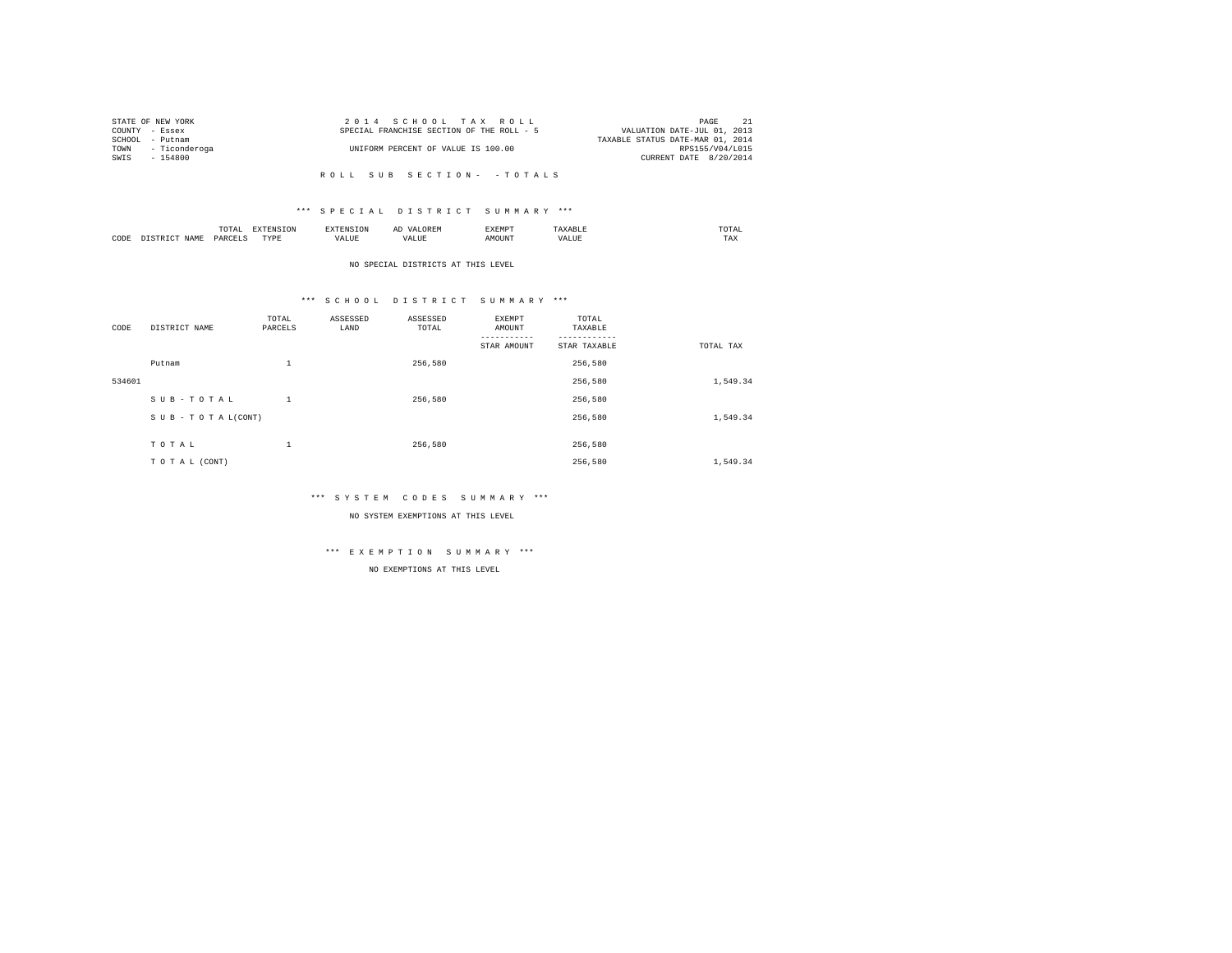|                | STATE OF NEW YORK  |                                           |  | 2014 SCHOOL TAX ROLL               |  |  |                                  | PAGE            | 21 |
|----------------|--------------------|-------------------------------------------|--|------------------------------------|--|--|----------------------------------|-----------------|----|
| COUNTY - Essex |                    | SPECIAL FRANCHISE SECTION OF THE ROLL - 5 |  |                                    |  |  | VALUATION DATE-JUL 01, 2013      |                 |    |
|                | SCHOOL - Putnam    |                                           |  |                                    |  |  | TAXABLE STATUS DATE-MAR 01, 2014 |                 |    |
|                | TOWN - Ticonderoga |                                           |  | UNIFORM PERCENT OF VALUE IS 100.00 |  |  |                                  | RPS155/V04/L015 |    |
|                | SWIS - 154800      |                                           |  |                                    |  |  | CURRENT DATE 8/20/2014           |                 |    |
|                |                    |                                           |  |                                    |  |  |                                  |                 |    |

# \*\*\* S P E C I A L D I S T R I C T S U M M A R Y \*\*\*

|      |      | 10172<br>the contract of the contract of the contract of |                   |  | .XEMP" | $m \wedge m$<br>the contract of the contract of the contract of |
|------|------|----------------------------------------------------------|-------------------|--|--------|-----------------------------------------------------------------|
| CODE | VAMF | סגם                                                      | mirnr<br>٠.,<br>. |  | 100777 | .                                                               |

#### NO SPECIAL DISTRICTS AT THIS LEVEL

# \*\*\* S C H O O L D I S T R I C T S U M M A R Y \*\*\*

| CODE   | DISTRICT NAME      | TOTAL<br>PARCELS | ASSESSED<br>LAND | ASSESSED<br>TOTAL | <b>EXEMPT</b><br>AMOUNT | TOTAL<br>TAXABLE |           |
|--------|--------------------|------------------|------------------|-------------------|-------------------------|------------------|-----------|
|        |                    |                  |                  |                   | STAR AMOUNT             | STAR TAXABLE     | TOTAL TAX |
|        | Putnam             | 1                |                  | 256.580           |                         | 256,580          |           |
| 534601 |                    |                  |                  |                   |                         | 256,580          | 1,549.34  |
|        | SUB-TOTAL          | 1                |                  | 256.580           |                         | 256,580          |           |
|        | SUB - TO TAL(CONT) |                  |                  |                   |                         | 256,580          | 1,549.34  |
|        | TOTAL              | 1                |                  | 256.580           |                         | 256,580          |           |
|        | TO TAL (CONT)      |                  |                  |                   |                         | 256,580          | 1,549.34  |

\*\*\* S Y S T E M C O D E S S U M M A R Y \*\*\*

NO SYSTEM EXEMPTIONS AT THIS LEVEL

\*\*\* E X E M P T I O N S U M M A R Y \*\*\*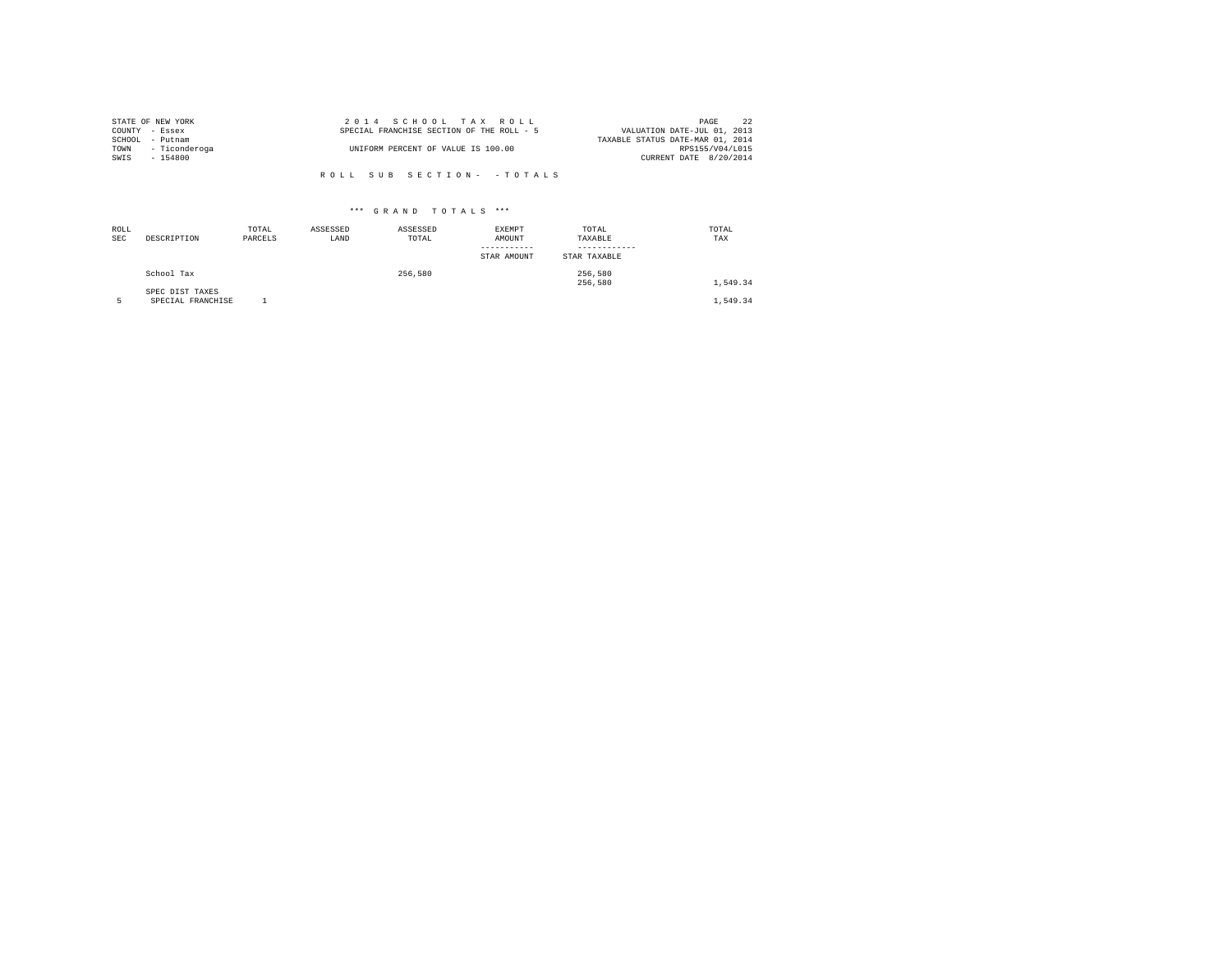| STATE OF NEW YORK  | 2014 SCHOOL TAX ROLL                      |  |                                  | PAGE            | 2.2 |
|--------------------|-------------------------------------------|--|----------------------------------|-----------------|-----|
| COUNTY - Essex     | SPECIAL FRANCHISE SECTION OF THE ROLL - 5 |  | VALUATION DATE-JUL 01, 2013      |                 |     |
| SCHOOL - Putnam    |                                           |  | TAXABLE STATUS DATE-MAR 01, 2014 |                 |     |
| TOWN - Ticonderoga | UNIFORM PERCENT OF VALUE IS 100.00        |  |                                  | RPS155/V04/L015 |     |
| SWIS - 154800      |                                           |  | CURRENT DATE 8/20/2014           |                 |     |
|                    |                                           |  |                                  |                 |     |

| ROLL<br>SEC | DESCRIPTION                          | TOTAL<br>PARCELS | ASSESSED<br>LAND | ASSESSED<br>TOTAL | <b>EXEMPT</b><br>AMOUNT | TOTAL<br>TAXABLE   | TOTAL<br>TAX |
|-------------|--------------------------------------|------------------|------------------|-------------------|-------------------------|--------------------|--------------|
|             |                                      |                  |                  |                   | STAR AMOUNT             | STAR TAXABLE       |              |
|             | School Tax                           |                  |                  | 256,580           |                         | 256.580<br>256.580 | 1,549.34     |
|             | SPEC DIST TAXES<br>SPECIAL FRANCHISE |                  |                  |                   |                         |                    | 1.549.34     |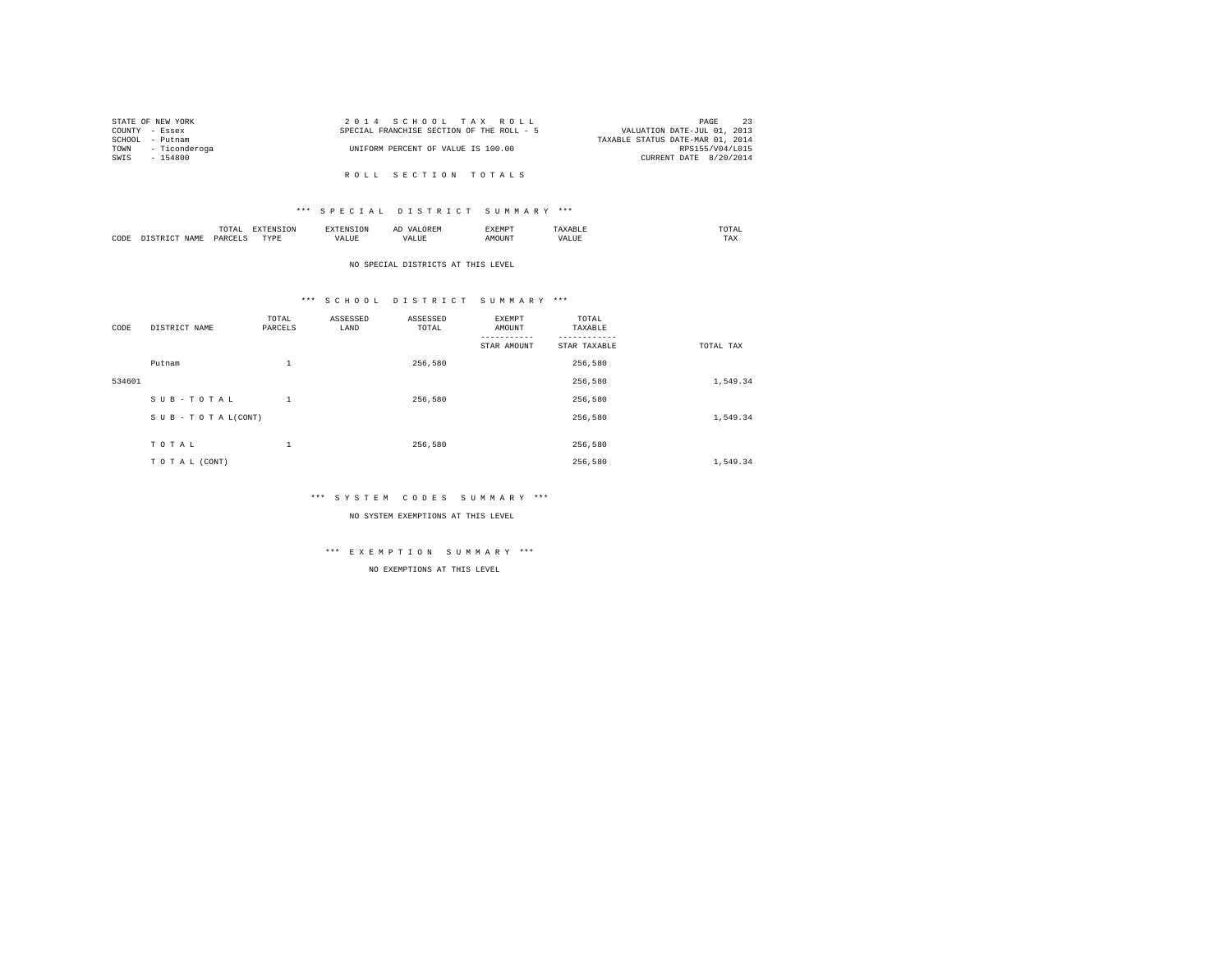| STATE OF NEW YORK  | 2014 SCHOOL TAX ROLL                      | 23<br>PAGE                       |  |
|--------------------|-------------------------------------------|----------------------------------|--|
| COUNTY - Essex     | SPECIAL FRANCHISE SECTION OF THE ROLL - 5 | VALUATION DATE-JUL 01, 2013      |  |
| SCHOOL - Putnam    |                                           | TAXABLE STATUS DATE-MAR 01, 2014 |  |
| TOWN - Ticonderoga | UNIFORM PERCENT OF VALUE IS 100.00        | RPS155/V04/L015                  |  |
| SWIS - 154800      |                                           | CURRENT DATE 8/20/2014           |  |
|                    |                                           |                                  |  |
|                    | ROLL SECTION TOTALS                       |                                  |  |

|      |      | $m \wedge m$<br>--- |                  |             | OR EM<br>n 1<br>--<br><b>NURBIA</b><br>$\sim$ | EXEMPT |                   | moma |
|------|------|---------------------|------------------|-------------|-----------------------------------------------|--------|-------------------|------|
| CODE | MAMI | <b>DARGET</b>       | <b>TVDP</b><br>. | <b>ALUE</b> | VALUL                                         | ™OUN⊥  | ALUE<br><u>ид</u> | TAX  |

## NO SPECIAL DISTRICTS AT THIS LEVEL

# \*\*\* S C H O O L D I S T R I C T S U M M A R Y \*\*\*

| CODE   | DISTRICT NAME   | TOTAL<br>PARCELS | ASSESSED<br>LAND | ASSESSED<br>TOTAL | <b>EXEMPT</b><br>AMOUNT | TOTAL<br>TAXABLE |           |
|--------|-----------------|------------------|------------------|-------------------|-------------------------|------------------|-----------|
|        |                 |                  |                  |                   | STAR AMOUNT             | STAR TAXABLE     | TOTAL TAX |
|        | Putnam          | $\mathbf{1}$     |                  | 256,580           |                         | 256,580          |           |
| 534601 |                 |                  |                  |                   |                         | 256.580          | 1,549.34  |
|        | SUB-TOTAL       | 1                |                  | 256,580           |                         | 256.580          |           |
|        | SUB-TOTAL(CONT) |                  |                  |                   |                         | 256,580          | 1,549.34  |
|        |                 | ٠                |                  |                   |                         |                  |           |
|        | TOTAL           | л.               |                  | 256.580           |                         | 256,580          |           |
|        | TO TAL (CONT)   |                  |                  |                   |                         | 256,580          | 1,549.34  |

#### \*\*\* S Y S T E M C O D E S S U M M A R Y \*\*\*

NO SYSTEM EXEMPTIONS AT THIS LEVEL

# \*\*\* E X E M P T I O N S U M M A R Y \*\*\*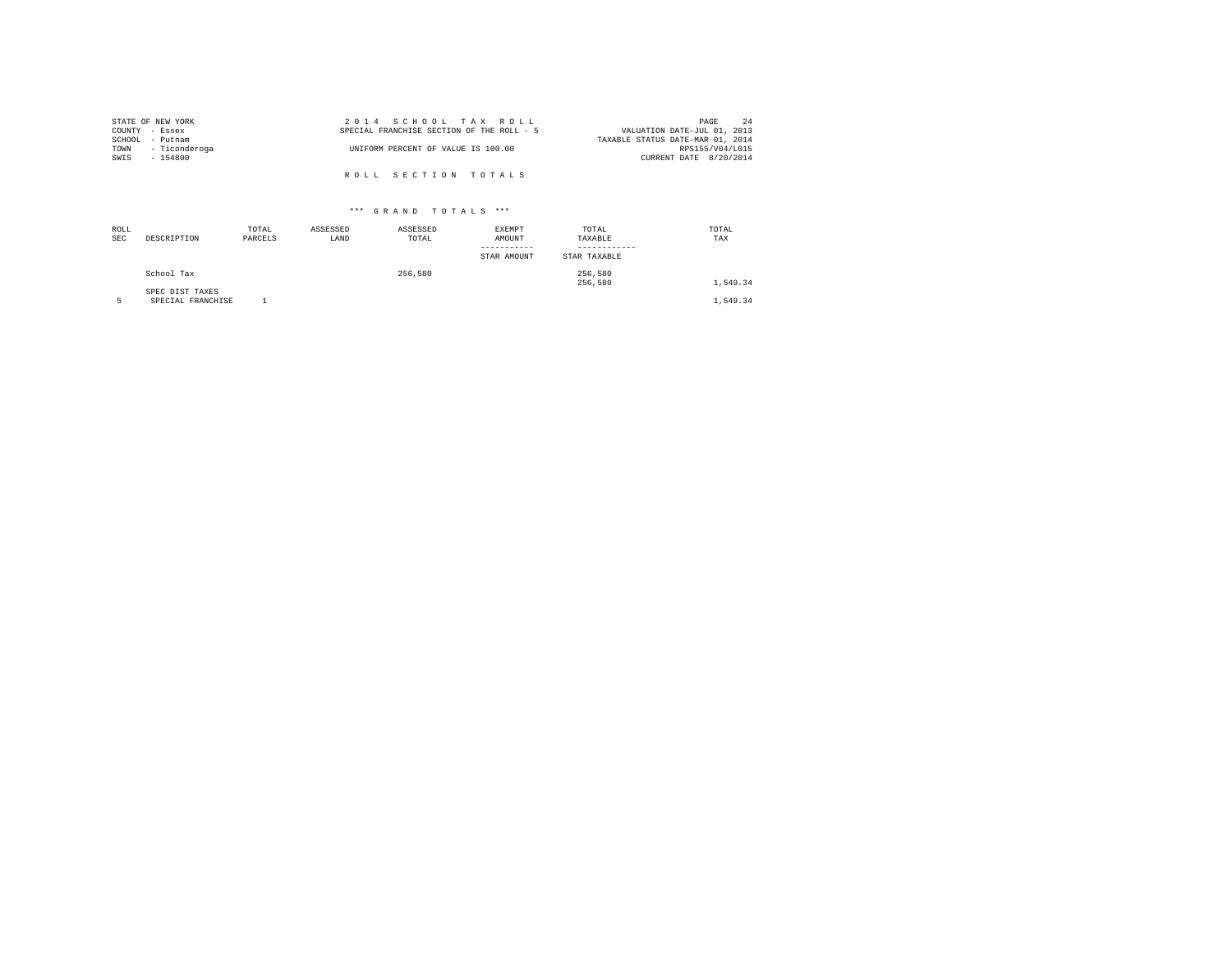| STATE OF NEW YORK  | 2014 SCHOOL TAX ROLL                      | 2.4<br>PAGE                      |
|--------------------|-------------------------------------------|----------------------------------|
| COUNTY - Essex     | SPECIAL FRANCHISE SECTION OF THE ROLL - 5 | VALUATION DATE-JUL 01, 2013      |
| SCHOOL - Putnam    |                                           | TAXABLE STATUS DATE-MAR 01, 2014 |
| TOWN - Ticonderoga | UNIFORM PERCENT OF VALUE IS 100.00        | RPS155/V04/L015                  |
| SWIS<br>$-154800$  |                                           | CURRENT DATE 8/20/2014           |
|                    | ROLL SECTION TOTALS                       |                                  |

| ROLL<br>SEC | DESCRIPTION                          | TOTAL<br>PARCELS | ASSESSED<br>LAND | ASSESSED<br>TOTAL | <b>EXEMPT</b><br>AMOUNT | TOTAL<br>TAXABLE   | TOTAL<br>TAX |
|-------------|--------------------------------------|------------------|------------------|-------------------|-------------------------|--------------------|--------------|
|             |                                      |                  |                  |                   | STAR AMOUNT             | STAR TAXABLE       |              |
|             | School Tax                           |                  |                  | 256,580           |                         | 256.580<br>256.580 | 1,549.34     |
|             | SPEC DIST TAXES<br>SPECIAL FRANCHISE |                  |                  |                   |                         |                    | 1.549.34     |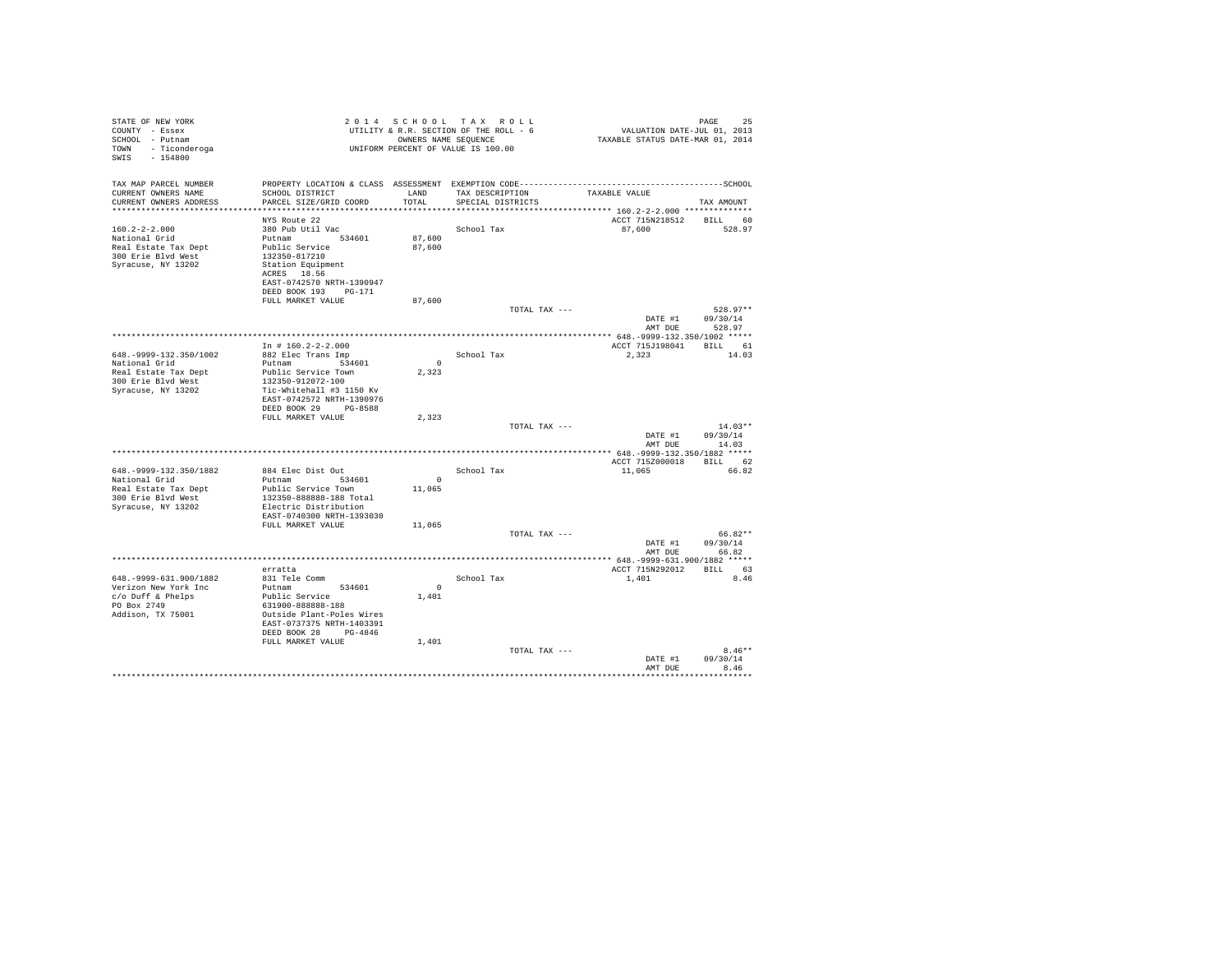| STATE OF NEW YORK<br>COUNTY - Essex<br>SCHOOL - Putnam<br>TOWN - Ticonderoga<br>$-154800$<br>SWIS |                                                                               |                          | 2014 SCHOOL TAX ROLL<br>UTILITY & R.R. SECTION OF THE ROLL - 6<br>OWNERS NAME SEQUENCE<br>UNIFORM PERCENT OF VALUE IS 100.00 | VALUATION DATE-JUL 01, 2013<br>TAXABLE STATUS DATE-MAR 01, 2014 | PAGE<br>25           |
|---------------------------------------------------------------------------------------------------|-------------------------------------------------------------------------------|--------------------------|------------------------------------------------------------------------------------------------------------------------------|-----------------------------------------------------------------|----------------------|
| TAX MAP PARCEL NUMBER                                                                             | PROPERTY LOCATION & CLASS ASSESSMENT EXEMPTION CODE-------------------------- |                          |                                                                                                                              |                                                                 | ------------SCHOOL   |
| CURRENT OWNERS NAME<br>CURRENT OWNERS ADDRESS                                                     | SCHOOL DISTRICT<br>PARCEL SIZE/GRID COORD                                     | TOTAL                    | LAND TAX DESCRIPTION<br>SPECIAL DISTRICTS                                                                                    | TAXABLE VALUE                                                   | TAX AMOUNT           |
|                                                                                                   |                                                                               |                          |                                                                                                                              |                                                                 |                      |
|                                                                                                   | NYS Route 22                                                                  |                          |                                                                                                                              | ACCT 715N218512 BILL 60                                         |                      |
| $160.2 - 2 - 2.000$                                                                               | 380 Pub Util Vac                                                              |                          | School Tax                                                                                                                   | 87.600                                                          | 528.97               |
| National Grid                                                                                     | Putnam 534601                                                                 | 87,600                   |                                                                                                                              |                                                                 |                      |
| Real Estate Tax Dept                                                                              | Public Service                                                                | 87,600                   |                                                                                                                              |                                                                 |                      |
| 300 Erie Blvd West<br>Syracuse, NY 13202                                                          | 132350-817210<br>Station Equipment                                            |                          |                                                                                                                              |                                                                 |                      |
|                                                                                                   | ACRES 18.56                                                                   |                          |                                                                                                                              |                                                                 |                      |
|                                                                                                   | EAST-0742570 NRTH-1390947                                                     |                          |                                                                                                                              |                                                                 |                      |
|                                                                                                   | DEED BOOK 193 PG-171                                                          |                          |                                                                                                                              |                                                                 |                      |
|                                                                                                   | FULL MARKET VALUE                                                             | 87,600                   |                                                                                                                              |                                                                 |                      |
|                                                                                                   |                                                                               |                          | TOTAL TAX ---                                                                                                                | DATE #1                                                         | 528.97**<br>09/30/14 |
|                                                                                                   |                                                                               |                          |                                                                                                                              | AMT DUE                                                         | 528.97               |
|                                                                                                   |                                                                               |                          |                                                                                                                              |                                                                 |                      |
|                                                                                                   | In $# 160.2 - 2 - 2.000$                                                      |                          |                                                                                                                              | ACCT 715J198041 BILL 61                                         |                      |
| 648. - 9999 - 132. 350/1002<br>National Grid                                                      | 882 Elec Trans Imp<br>Putnam 534601                                           | $\overline{\phantom{0}}$ | School Tax                                                                                                                   | 2.323                                                           | 14.03                |
| Real Estate Tax Dept                                                                              | Public Service Town                                                           | 2.323                    |                                                                                                                              |                                                                 |                      |
| 300 Erie Blvd West                                                                                | 132350-912072-100                                                             |                          |                                                                                                                              |                                                                 |                      |
| Syracuse, NY 13202                                                                                | Tic-Whitehall #3 1150 Kv                                                      |                          |                                                                                                                              |                                                                 |                      |
|                                                                                                   | EAST-0742572 NRTH-1390976                                                     |                          |                                                                                                                              |                                                                 |                      |
|                                                                                                   | DEED BOOK 29 PG-8588<br>FULL MARKET VALUE                                     | 2,323                    |                                                                                                                              |                                                                 |                      |
|                                                                                                   |                                                                               |                          | TOTAL TAX ---                                                                                                                |                                                                 | $14.03**$            |
|                                                                                                   |                                                                               |                          |                                                                                                                              | DATE #1                                                         | 09/30/14             |
|                                                                                                   |                                                                               |                          |                                                                                                                              |                                                                 | AMT DUE 14.03        |
|                                                                                                   |                                                                               |                          |                                                                                                                              |                                                                 |                      |
| 648. - 9999-132. 350/1882                                                                         | 884 Elec Dist Out                                                             |                          | School Tax                                                                                                                   | ACCT 7152000018 BILL 62<br>11,065                               | 66.82                |
| National Grid                                                                                     | Putnam 534601                                                                 | $\sim$                   |                                                                                                                              |                                                                 |                      |
| Real Estate Tax Dept                                                                              | Public Service Town                                                           | 11,065                   |                                                                                                                              |                                                                 |                      |
| 300 Erie Blvd West                                                                                | 132350-888888-188 Total                                                       |                          |                                                                                                                              |                                                                 |                      |
| Syracuse, NY 13202                                                                                | Electric Distribution                                                         |                          |                                                                                                                              |                                                                 |                      |
|                                                                                                   | EAST-0740300 NRTH-1393030<br>FULL MARKET VALUE                                | 11,065                   |                                                                                                                              |                                                                 |                      |
|                                                                                                   |                                                                               |                          | TOTAL TAX ---                                                                                                                |                                                                 | 66.82**              |
|                                                                                                   |                                                                               |                          |                                                                                                                              | DATE #1                                                         | 09/30/14             |
|                                                                                                   |                                                                               |                          |                                                                                                                              | AMT DUE                                                         | 66.82                |
|                                                                                                   |                                                                               |                          |                                                                                                                              |                                                                 |                      |
| 648. - 9999-631. 900/1882                                                                         | erratta<br>831 Tele Comm                                                      |                          | School Tax                                                                                                                   | ACCT 715N292012 BILL 63<br>1,401                                | 8.46                 |
| Verizon New York Inc                                                                              | Putnam 534601                                                                 | $\Omega$                 |                                                                                                                              |                                                                 |                      |
| c/o Duff & Phelps                                                                                 | Public Service                                                                | 1,401                    |                                                                                                                              |                                                                 |                      |
| PO Box 2749                                                                                       | 631900-888888-188                                                             |                          |                                                                                                                              |                                                                 |                      |
| Addison, TX 75001                                                                                 | Outside Plant-Poles Wires<br>EAST-0737375 NRTH-1403391                        |                          |                                                                                                                              |                                                                 |                      |
|                                                                                                   | DEED BOOK 28 PG-4846                                                          |                          |                                                                                                                              |                                                                 |                      |
|                                                                                                   | FULL MARKET VALUE                                                             | 1,401                    |                                                                                                                              |                                                                 |                      |
|                                                                                                   |                                                                               |                          | TOTAL TAX ---                                                                                                                |                                                                 | $8.46**$             |
|                                                                                                   |                                                                               |                          |                                                                                                                              | DATE #1                                                         | 09/30/14             |
|                                                                                                   |                                                                               |                          |                                                                                                                              | AMT DUE                                                         | 8.46                 |
|                                                                                                   |                                                                               |                          |                                                                                                                              |                                                                 |                      |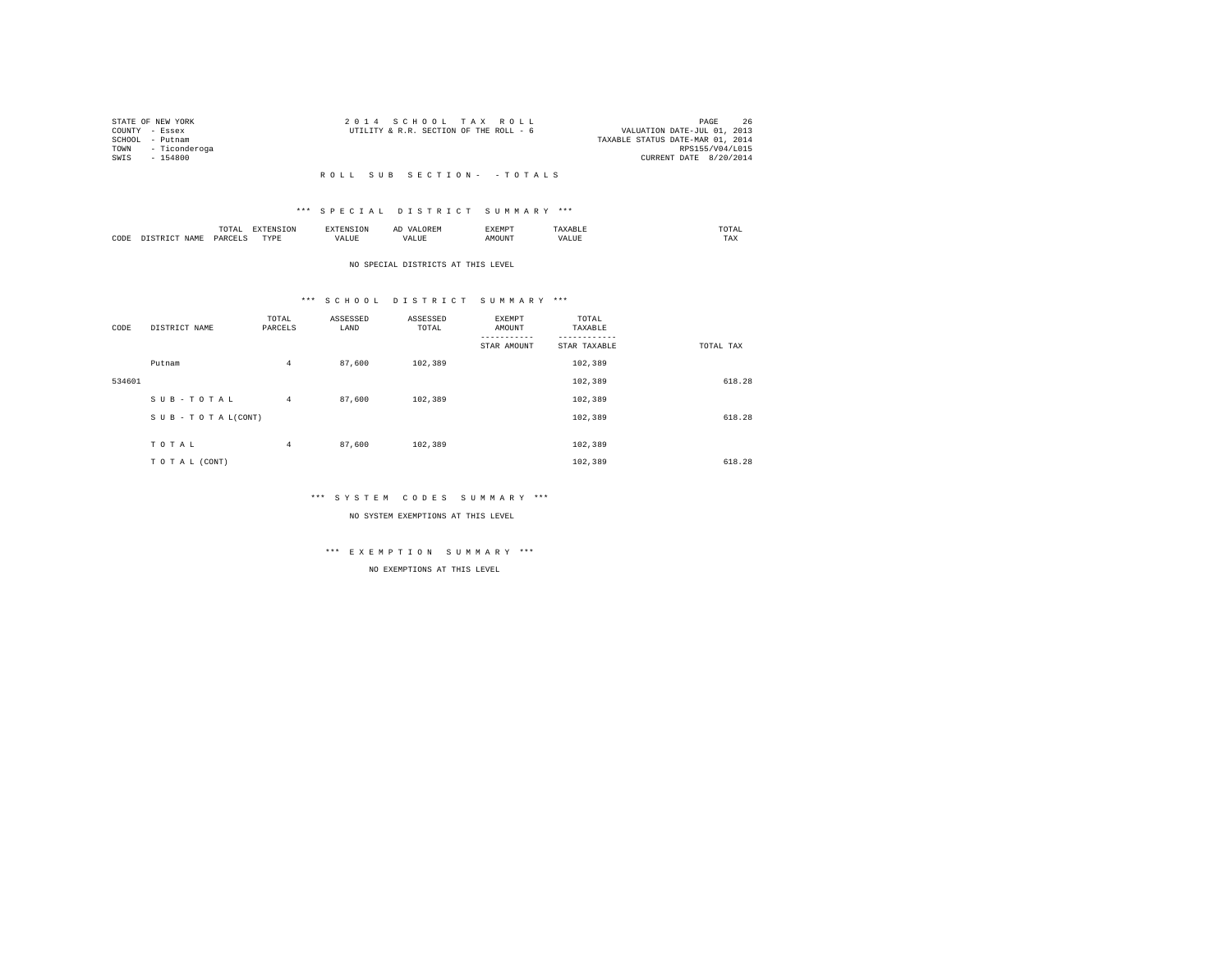| STATE OF NEW YORK |                    | 2014 SCHOOL TAX ROLL                   |  |  |                                  |                        | PAGE            | 26 |
|-------------------|--------------------|----------------------------------------|--|--|----------------------------------|------------------------|-----------------|----|
| COUNTY - Essex    |                    | UTILITY & R.R. SECTION OF THE ROLL - 6 |  |  | VALUATION DATE-JUL 01, 2013      |                        |                 |    |
| SCHOOL - Putnam   |                    |                                        |  |  | TAXABLE STATUS DATE-MAR 01, 2014 |                        |                 |    |
|                   | TOWN - Ticonderoga |                                        |  |  |                                  |                        | RPS155/V04/L015 |    |
| SWTS - 154800     |                    |                                        |  |  |                                  | CURRENT DATE 8/20/2014 |                 |    |
|                   |                    |                                        |  |  |                                  |                        |                 |    |

# \*\*\* S P E C I A L D I S T R I C T S U M M A R Y \*\*\*

|      |             | $m \wedge m \wedge n$<br><br>the contract of the contract of the contract of |           | אד ה                | ، سدا | <b>YEMPT</b>  |                     | moma:<br>the contract of the contract of the contract of |
|------|-------------|------------------------------------------------------------------------------|-----------|---------------------|-------|---------------|---------------------|----------------------------------------------------------|
| CODE | <b>CAM"</b> | JADCE.<br>ALL V                                                              | TVDF<br>. | <b><i>IALUE</i></b> | VALUE | <b>MOTINT</b> | /ALUE<br>, <u>n</u> | TAX                                                      |

### NO SPECIAL DISTRICTS AT THIS LEVEL

# \*\*\* S C H O O L D I S T R I C T S U M M A R Y \*\*\*

| CODE   | DISTRICT NAME      | TOTAL<br>PARCELS | ASSESSED<br>LAND | ASSESSED<br>TOTAL | <b>EXEMPT</b><br>AMOUNT | TOTAL<br>TAXABLE |           |
|--------|--------------------|------------------|------------------|-------------------|-------------------------|------------------|-----------|
|        |                    |                  |                  |                   | STAR AMOUNT             | STAR TAXABLE     | TOTAL TAX |
|        | Putnam             | $\overline{4}$   | 87,600           | 102,389           |                         | 102,389          |           |
| 534601 |                    |                  |                  |                   |                         | 102,389          | 618.28    |
|        | SUB-TOTAL          | $\overline{4}$   | 87,600           | 102,389           |                         | 102,389          |           |
|        | SUB - TO TAL(CONT) |                  |                  |                   |                         | 102,389          | 618.28    |
|        |                    |                  |                  |                   |                         |                  |           |
|        | TOTAL              | $\overline{4}$   | 87,600           | 102,389           |                         | 102,389          |           |
|        | TO TAL (CONT)      |                  |                  |                   |                         | 102,389          | 618.28    |

#### \*\*\* S Y S T E M C O D E S S U M M A R Y \*\*\*

NO SYSTEM EXEMPTIONS AT THIS LEVEL

# \*\*\* E X E M P T I O N S U M M A R Y \*\*\*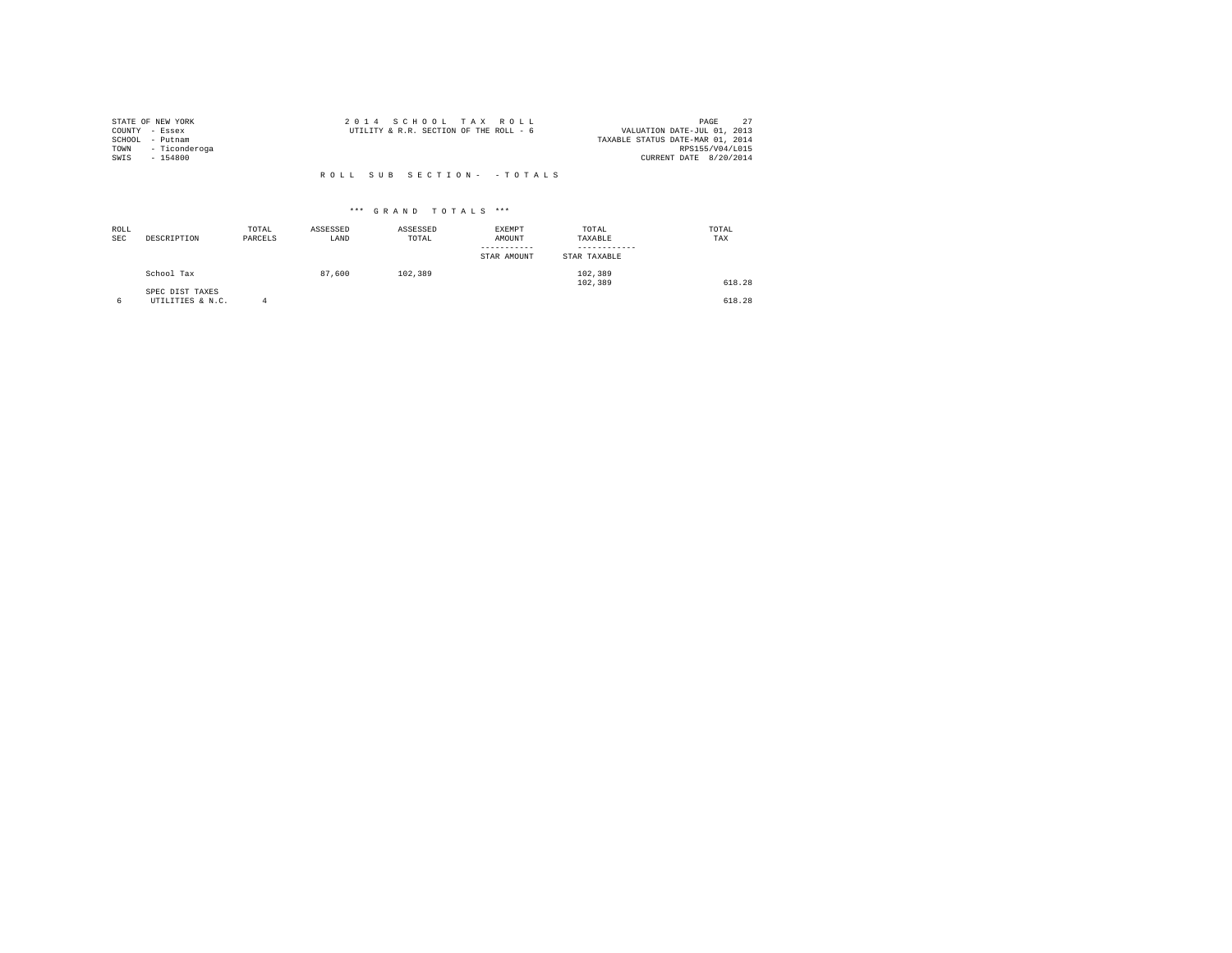| STATE OF NEW YORK |                    | 2014 SCHOOL TAX ROLL                   |  |                                  | PAGE            | 27 |
|-------------------|--------------------|----------------------------------------|--|----------------------------------|-----------------|----|
| COUNTY - Essex    |                    | UTILITY & R.R. SECTION OF THE ROLL - 6 |  | VALUATION DATE-JUL 01, 2013      |                 |    |
| SCHOOL - Putnam   |                    |                                        |  | TAXABLE STATUS DATE-MAR 01, 2014 |                 |    |
|                   | TOWN - Ticonderoga |                                        |  |                                  | RPS155/V04/L015 |    |
| SWTS - 154800     |                    |                                        |  | CURRENT DATE 8/20/2014           |                 |    |
|                   |                    |                                        |  |                                  |                 |    |

| ROLL<br><b>SEC</b> | DESCRIPTION                         | TOTAL<br>PARCELS | ASSESSED<br>LAND | ASSESSED<br>TOTAL | EXEMPT<br>AMOUNT<br>-----------<br>STAR AMOUNT | TOTAL<br>TAXABLE<br>STAR TAXABLE | TOTAL<br>TAX |
|--------------------|-------------------------------------|------------------|------------------|-------------------|------------------------------------------------|----------------------------------|--------------|
|                    | School Tax                          |                  | 87,600           | 102,389           |                                                | 102,389<br>102,389               | 618.28       |
|                    | SPEC DIST TAXES<br>UTILITIES & N.C. |                  |                  |                   |                                                |                                  | 618.28       |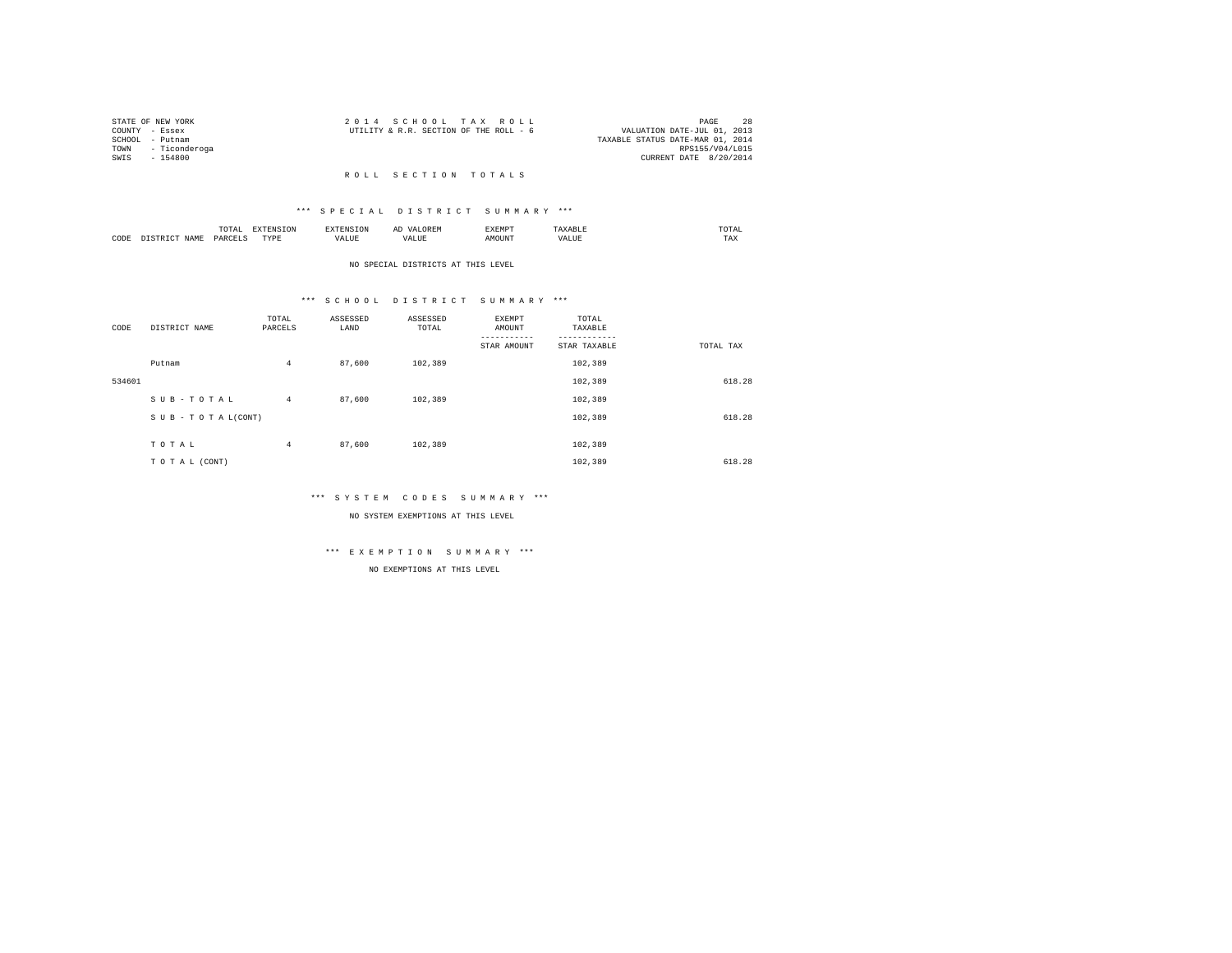| STATE OF NEW YORK |                    | 2014 SCHOOL TAX ROLL                   |  |  |                                  | PAGE                   | 2.8 |
|-------------------|--------------------|----------------------------------------|--|--|----------------------------------|------------------------|-----|
| COUNTY - Essex    |                    | UTILITY & R.R. SECTION OF THE ROLL - 6 |  |  | VALUATION DATE-JUL 01, 2013      |                        |     |
| SCHOOL - Putnam   |                    |                                        |  |  | TAXABLE STATUS DATE-MAR 01, 2014 |                        |     |
|                   | TOWN - Ticonderoga |                                        |  |  |                                  | RPS155/V04/L015        |     |
| SWTS - 154800     |                    |                                        |  |  |                                  | CURRENT DATE 8/20/2014 |     |
|                   |                    |                                        |  |  |                                  |                        |     |

# R O L L S E C T I O N T O T A L S

# \*\*\* S P E C I A L D I S T R I C T S U M M A R Y \*\*\*

|      |             | TOTAL  |           |       | AĽ<br>$\cdots$<br>. | <b>EXEMPT</b><br>. | <b>DT</b>   | moma |
|------|-------------|--------|-----------|-------|---------------------|--------------------|-------------|------|
| CODE | <b>TAM1</b> | PARCET | TUVE<br>. | /ALUE | الالاستحداد         | <b>MOTTNIT</b>     | ALUE<br>7 A | TAX  |

### NO SPECIAL DISTRICTS AT THIS LEVEL

# \*\*\* S C H O O L D I S T R I C T S U M M A R Y \*\*\*

| CODE   | DISTRICT NAME      | TOTAL<br>PARCELS | ASSESSED<br>LAND | ASSESSED<br>TOTAL | <b>EXEMPT</b><br>AMOUNT | TOTAL<br>TAXABLE |           |
|--------|--------------------|------------------|------------------|-------------------|-------------------------|------------------|-----------|
|        |                    |                  |                  |                   | STAR AMOUNT             | STAR TAXABLE     | TOTAL TAX |
|        | Putnam             | $\overline{4}$   | 87,600           | 102,389           |                         | 102,389          |           |
| 534601 |                    |                  |                  |                   |                         | 102,389          | 618.28    |
|        | SUB-TOTAL          | $\overline{4}$   | 87,600           | 102,389           |                         | 102,389          |           |
|        | SUB - TO TAL(CONT) |                  |                  |                   |                         | 102,389          | 618.28    |
|        |                    |                  |                  |                   |                         |                  |           |
|        | TOTAL              | $\overline{4}$   | 87,600           | 102,389           |                         | 102,389          |           |
|        | TO TAL (CONT)      |                  |                  |                   |                         | 102,389          | 618.28    |

#### \*\*\* S Y S T E M C O D E S S U M M A R Y \*\*\*

NO SYSTEM EXEMPTIONS AT THIS LEVEL

# \*\*\* E X E M P T I O N S U M M A R Y \*\*\*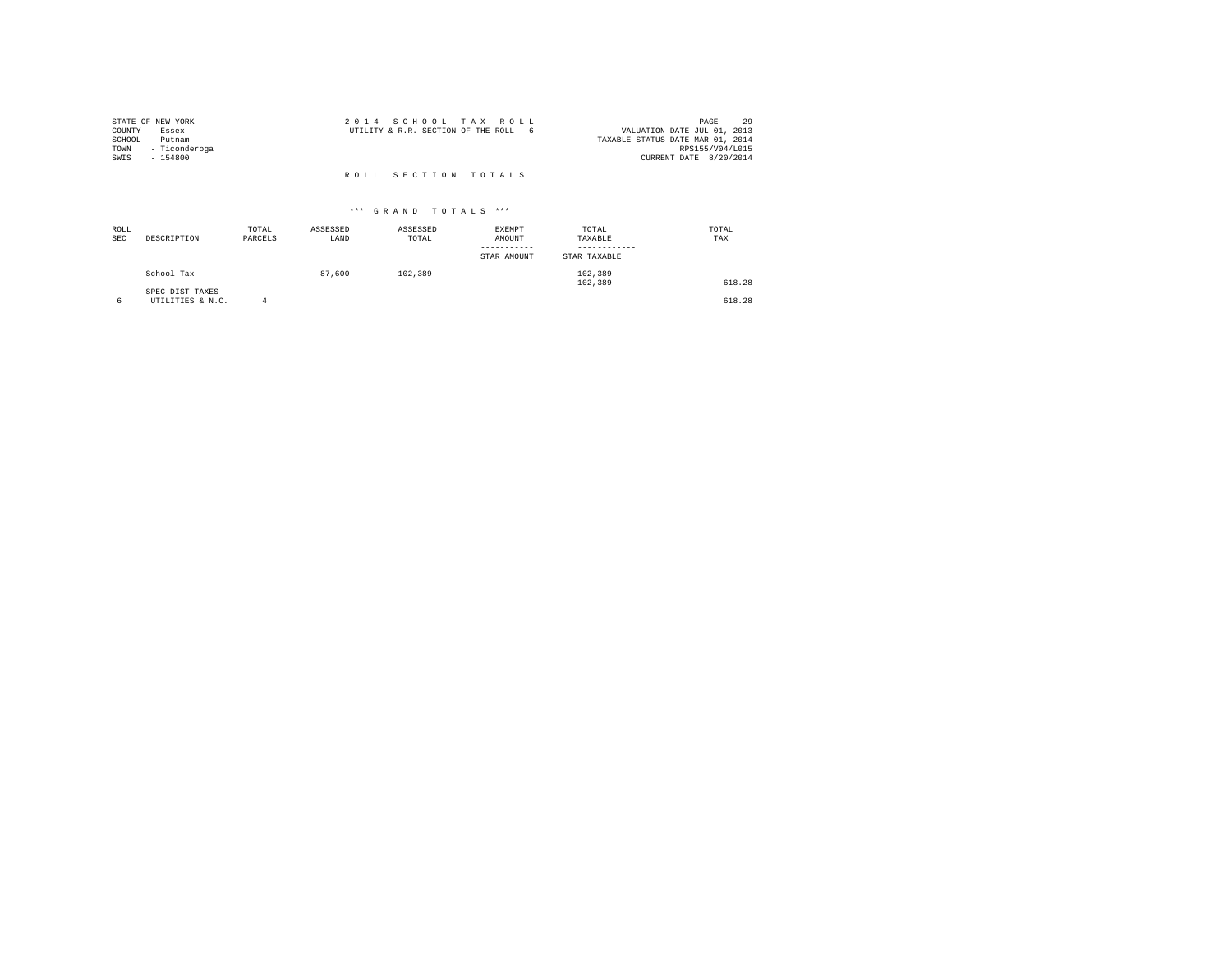|                | STATE OF NEW YORK  | 2014 SCHOOL TAX ROLL                   |  |  |                                  |                        | PAGE | 29 |
|----------------|--------------------|----------------------------------------|--|--|----------------------------------|------------------------|------|----|
| COUNTY - Essex |                    | UTILITY & R.R. SECTION OF THE ROLL - 6 |  |  | VALUATION DATE-JUL 01, 2013      |                        |      |    |
|                | SCHOOL - Putnam    |                                        |  |  | TAXABLE STATUS DATE-MAR 01, 2014 |                        |      |    |
|                | TOWN - Ticonderoga |                                        |  |  |                                  | RPS155/V04/L015        |      |    |
| SWIS           | $-154800$          |                                        |  |  |                                  | CURRENT DATE 8/20/2014 |      |    |
|                |                    |                                        |  |  |                                  |                        |      |    |
|                |                    | ROLL SECTION TOTALS                    |  |  |                                  |                        |      |    |

| ROLL<br>SEC | DESCRIPTION                         | TOTAL<br>PARCELS | ASSESSED<br>LAND | ASSESSED<br>TOTAL | <b>EXEMPT</b><br>AMOUNT<br>----------<br>STAR AMOUNT | TOTAL<br>TAXABLE<br>STAR TAXABLE | TOTAL<br>TAX |
|-------------|-------------------------------------|------------------|------------------|-------------------|------------------------------------------------------|----------------------------------|--------------|
|             | School Tax                          |                  | 87,600           | 102,389           |                                                      | 102,389<br>102,389               | 618.28       |
| 6           | SPEC DIST TAXES<br>UTILITIES & N.C. | а                |                  |                   |                                                      |                                  | 618.28       |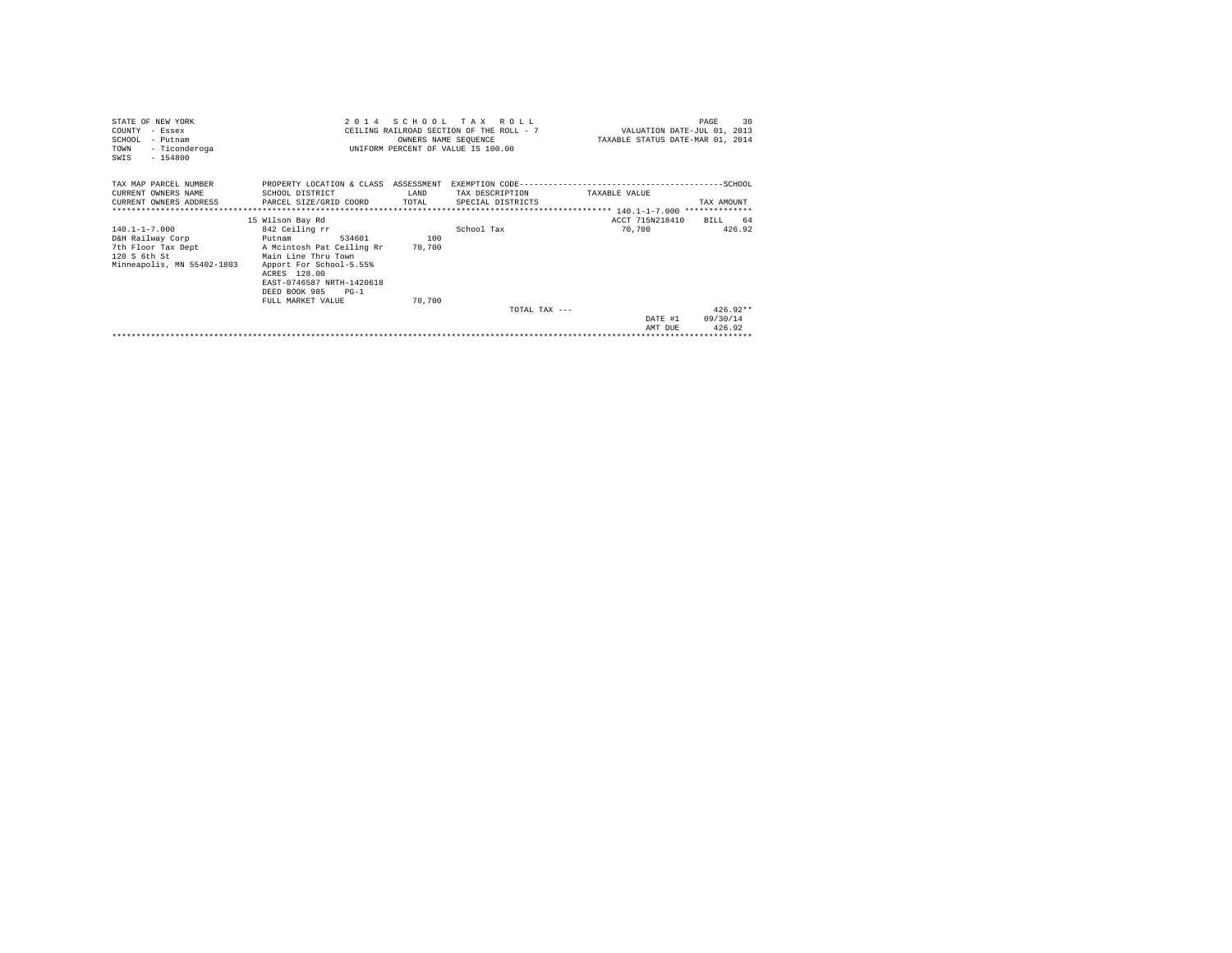| STATE OF NEW YORK<br>COUNTY<br>- Essex<br>SCHOOL<br>- Putnam<br>TOWN<br>- Ticonderoga<br>SWIS<br>$-154800$  | 2 0 1 4                                                                                                                                                                                                                            | SCHOOL<br>T A X<br>R O T. T.<br>CEILING RAILROAD SECTION OF THE ROLL - 7<br>OWNERS NAME SEQUENCE<br>INIFORM PERCENT OF VALUE IS 100.00 | VALUATION DATE-JUL 01, 2013<br>TAXABLE STATUS DATE-MAR 01, 2014 | 30<br>PAGE                |                                  |
|-------------------------------------------------------------------------------------------------------------|------------------------------------------------------------------------------------------------------------------------------------------------------------------------------------------------------------------------------------|----------------------------------------------------------------------------------------------------------------------------------------|-----------------------------------------------------------------|---------------------------|----------------------------------|
| TAX MAP PARCEL NUMBER<br>CURRENT OWNERS NAME<br>CURRENT OWNERS ADDRESS                                      | PROPERTY LOCATION & CLASS ASSESSMENT<br>SCHOOL DISTRICT<br>PARCEL SIZE/GRID COORD                                                                                                                                                  | LAND<br>TOTAL                                                                                                                          | TAX DESCRIPTION<br>SPECIAL DISTRICTS                            | TAXABLE VALUE             | TAX AMOUNT                       |
| $140.1 - 1 - 7.000$<br>D&H Railway Corp<br>7th Floor Tax Dept<br>120 S 6th St<br>Minneapolis, MN 55402-1803 | 15 Wilson Bay Rd<br>842 Ceiling rr<br>534601<br>Putnam<br>A Mcintosh Pat Ceiling Rr<br>Main Line Thru Town<br>Apport For School-5.55%<br>ACRES 128.00<br>EAST-0746587 NRTH-1420618<br>DEED BOOK 985<br>$PG-1$<br>FULL MARKET VALUE | 100<br>70.700<br>70,700                                                                                                                | School Tax                                                      | ACCT 715N218410<br>70,700 | BTLL<br>64<br>426.92             |
|                                                                                                             |                                                                                                                                                                                                                                    |                                                                                                                                        | $TOTAI$ , $TAY = -$                                             | DATE #1<br>AMT DUE        | $426.92**$<br>09/30/14<br>426.92 |
|                                                                                                             |                                                                                                                                                                                                                                    |                                                                                                                                        |                                                                 |                           |                                  |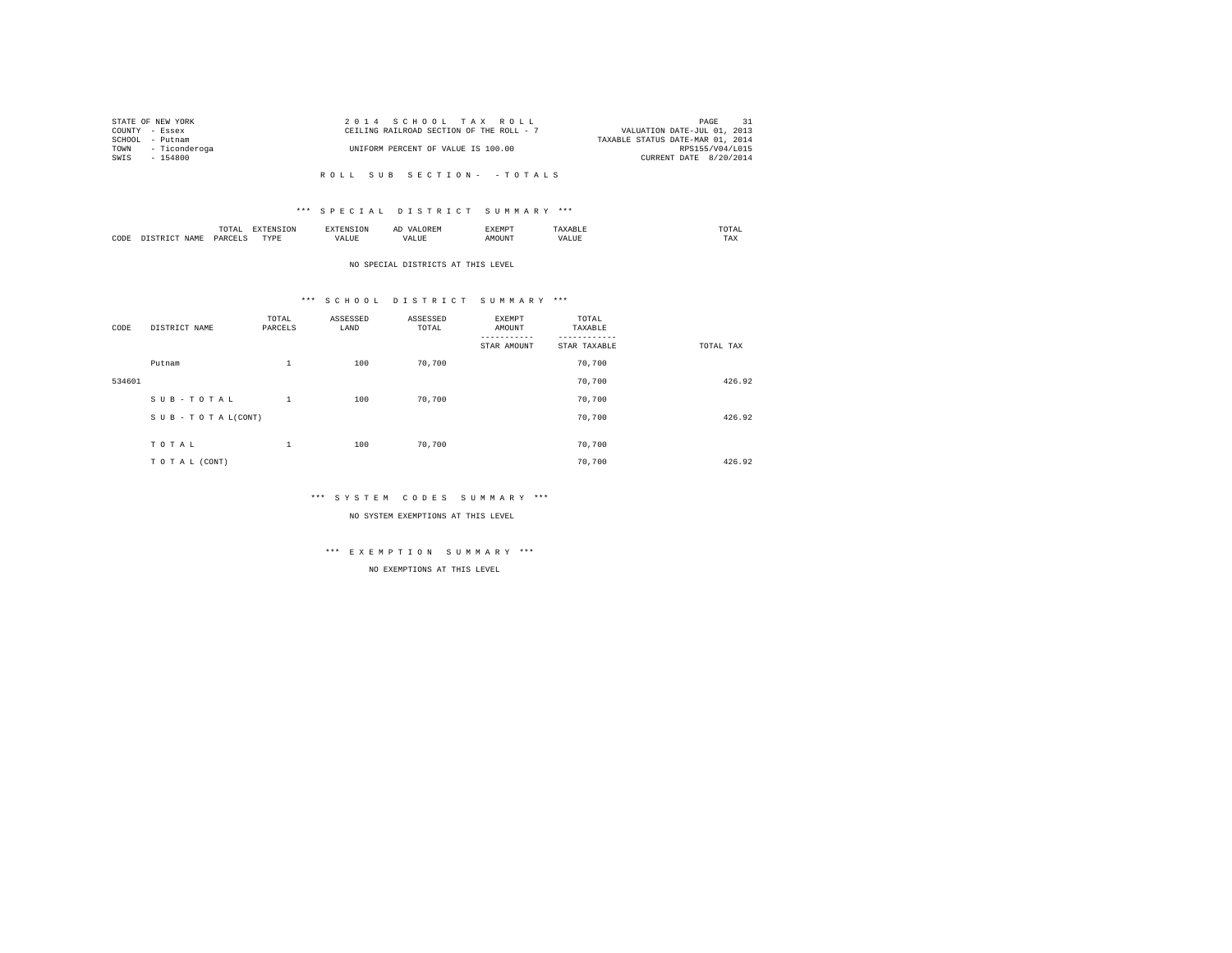| STATE OF NEW YORK  | 2014 SCHOOL TAX ROLL                     |                                  | $\overline{31}$<br>PAGE |
|--------------------|------------------------------------------|----------------------------------|-------------------------|
| COUNTY - Essex     | CEILING RAILROAD SECTION OF THE ROLL - 7 | VALUATION DATE-JUL 01, 2013      |                         |
| SCHOOL - Putnam    |                                          | TAXABLE STATUS DATE-MAR 01, 2014 |                         |
| TOWN - Ticonderoga | UNIFORM PERCENT OF VALUE IS 100.00       |                                  | RPS155/V04/L015         |
| SWIS - 154800      |                                          | CURRENT DATE 8/20/2014           |                         |
|                    |                                          |                                  |                         |

# \*\*\* S P E C I A L D I S T R I C T S U M M A R Y \*\*\*

|      |                  | $m \wedge m \wedge n$<br><br>the contract of the contract of the contract of | T OP<br>∸ | אד ה  | ، سدا | "XEMP         |                     | moma<br>the contract of the contract of the contract of |
|------|------------------|------------------------------------------------------------------------------|-----------|-------|-------|---------------|---------------------|---------------------------------------------------------|
| CODE | <b>CAM"</b><br>. | ⊿ARCΡ"<br>ALL V                                                              | TVDF<br>. | /ALUE | VALUE | <b>MOTINT</b> | /ALUE<br>, <u>n</u> | TAX                                                     |

#### NO SPECIAL DISTRICTS AT THIS LEVEL

# \*\*\* S C H O O L D I S T R I C T S U M M A R Y \*\*\*

| CODE   | DISTRICT NAME      | TOTAL<br>PARCELS | ASSESSED<br>LAND | ASSESSED<br>TOTAL | <b>EXEMPT</b><br>AMOUNT | TOTAL<br>TAXABLE |           |
|--------|--------------------|------------------|------------------|-------------------|-------------------------|------------------|-----------|
|        |                    |                  |                  |                   | STAR AMOUNT             | STAR TAXABLE     | TOTAL TAX |
|        | Putnam             | $\mathbf{1}$     | 100              | 70.700            |                         | 70.700           |           |
| 534601 |                    |                  |                  |                   |                         | 70.700           | 426.92    |
|        | SUB-TOTAL          | 1                | 100              | 70.700            |                         | 70,700           |           |
|        | SUB - TO TAL(CONT) |                  |                  |                   |                         | 70.700           | 426.92    |
|        |                    |                  |                  |                   |                         |                  |           |
|        | TOTAL              | 1                | 100              | 70,700            |                         | 70,700           |           |
|        | TO TAL (CONT)      |                  |                  |                   |                         | 70.700           | 426.92    |

#### \*\*\* S Y S T E M C O D E S S U M M A R Y \*\*\*

### NO SYSTEM EXEMPTIONS AT THIS LEVEL

# \*\*\* E X E M P T I O N S U M M A R Y \*\*\*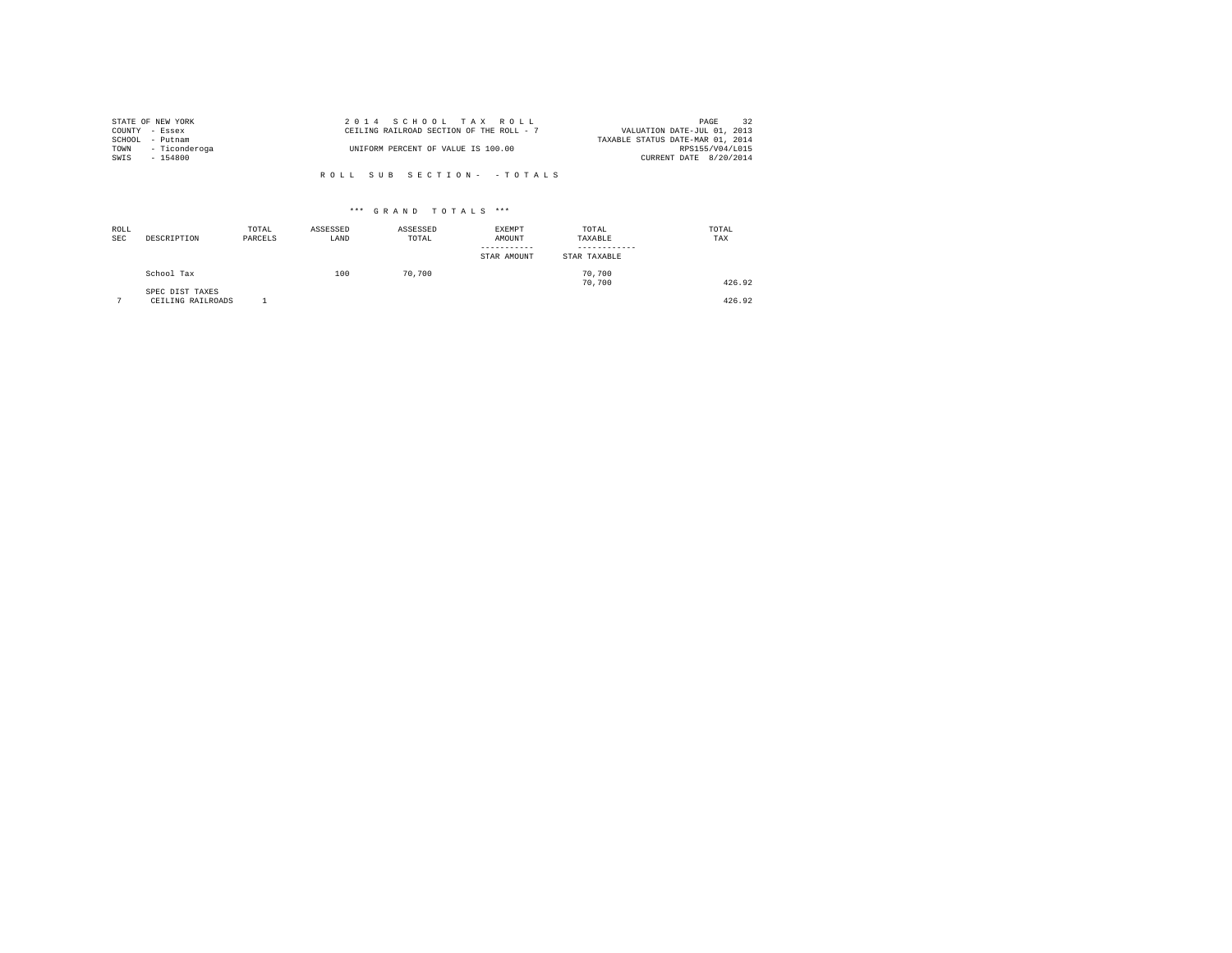|                | STATE OF NEW YORK  | 2014 SCHOOL TAX ROLL                     | 32<br>PAGE                       |
|----------------|--------------------|------------------------------------------|----------------------------------|
| COUNTY - Essex |                    | CEILING RAILROAD SECTION OF THE ROLL - 7 | VALUATION DATE-JUL 01, 2013      |
|                | SCHOOL - Putnam    |                                          | TAXABLE STATUS DATE-MAR 01, 2014 |
|                | TOWN - Ticonderoga | UNIFORM PERCENT OF VALUE IS 100.00       | RPS155/V04/L015                  |
| SWIS           | $-154800$          |                                          | CURRENT DATE 8/20/2014           |
|                |                    |                                          |                                  |

| ROLL<br>SEC | DESCRIPTION                          | TOTAL<br>PARCELS | ASSESSED<br>LAND | ASSESSED<br>TOTAL | EXEMPT<br>AMOUNT<br>-----------<br>STAR AMOUNT | TOTAL<br>TAXABLE<br>STAR TAXABLE | TOTAL<br>TAX |
|-------------|--------------------------------------|------------------|------------------|-------------------|------------------------------------------------|----------------------------------|--------------|
|             | School Tax                           |                  | 100              | 70,700            |                                                | 70.700<br>70.700                 | 426.92       |
| ÷           | SPEC DIST TAXES<br>CEILING RAILROADS |                  |                  |                   |                                                |                                  | 426.92       |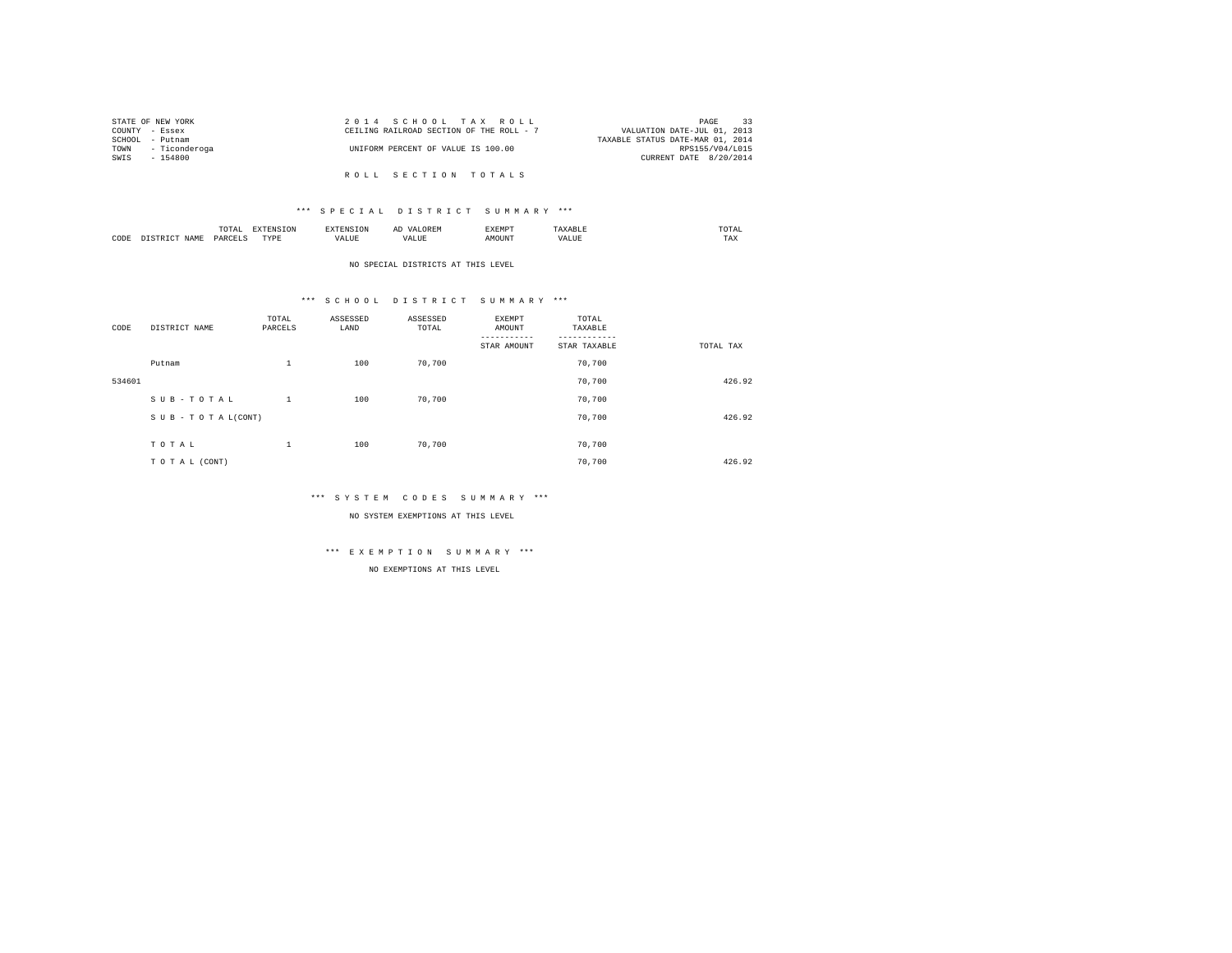| STATE OF NEW YORK  | 2014 SCHOOL TAX ROLL                     | PAGE 33                          |
|--------------------|------------------------------------------|----------------------------------|
| COUNTY - Essex     | CEILING RAILROAD SECTION OF THE ROLL - 7 | VALUATION DATE-JUL 01, 2013      |
| SCHOOL - Putnam    |                                          | TAXABLE STATUS DATE-MAR 01, 2014 |
| TOWN - Ticonderoga | UNIFORM PERCENT OF VALUE IS 100.00       | RPS155/V04/L015                  |
| SWIS - 154800      |                                          | CURRENT DATE 8/20/2014           |
|                    |                                          |                                  |
|                    | ROLL SECTION TOTALS                      |                                  |

|      |      | TOTAL<br>the contract of the contract of the contract of | ייתחיי    |       | .XEMP"        |       | $m \wedge m$ |
|------|------|----------------------------------------------------------|-----------|-------|---------------|-------|--------------|
| CODE | NAME | <b>DARCE!</b>                                            | TVDE<br>. | 'ALU. | <b>MOTTNI</b> | VALUB | TAX          |

# NO SPECIAL DISTRICTS AT THIS LEVEL

# \*\*\* S C H O O L D I S T R I C T S U M M A R Y \*\*\*

| CODE   | DISTRICT NAME      | TOTAL<br>PARCELS | ASSESSED<br>LAND | ASSESSED<br>TOTAL | <b>EXEMPT</b><br>AMOUNT | TOTAL<br>TAXABLE |           |
|--------|--------------------|------------------|------------------|-------------------|-------------------------|------------------|-----------|
|        |                    |                  |                  |                   | STAR AMOUNT             | STAR TAXABLE     | TOTAL TAX |
|        | Putnam             | 1                | 100              | 70.700            |                         | 70.700           |           |
| 534601 |                    |                  |                  |                   |                         | 70,700           | 426.92    |
|        | SUB-TOTAL          | 1                | 100              | 70,700            |                         | 70.700           |           |
|        | SUB - TO TAL(CONT) |                  |                  |                   |                         | 70.700           | 426.92    |
|        | TOTAL              | 1                | 100              | 70.700            |                         | 70.700           |           |
|        |                    |                  |                  |                   |                         |                  |           |
|        | TO TAL (CONT)      |                  |                  |                   |                         | 70.700           | 426.92    |

#### \*\*\* S Y S T E M C O D E S S U M M A R Y \*\*\*

NO SYSTEM EXEMPTIONS AT THIS LEVEL

# \*\*\* E X E M P T I O N S U M M A R Y \*\*\*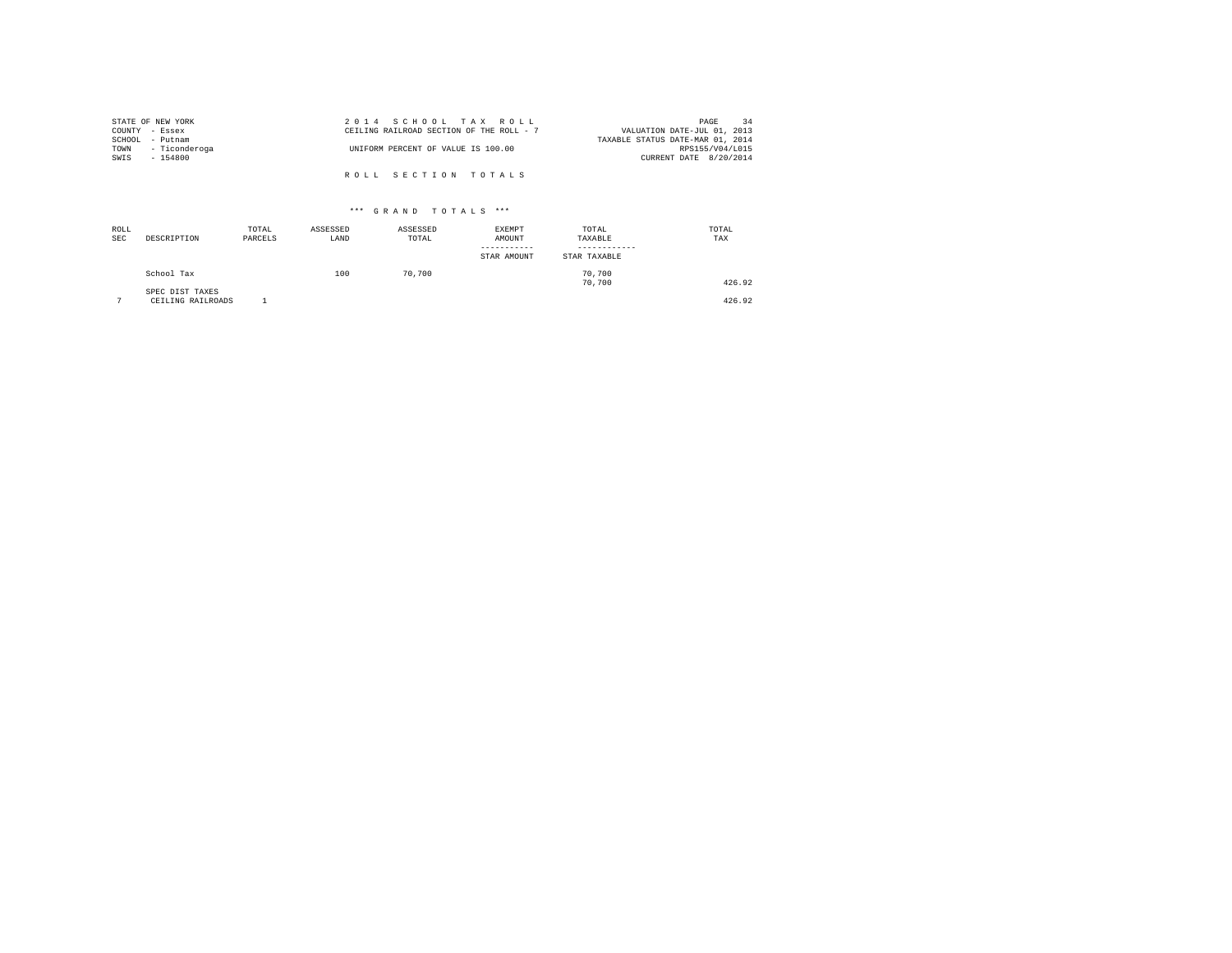|                | STATE OF NEW YORK  | 2014 SCHOOL TAX ROLL                     |  |  |                                  |                        | PAGE | $\overline{34}$ |
|----------------|--------------------|------------------------------------------|--|--|----------------------------------|------------------------|------|-----------------|
| COUNTY - Essex |                    | CEILING RAILROAD SECTION OF THE ROLL - 7 |  |  | VALUATION DATE-JUL 01, 2013      |                        |      |                 |
|                | SCHOOL - Putnam    |                                          |  |  | TAXABLE STATUS DATE-MAR 01, 2014 |                        |      |                 |
|                | TOWN - Ticonderoga | UNIFORM PERCENT OF VALUE IS 100.00       |  |  |                                  | RPS155/V04/L015        |      |                 |
| SWTS           | $-154800$          |                                          |  |  |                                  | CURRENT DATE 8/20/2014 |      |                 |
|                |                    |                                          |  |  |                                  |                        |      |                 |
|                |                    | ROLL SECTION TOTALS                      |  |  |                                  |                        |      |                 |

| ROLL<br>SEC | DESCRIPTION                          | TOTAL<br>PARCELS | ASSESSED<br>LAND | ASSESSED<br>TOTAL | <b>EXEMPT</b><br>AMOUNT<br>STAR AMOUNT | TOTAL<br>TAXABLE<br>STAR TAXABLE | TOTAL<br>TAX |
|-------------|--------------------------------------|------------------|------------------|-------------------|----------------------------------------|----------------------------------|--------------|
|             | School Tax                           |                  | 100              | 70,700            |                                        | 70.700<br>70.700                 | 426.92       |
| ÷           | SPEC DIST TAXES<br>CEILING RAILROADS |                  |                  |                   |                                        |                                  | 426.92       |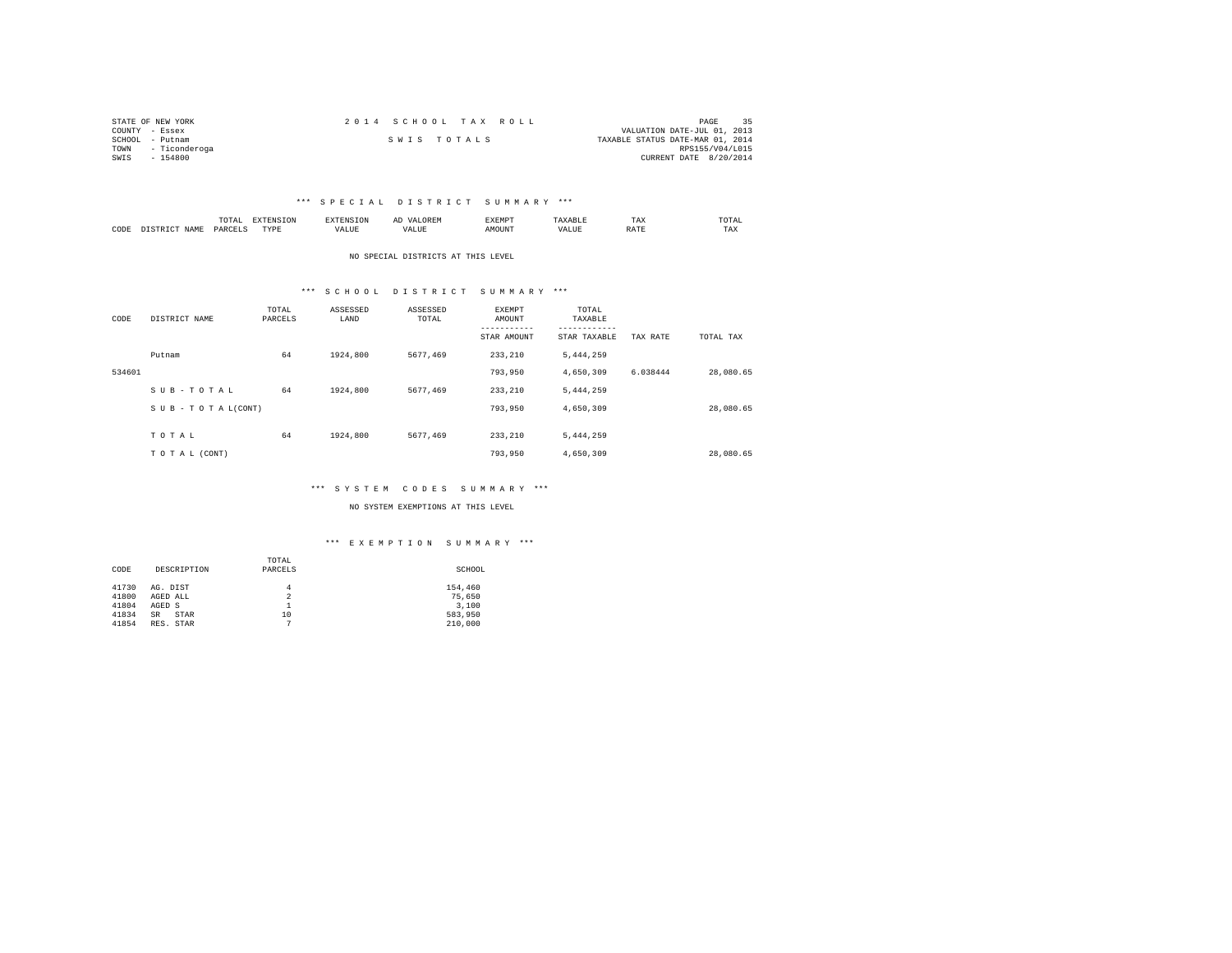|                 | STATE OF NEW YORK  |             |  | 2014 SCHOOL TAX ROLL |                                  |                        | PAGE | 35 |
|-----------------|--------------------|-------------|--|----------------------|----------------------------------|------------------------|------|----|
| COUNTY - Essex  |                    |             |  |                      | VALUATION DATE-JUL 01, 2013      |                        |      |    |
| SCHOOL - Putnam |                    | SWIS TOTALS |  |                      | TAXABLE STATUS DATE-MAR 01, 2014 |                        |      |    |
|                 | TOWN - Ticonderoga |             |  |                      |                                  | RPS155/V04/L015        |      |    |
| SWIS            | $-154800$          |             |  |                      |                                  | CURRENT DATE 8/20/2014 |      |    |

|      | ≖<br>the contract of the contract of the contract of | ם דגום מזי       | - 71         | $\cdots$ | EXEMPT |      | ጥአ<br>⊥ ⊶∆ | TOTAL |
|------|------------------------------------------------------|------------------|--------------|----------|--------|------|------------|-------|
| CODE | <b>PARCET</b><br><b>IAMT</b><br>$-22153$             | TVDP<br>1 1 F 13 | ۰۸.<br>'ALUL |          | AMOUNT | ALUE | .<br>.     | TAX   |

#### NO SPECIAL DISTRICTS AT THIS LEVEL

# \*\*\* S C H O O L D I S T R I C T S U M M A R Y \*\*\*

| CODE   | DISTRICT NAME      | TOTAL<br>PARCELS | ASSESSED<br>LAND | ASSESSED<br>TOTAL | <b>EXEMPT</b><br>AMOUNT | TOTAL<br>TAXABLE |          |           |
|--------|--------------------|------------------|------------------|-------------------|-------------------------|------------------|----------|-----------|
|        |                    |                  |                  |                   | STAR AMOUNT             | STAR TAXABLE     | TAX RATE | TOTAL TAX |
|        | Putnam             | 64               | 1924,800         | 5677.469          | 233, 210                | 5,444,259        |          |           |
| 534601 |                    |                  |                  |                   | 793,950                 | 4,650,309        | 6.038444 | 28,080.65 |
|        | SUB-TOTAL          | 64               | 1924,800         | 5677.469          | 233,210                 | 5,444,259        |          |           |
|        | SUB - TO TAL(CONT) |                  |                  |                   | 793,950                 | 4,650,309        |          | 28,080.65 |
|        |                    |                  |                  |                   |                         |                  |          |           |
|        | TOTAL              | 64               | 1924,800         | 5677.469          | 233, 210                | 5,444,259        |          |           |
|        | TO TAL (CONT)      |                  |                  |                   | 793,950                 | 4,650,309        |          | 28,080.65 |

#### \*\*\* S Y S T E M C O D E S S U M M A R Y \*\*\*

NO SYSTEM EXEMPTIONS AT THIS LEVEL

| CODE<br>DESCRIPTION                                                                                           | TOTAL<br>PARCELS                    | SCHOOL                                           |
|---------------------------------------------------------------------------------------------------------------|-------------------------------------|--------------------------------------------------|
| 41730<br>AG. DIST<br>41800<br>AGED ALL<br>41804<br>AGED S<br>41834<br><b>STAR</b><br>SR<br>41854<br>RES. STAR | 4<br>$\overline{2}$<br>1<br>10<br>7 | 154,460<br>75,650<br>3,100<br>583,950<br>210,000 |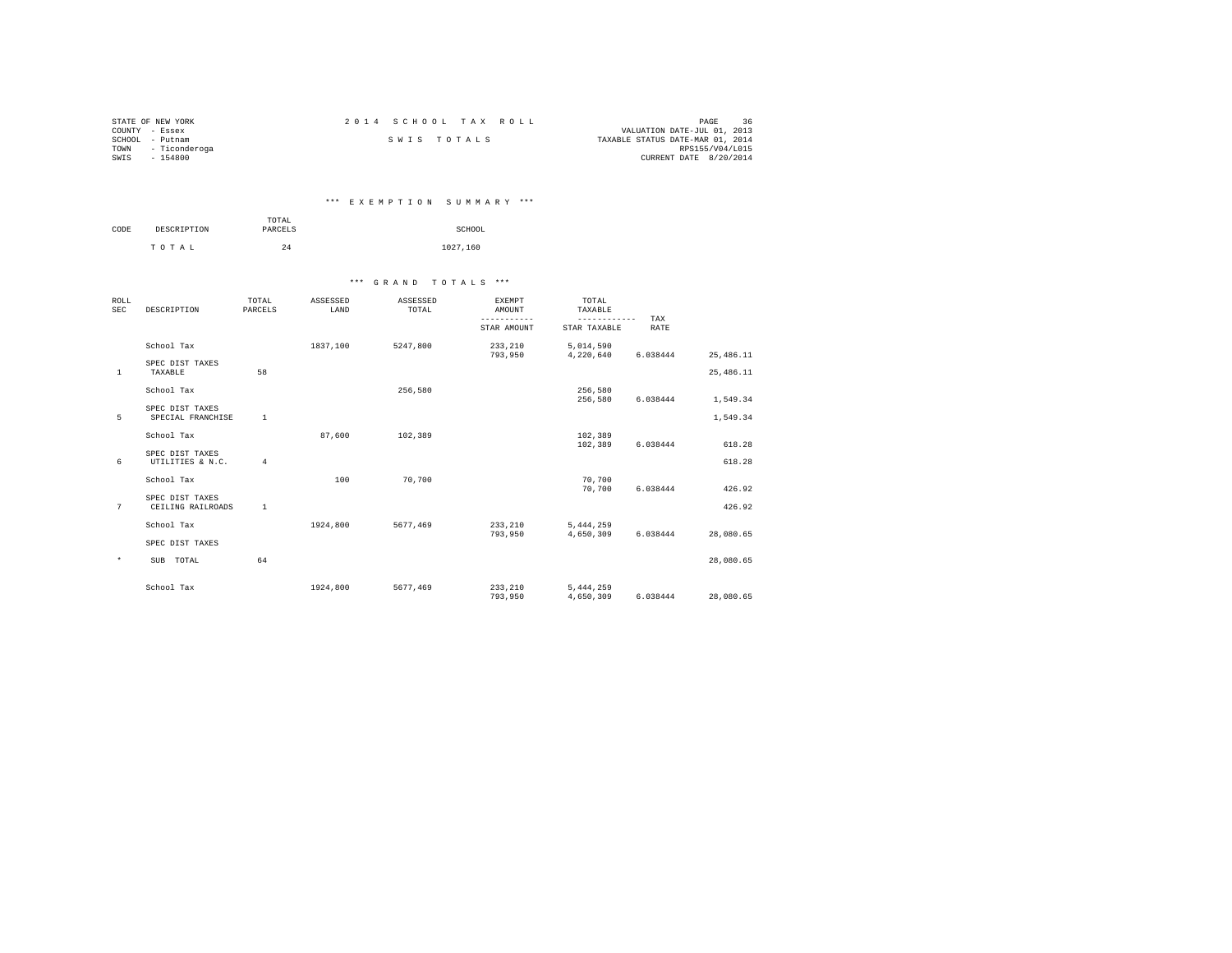|      | STATE OF NEW YORK  |             |  | 2014 SCHOOL TAX ROLL |                                  |                        | PAGE | 36 |
|------|--------------------|-------------|--|----------------------|----------------------------------|------------------------|------|----|
|      | COUNTY - Essex     |             |  |                      | VALUATION DATE-JUL 01, 2013      |                        |      |    |
|      | SCHOOL - Putnam    | SWIS TOTALS |  |                      | TAXABLE STATUS DATE-MAR 01, 2014 |                        |      |    |
|      | TOWN - Ticonderoga |             |  |                      |                                  | RPS155/V04/L015        |      |    |
| SWIS | $-154800$          |             |  |                      |                                  | CURRENT DATE 8/20/2014 |      |    |

# \*\*\* E X E M P T I O N S U M M A R Y \*\*\*

|      |             | TOTAL   |          |
|------|-------------|---------|----------|
| CODE | DESCRIPTION | PARCELS | SCHOOL   |
|      | TOTAL       | 24      | 1027.160 |

| <b>ROLL</b><br><b>SEC</b> | DESCRIPTION                          | TOTAL<br>PARCELS | ASSESSED<br>LAND | ASSESSED<br>TOTAL | <b>EXEMPT</b><br>AMOUNT | TOTAL<br>TAXABLE         |             |            |
|---------------------------|--------------------------------------|------------------|------------------|-------------------|-------------------------|--------------------------|-------------|------------|
|                           |                                      |                  |                  |                   | STAR AMOUNT             | --------<br>STAR TAXABLE | TAX<br>RATE |            |
|                           | School Tax                           |                  | 1837,100         | 5247.800          | 233,210<br>793,950      | 5,014,590<br>4,220,640   | 6.038444    | 25, 486.11 |
| $\mathbf{1}$              | SPEC DIST TAXES<br>TAXABLE           | 58               |                  |                   |                         |                          |             | 25,486.11  |
|                           | School Tax                           |                  |                  | 256.580           |                         | 256,580<br>256,580       | 6.038444    | 1,549.34   |
| 5                         | SPEC DIST TAXES<br>SPECIAL FRANCHISE | $\mathbf{1}$     |                  |                   |                         |                          |             | 1.549.34   |
|                           | School Tax                           |                  | 87,600           | 102,389           |                         | 102,389<br>102,389       | 6.038444    | 618.28     |
| 6                         | SPEC DIST TAXES<br>UTILITIES & N.C.  | $\overline{4}$   |                  |                   |                         |                          |             | 618.28     |
|                           | School Tax                           |                  | 100              | 70.700            |                         | 70.700<br>70,700         | 6.038444    | 426.92     |
| 7                         | SPEC DIST TAXES<br>CEILING RAILROADS | <sup>1</sup>     |                  |                   |                         |                          |             | 426.92     |
|                           | School Tax                           |                  | 1924,800         | 5677.469          | 233,210<br>793.950      | 5, 444, 259<br>4.650.309 | 6.038444    | 28,080.65  |
|                           | SPEC DIST TAXES                      |                  |                  |                   |                         |                          |             |            |
| $\star$                   | SUB TOTAL                            | 64               |                  |                   |                         |                          |             | 28,080.65  |
|                           | School Tax                           |                  | 1924,800         | 5677,469          | 233,210<br>793,950      | 5, 444, 259<br>4,650,309 | 6.038444    | 28,080.65  |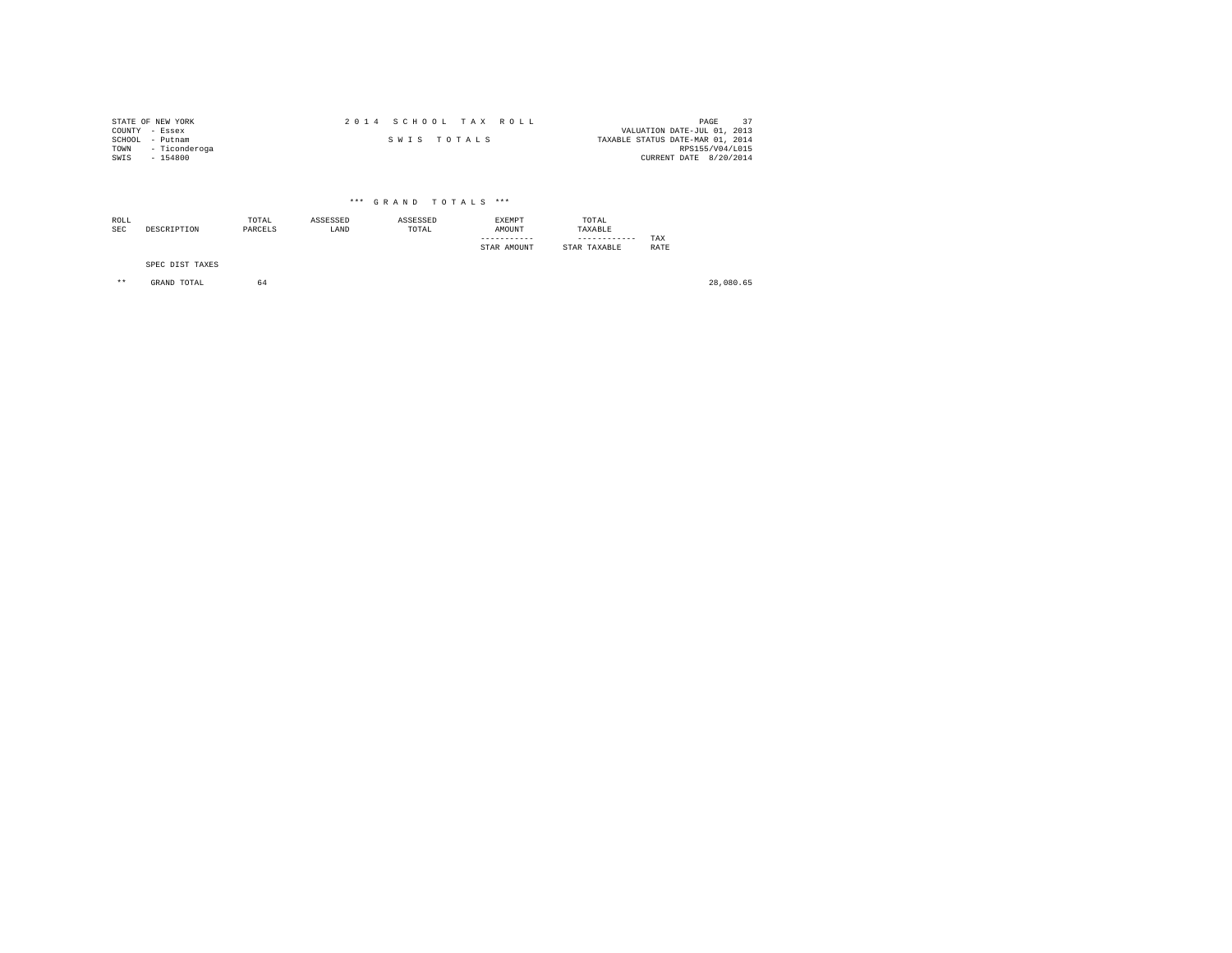|      | STATE OF NEW YORK  |             |  | 2014 SCHOOL TAX ROLL |                                  | PAGE            | 37 |
|------|--------------------|-------------|--|----------------------|----------------------------------|-----------------|----|
|      | COUNTY - Essex     |             |  |                      | VALUATION DATE-JUL 01, 2013      |                 |    |
|      | SCHOOL - Putnam    | SWIS TOTALS |  |                      | TAXABLE STATUS DATE-MAR 01, 2014 |                 |    |
|      | TOWN - Ticonderoga |             |  |                      |                                  | RPS155/V04/L015 |    |
| SWIS | $-154800$          |             |  |                      | CURRENT DATE 8/20/2014           |                 |    |

# \*\*\* G R A N D T O T A L S \*\*\*

| ROLL |                 | TOTAL   | ASSESSED | ASSESSED | EXEMPT      | TOTAL        |      |
|------|-----------------|---------|----------|----------|-------------|--------------|------|
| SEC  | DESCRIPTION     | PARCELS | LAND     | TOTAL    | AMOUNT      | TAXABLE      |      |
|      |                 |         |          |          |             |              | TAX  |
|      |                 |         |          |          | STAR AMOUNT | STAR TAXABLE | RATE |
|      |                 |         |          |          |             |              |      |
|      | SPEC DIST TAXES |         |          |          |             |              |      |

\*\* GRAND TOTAL 64 28,080.65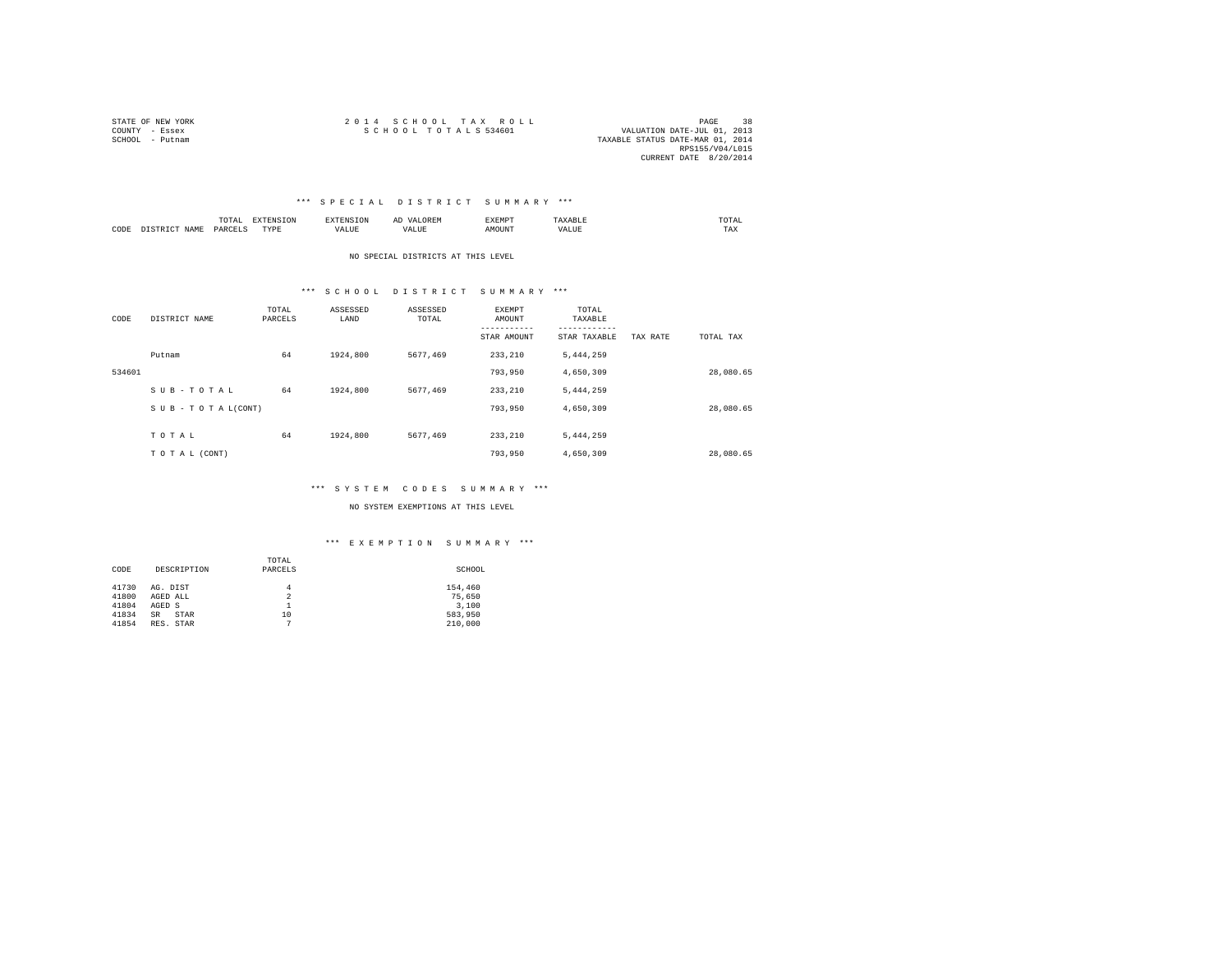| STATE OF NEW YORK | 2014 SCHOOL TAX ROLL             | <b>PAGE</b>                 | 38 |
|-------------------|----------------------------------|-----------------------------|----|
| COUNTY - Essex    | SCHOOL TOTALS 534601             | VALUATION DATE-JUL 01, 2013 |    |
| SCHOOL - Putnam   | TAXABLE STATUS DATE-MAR 01, 2014 |                             |    |
|                   |                                  | RPS155/V04/L015             |    |
|                   |                                  | CURRENT DATE 8/20/2014      |    |

|      |                  | TOTAI<br>the contract of the contract of the contract of | <b>DYDDYO</b> | .    | AI   | "YEMPT<br>JABRIE J | .                   | UIAL |
|------|------------------|----------------------------------------------------------|---------------|------|------|--------------------|---------------------|------|
| CODE | <b>TMAT</b><br>. | PARCE"                                                   | TVDE<br>.     | ALUE | ALUI | AMOUNT             | <b><i>IALUE</i></b> | TAX  |

#### NO SPECIAL DISTRICTS AT THIS LEVEL

# \*\*\* S C H O O L D I S T R I C T S U M M A R Y \*\*\*

| CODE   | DISTRICT NAME                 | TOTAL<br>PARCELS | ASSESSED<br>LAND | ASSESSED<br>TOTAL | <b>EXEMPT</b><br>AMOUNT | TOTAL<br>TAXABLE |          |           |
|--------|-------------------------------|------------------|------------------|-------------------|-------------------------|------------------|----------|-----------|
|        |                               |                  |                  |                   | STAR AMOUNT             | STAR TAXABLE     | TAX RATE | TOTAL TAX |
|        | Putnam                        | 64               | 1924,800         | 5677.469          | 233, 210                | 5,444,259        |          |           |
| 534601 |                               |                  |                  |                   | 793,950                 | 4,650,309        |          | 28,080.65 |
|        | SUB-TOTAL                     | 64               | 1924,800         | 5677.469          | 233, 210                | 5,444,259        |          |           |
|        | $S \cup B - T O T A L (CONT)$ |                  |                  |                   | 793,950                 | 4,650,309        |          | 28,080.65 |
|        |                               |                  |                  |                   |                         |                  |          |           |
|        | TOTAL                         | 64               | 1924,800         | 5677.469          | 233, 210                | 5,444,259        |          |           |
|        | TO TAL (CONT)                 |                  |                  |                   | 793,950                 | 4,650,309        |          | 28,080.65 |

#### \*\*\* S Y S T E M C O D E S S U M M A R Y \*\*\*

NO SYSTEM EXEMPTIONS AT THIS LEVEL

| DESCRIPTION<br>CODE                                                                                           | TOTAL<br>PARCELS                                         | SCHOOL                                           |
|---------------------------------------------------------------------------------------------------------------|----------------------------------------------------------|--------------------------------------------------|
| 41730<br>AG. DIST<br>41800<br>AGED ALL<br>41804<br>AGED S<br>41834<br><b>STAR</b><br>SR<br>41854<br>RES. STAR | $\overline{4}$<br>$\overline{2}$<br>10<br>$\overline{7}$ | 154,460<br>75,650<br>3.100<br>583,950<br>210,000 |